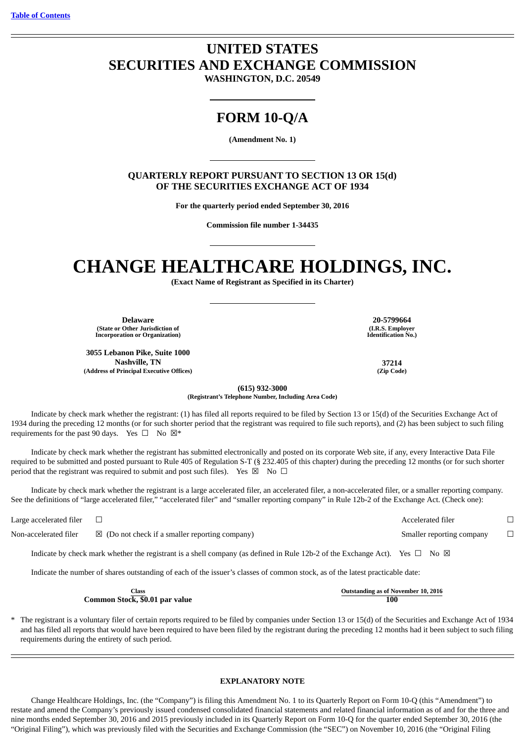# **UNITED STATES SECURITIES AND EXCHANGE COMMISSION**

**WASHINGTON, D.C. 20549**

# **FORM 10-Q/A**

**(Amendment No. 1)**

**QUARTERLY REPORT PURSUANT TO SECTION 13 OR 15(d) OF THE SECURITIES EXCHANGE ACT OF 1934**

**For the quarterly period ended September 30, 2016**

**Commission file number 1-34435**

# **CHANGE HEALTHCARE HOLDINGS, INC.**

**(Exact Name of Registrant as Specified in its Charter)**

**Delaware 20-5799664 (State or Other Jurisdiction of Incorporation or Organization)**

**3055 Lebanon Pike, Suite 1000 Nashville, TN 37214 (Address of Principal Executive Offices) (Zip Code)**

**(I.R.S. Employer Identification No.)**

**(615) 932-3000**

**(Registrant's Telephone Number, Including Area Code)**

Indicate by check mark whether the registrant: (1) has filed all reports required to be filed by Section 13 or 15(d) of the Securities Exchange Act of 1934 during the preceding 12 months (or for such shorter period that the registrant was required to file such reports), and (2) has been subject to such filing requirements for the past 90 days. Yes  $\Box$  No  $\boxtimes^*$ 

Indicate by check mark whether the registrant has submitted electronically and posted on its corporate Web site, if any, every Interactive Data File required to be submitted and posted pursuant to Rule 405 of Regulation S-T (§ 232.405 of this chapter) during the preceding 12 months (or for such shorter period that the registrant was required to submit and post such files). Yes  $\boxtimes$  No  $\Box$ 

Indicate by check mark whether the registrant is a large accelerated filer, an accelerated filer, a non-accelerated filer, or a smaller reporting company. See the definitions of "large accelerated filer," "accelerated filer" and "smaller reporting company" in Rule 12b-2 of the Exchange Act. (Check one):

| Large accelerated filer |                                                                                                                                            | Accelerated filer         |  |
|-------------------------|--------------------------------------------------------------------------------------------------------------------------------------------|---------------------------|--|
| Non-accelerated filer   | $\boxtimes$ (Do not check if a smaller reporting company)                                                                                  | Smaller reporting company |  |
|                         | Indicate by check mark whether the registrant is a shell company (as defined in Rule 12b-2 of the Exchange Act). Yes $\Box$ No $\boxtimes$ |                           |  |

Indicate the number of shares outstanding of each of the issuer's classes of common stock, as of the latest practicable date:

**Common Stock, \$0.01 par value 100**

| Class                | Outstanding as of November 10, 2016 |
|----------------------|-------------------------------------|
| k, \$0.01 par value: | 100                                 |

\* The registrant is a voluntary filer of certain reports required to be filed by companies under Section 13 or 15(d) of the Securities and Exchange Act of 1934 and has filed all reports that would have been required to have been filed by the registrant during the preceding 12 months had it been subject to such filing requirements during the entirety of such period.

# **EXPLANATORY NOTE**

Change Healthcare Holdings, Inc. (the "Company") is filing this Amendment No. 1 to its Quarterly Report on Form 10-Q (this "Amendment") to restate and amend the Company's previously issued condensed consolidated financial statements and related financial information as of and for the three and nine months ended September 30, 2016 and 2015 previously included in its Quarterly Report on Form 10-Q for the quarter ended September 30, 2016 (the "Original Filing"), which was previously filed with the Securities and Exchange Commission (the "SEC") on November 10, 2016 (the "Original Filing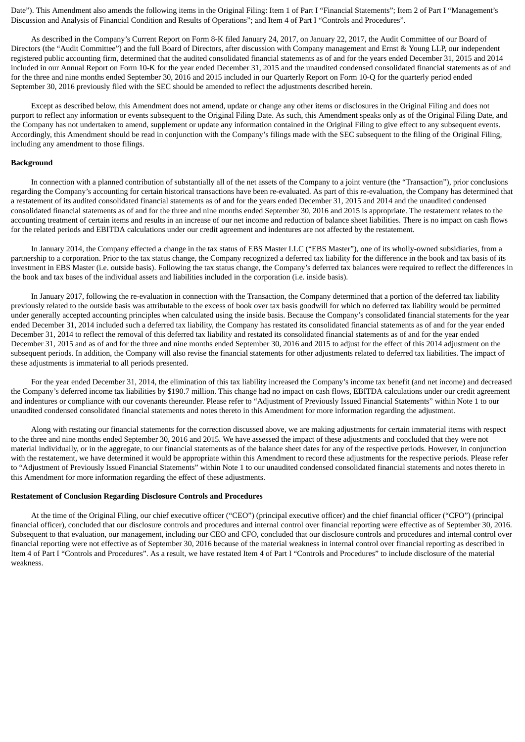Date"). This Amendment also amends the following items in the Original Filing: Item 1 of Part I "Financial Statements"; Item 2 of Part I "Management's Discussion and Analysis of Financial Condition and Results of Operations"; and Item 4 of Part I "Controls and Procedures".

As described in the Company's Current Report on Form 8-K filed January 24, 2017, on January 22, 2017, the Audit Committee of our Board of Directors (the "Audit Committee") and the full Board of Directors, after discussion with Company management and Ernst & Young LLP, our independent registered public accounting firm, determined that the audited consolidated financial statements as of and for the years ended December 31, 2015 and 2014 included in our Annual Report on Form 10-K for the year ended December 31, 2015 and the unaudited condensed consolidated financial statements as of and for the three and nine months ended September 30, 2016 and 2015 included in our Quarterly Report on Form 10-Q for the quarterly period ended September 30, 2016 previously filed with the SEC should be amended to reflect the adjustments described herein.

Except as described below, this Amendment does not amend, update or change any other items or disclosures in the Original Filing and does not purport to reflect any information or events subsequent to the Original Filing Date. As such, this Amendment speaks only as of the Original Filing Date, and the Company has not undertaken to amend, supplement or update any information contained in the Original Filing to give effect to any subsequent events. Accordingly, this Amendment should be read in conjunction with the Company's filings made with the SEC subsequent to the filing of the Original Filing, including any amendment to those filings.

#### **Background**

In connection with a planned contribution of substantially all of the net assets of the Company to a joint venture (the "Transaction"), prior conclusions regarding the Company's accounting for certain historical transactions have been re-evaluated. As part of this re-evaluation, the Company has determined that a restatement of its audited consolidated financial statements as of and for the years ended December 31, 2015 and 2014 and the unaudited condensed consolidated financial statements as of and for the three and nine months ended September 30, 2016 and 2015 is appropriate. The restatement relates to the accounting treatment of certain items and results in an increase of our net income and reduction of balance sheet liabilities. There is no impact on cash flows for the related periods and EBITDA calculations under our credit agreement and indentures are not affected by the restatement.

In January 2014, the Company effected a change in the tax status of EBS Master LLC ("EBS Master"), one of its wholly-owned subsidiaries, from a partnership to a corporation. Prior to the tax status change, the Company recognized a deferred tax liability for the difference in the book and tax basis of its investment in EBS Master (i.e. outside basis). Following the tax status change, the Company's deferred tax balances were required to reflect the differences in the book and tax bases of the individual assets and liabilities included in the corporation (i.e. inside basis).

In January 2017, following the re-evaluation in connection with the Transaction, the Company determined that a portion of the deferred tax liability previously related to the outside basis was attributable to the excess of book over tax basis goodwill for which no deferred tax liability would be permitted under generally accepted accounting principles when calculated using the inside basis. Because the Company's consolidated financial statements for the year ended December 31, 2014 included such a deferred tax liability, the Company has restated its consolidated financial statements as of and for the year ended December 31, 2014 to reflect the removal of this deferred tax liability and restated its consolidated financial statements as of and for the year ended December 31, 2015 and as of and for the three and nine months ended September 30, 2016 and 2015 to adjust for the effect of this 2014 adjustment on the subsequent periods. In addition, the Company will also revise the financial statements for other adjustments related to deferred tax liabilities. The impact of these adjustments is immaterial to all periods presented.

For the year ended December 31, 2014, the elimination of this tax liability increased the Company's income tax benefit (and net income) and decreased the Company's deferred income tax liabilities by \$190.7 million. This change had no impact on cash flows, EBITDA calculations under our credit agreement and indentures or compliance with our covenants thereunder. Please refer to "Adjustment of Previously Issued Financial Statements" within Note 1 to our unaudited condensed consolidated financial statements and notes thereto in this Amendment for more information regarding the adjustment.

Along with restating our financial statements for the correction discussed above, we are making adjustments for certain immaterial items with respect to the three and nine months ended September 30, 2016 and 2015. We have assessed the impact of these adjustments and concluded that they were not material individually, or in the aggregate, to our financial statements as of the balance sheet dates for any of the respective periods. However, in conjunction with the restatement, we have determined it would be appropriate within this Amendment to record these adjustments for the respective periods. Please refer to "Adjustment of Previously Issued Financial Statements" within Note 1 to our unaudited condensed consolidated financial statements and notes thereto in this Amendment for more information regarding the effect of these adjustments.

#### **Restatement of Conclusion Regarding Disclosure Controls and Procedures**

At the time of the Original Filing, our chief executive officer ("CEO") (principal executive officer) and the chief financial officer ("CFO") (principal financial officer), concluded that our disclosure controls and procedures and internal control over financial reporting were effective as of September 30, 2016. Subsequent to that evaluation, our management, including our CEO and CFO, concluded that our disclosure controls and procedures and internal control over financial reporting were not effective as of September 30, 2016 because of the material weakness in internal control over financial reporting as described in Item 4 of Part I "Controls and Procedures". As a result, we have restated Item 4 of Part I "Controls and Procedures" to include disclosure of the material weakness.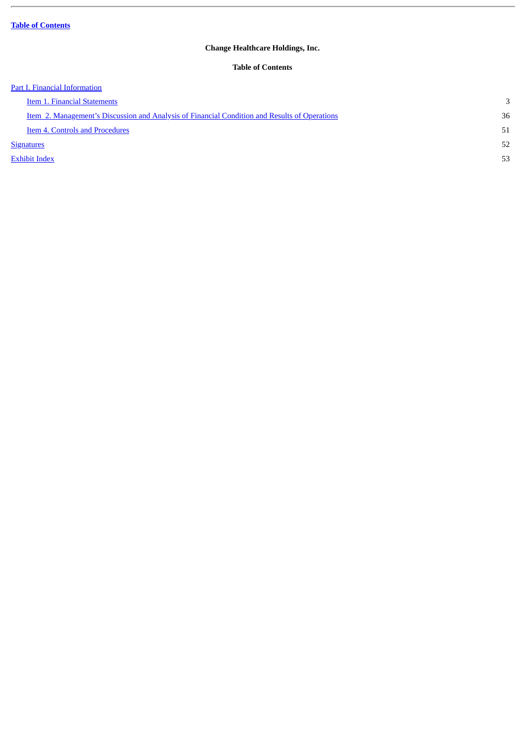# **Change Healthcare Holdings, Inc.**

# **Table of Contents**

# <span id="page-2-0"></span>Part I. Financial [Information](#page-3-0)

| Item 1. Financial Statements    |                                                                                                      | 3  |
|---------------------------------|------------------------------------------------------------------------------------------------------|----|
|                                 | <u>Item 2. Management's Discussion and Analysis of Financial Condition and Results of Operations</u> | 36 |
| Item 4. Controls and Procedures |                                                                                                      | 51 |
| <b>Signatures</b>               |                                                                                                      | 52 |
| <b>Exhibit Index</b>            |                                                                                                      | 53 |
|                                 |                                                                                                      |    |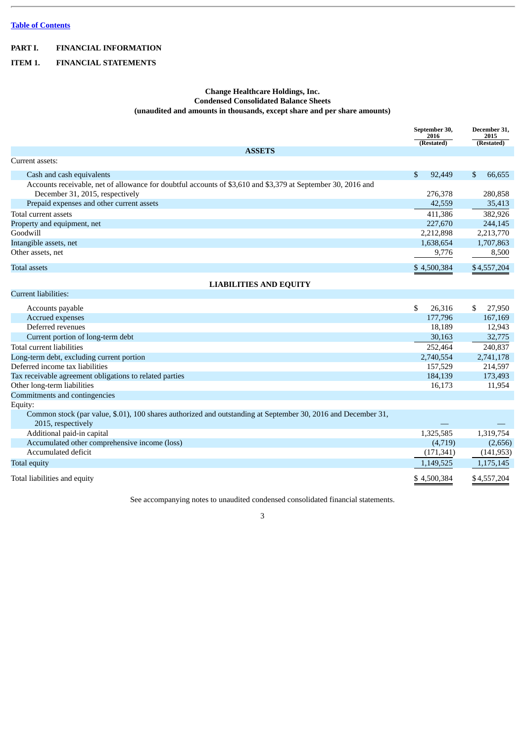<span id="page-3-0"></span>**PART I. FINANCIAL INFORMATION**

# <span id="page-3-1"></span>**ITEM 1. FINANCIAL STATEMENTS**

### **Change Healthcare Holdings, Inc. Condensed Consolidated Balance Sheets (unaudited and amounts in thousands, except share and per share amounts)**

|                                                                                                                                     | September 30,<br>2016 | December 31,<br>2015 |  |  |
|-------------------------------------------------------------------------------------------------------------------------------------|-----------------------|----------------------|--|--|
|                                                                                                                                     | (Restated)            | (Restated)           |  |  |
| <b>ASSETS</b>                                                                                                                       |                       |                      |  |  |
| Current assets:                                                                                                                     |                       |                      |  |  |
| Cash and cash equivalents                                                                                                           | \$<br>92,449          | \$<br>66,655         |  |  |
| Accounts receivable, net of allowance for doubtful accounts of \$3,610 and \$3,379 at September 30, 2016 and                        |                       |                      |  |  |
| December 31, 2015, respectively                                                                                                     | 276,378               | 280,858              |  |  |
| Prepaid expenses and other current assets                                                                                           | 42,559                | 35,413               |  |  |
| Total current assets                                                                                                                | 411,386               | 382,926              |  |  |
| Property and equipment, net                                                                                                         | 227,670               | 244,145              |  |  |
| Goodwill                                                                                                                            | 2,212,898             | 2,213,770            |  |  |
| Intangible assets, net                                                                                                              | 1,638,654             | 1,707,863            |  |  |
| Other assets, net                                                                                                                   | 9,776                 | 8,500                |  |  |
| <b>Total assets</b>                                                                                                                 | \$4,500,384           | \$4,557,204          |  |  |
| <b>LIABILITIES AND EQUITY</b>                                                                                                       |                       |                      |  |  |
| Current liabilities:                                                                                                                |                       |                      |  |  |
| Accounts payable                                                                                                                    | \$<br>26,316          | 27,950<br>\$         |  |  |
| Accrued expenses                                                                                                                    | 177,796               | 167,169              |  |  |
| Deferred revenues                                                                                                                   | 18,189                | 12,943               |  |  |
| Current portion of long-term debt                                                                                                   | 30,163                | 32,775               |  |  |
| Total current liabilities                                                                                                           | 252,464               | 240,837              |  |  |
| Long-term debt, excluding current portion                                                                                           | 2,740,554             | 2,741,178            |  |  |
| Deferred income tax liabilities                                                                                                     | 157,529               | 214,597              |  |  |
| Tax receivable agreement obligations to related parties                                                                             | 184,139               | 173,493              |  |  |
| Other long-term liabilities                                                                                                         | 16,173                | 11,954               |  |  |
| Commitments and contingencies                                                                                                       |                       |                      |  |  |
| Equity:                                                                                                                             |                       |                      |  |  |
| Common stock (par value, \$.01), 100 shares authorized and outstanding at September 30, 2016 and December 31,<br>2015, respectively |                       |                      |  |  |
| Additional paid-in capital                                                                                                          | 1,325,585             | 1,319,754            |  |  |
| Accumulated other comprehensive income (loss)                                                                                       | (4,719)               | (2,656)              |  |  |
| Accumulated deficit                                                                                                                 | (171, 341)            | (141, 953)           |  |  |
| Total equity                                                                                                                        | 1,149,525             | 1,175,145            |  |  |
| Total liabilities and equity                                                                                                        | \$4,500,384           | \$4,557,204          |  |  |

See accompanying notes to unaudited condensed consolidated financial statements.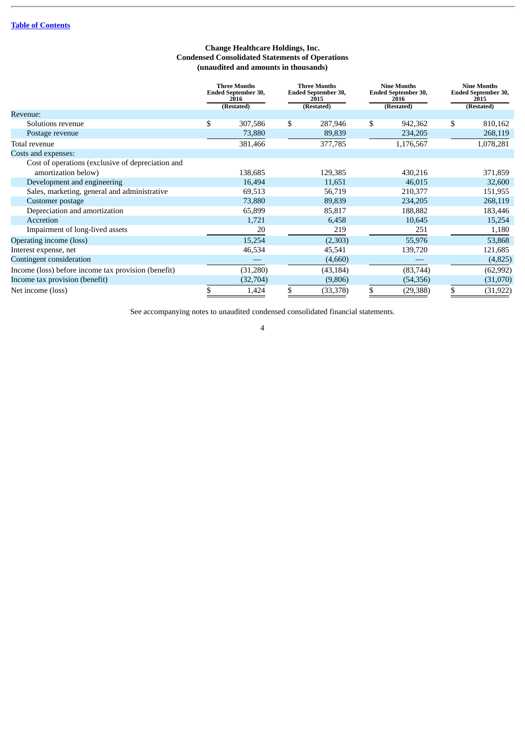# **Change Healthcare Holdings, Inc. Condensed Consolidated Statements of Operations (unaudited and amounts in thousands)**

|                                                     | <b>Three Months</b><br><b>Three Months</b><br><b>Ended September 30,</b><br><b>Ended September 30,</b><br>2016<br>2015<br>(Restated)<br>(Restated) |          | <b>Nine Months</b><br><b>Ended September 30,</b><br>2016 | <b>Nine Months</b><br><b>Ended September 30,</b><br>2015 |                 |
|-----------------------------------------------------|----------------------------------------------------------------------------------------------------------------------------------------------------|----------|----------------------------------------------------------|----------------------------------------------------------|-----------------|
| Revenue:                                            |                                                                                                                                                    |          |                                                          | (Restated)                                               | (Restated)      |
| Solutions revenue                                   | \$                                                                                                                                                 | 307,586  | \$<br>287,946                                            | \$<br>942,362                                            | \$<br>810,162   |
| Postage revenue                                     |                                                                                                                                                    | 73,880   | 89,839                                                   | 234,205                                                  | 268,119         |
| Total revenue                                       |                                                                                                                                                    | 381,466  | 377,785                                                  | 1,176,567                                                | 1,078,281       |
| Costs and expenses:                                 |                                                                                                                                                    |          |                                                          |                                                          |                 |
| Cost of operations (exclusive of depreciation and   |                                                                                                                                                    |          |                                                          |                                                          |                 |
| amortization below)                                 |                                                                                                                                                    | 138,685  | 129,385                                                  | 430,216                                                  | 371,859         |
| Development and engineering                         |                                                                                                                                                    | 16,494   | 11,651                                                   | 46,015                                                   | 32,600          |
| Sales, marketing, general and administrative        |                                                                                                                                                    | 69,513   | 56,719                                                   | 210,377                                                  | 151,955         |
| Customer postage                                    |                                                                                                                                                    | 73,880   | 89,839                                                   | 234,205                                                  | 268,119         |
| Depreciation and amortization                       |                                                                                                                                                    | 65,899   | 85,817                                                   | 188,882                                                  | 183,446         |
| Accretion                                           |                                                                                                                                                    | 1,721    | 6,458                                                    | 10,645                                                   | 15,254          |
| Impairment of long-lived assets                     |                                                                                                                                                    | 20       | 219                                                      | 251                                                      | 1,180           |
| Operating income (loss)                             |                                                                                                                                                    | 15,254   | (2,303)                                                  | 55,976                                                   | 53,868          |
| Interest expense, net                               |                                                                                                                                                    | 46,534   | 45,541                                                   | 139,720                                                  | 121,685         |
| Contingent consideration                            |                                                                                                                                                    |          | (4,660)                                                  |                                                          | (4,825)         |
| Income (loss) before income tax provision (benefit) |                                                                                                                                                    | (31,280) | (43, 184)                                                | (83,744)                                                 | (62, 992)       |
| Income tax provision (benefit)                      |                                                                                                                                                    | (32,704) | (9,806)                                                  | (54, 356)                                                | (31,070)        |
| Net income (loss)                                   | \$                                                                                                                                                 | 1,424    | \$<br>(33, 378)                                          | \$<br>(29, 388)                                          | \$<br>(31, 922) |

See accompanying notes to unaudited condensed consolidated financial statements.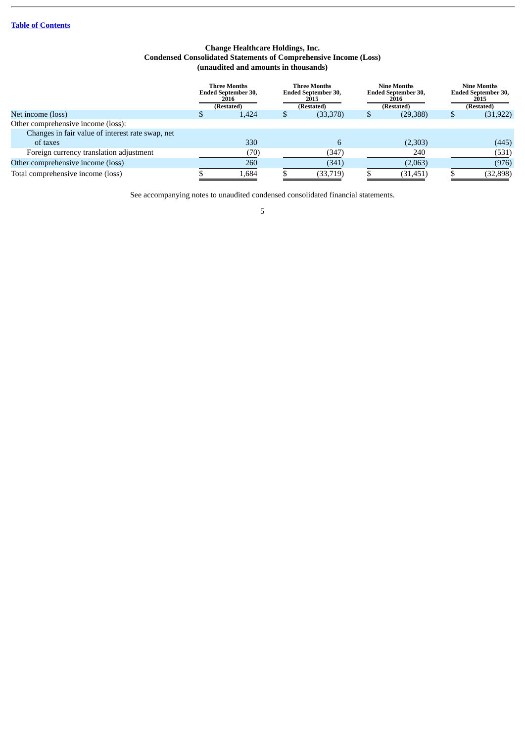# **Change Healthcare Holdings, Inc. Condensed Consolidated Statements of Comprehensive Income (Loss) (unaudited and amounts in thousands)**

|                                                  | <b>Three Months</b><br><b>Ended September 30,</b><br>2016<br>(Restated) |       | <b>Three Months</b><br><b>Ended September 30,</b><br>2015<br>(Restated) |           | <b>Nine Months</b><br><b>Ended September 30,</b><br>2016<br>(Restated) |           | <b>Nine Months</b><br><b>Ended September 30,</b><br>2015<br>(Restated) |           |
|--------------------------------------------------|-------------------------------------------------------------------------|-------|-------------------------------------------------------------------------|-----------|------------------------------------------------------------------------|-----------|------------------------------------------------------------------------|-----------|
| Net income (loss)                                | Œ                                                                       | 1,424 |                                                                         | (33, 378) |                                                                        | (29, 388) | \$                                                                     | (31, 922) |
| Other comprehensive income (loss):               |                                                                         |       |                                                                         |           |                                                                        |           |                                                                        |           |
| Changes in fair value of interest rate swap, net |                                                                         |       |                                                                         |           |                                                                        |           |                                                                        |           |
| of taxes                                         |                                                                         | 330   |                                                                         |           |                                                                        | (2,303)   |                                                                        | (445)     |
| Foreign currency translation adjustment          |                                                                         | (70)  |                                                                         | (347)     |                                                                        | 240       |                                                                        | (531)     |
| Other comprehensive income (loss)                |                                                                         | 260   |                                                                         | (341)     |                                                                        | (2,063)   |                                                                        | (976)     |
| Total comprehensive income (loss)                |                                                                         | 1,684 |                                                                         | (33,719)  |                                                                        | (31, 451) |                                                                        | (32, 898) |

See accompanying notes to unaudited condensed consolidated financial statements.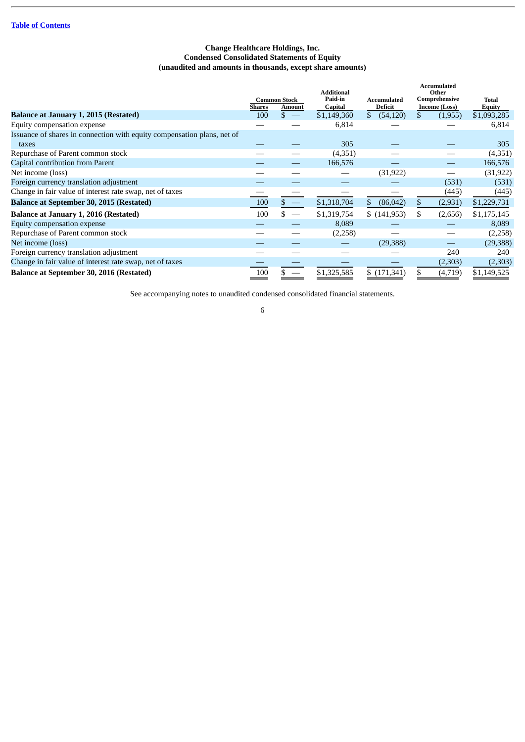# **Change Healthcare Holdings, Inc. Condensed Consolidated Statements of Equity (unaudited and amounts in thousands, except share amounts)**

|                                                                         |               | <b>Common Stock</b> | <b>Additional</b><br>Paid-in | Accumulated                       | Accumulated<br>Other<br>Comprehensive | Total                 |
|-------------------------------------------------------------------------|---------------|---------------------|------------------------------|-----------------------------------|---------------------------------------|-----------------------|
| <b>Balance at January 1, 2015 (Restated)</b>                            | Shares<br>100 | Amount              | Capital<br>\$1,149,360       | <b>Deficit</b><br>\$<br>(54, 120) | Income (Loss)<br>(1,955)              | Equity<br>\$1,093,285 |
| Equity compensation expense                                             |               |                     | 6,814                        |                                   |                                       | 6,814                 |
| Issuance of shares in connection with equity compensation plans, net of |               |                     |                              |                                   |                                       |                       |
| taxes                                                                   |               |                     | 305                          |                                   |                                       | 305                   |
| Repurchase of Parent common stock                                       |               |                     | (4, 351)                     |                                   |                                       | (4, 351)              |
| Capital contribution from Parent                                        |               |                     | 166,576                      |                                   |                                       | 166,576               |
| Net income (loss)                                                       |               |                     |                              | (31, 922)                         |                                       | (31, 922)             |
| Foreign currency translation adjustment                                 |               |                     |                              |                                   | (531)                                 | (531)                 |
| Change in fair value of interest rate swap, net of taxes                |               |                     |                              |                                   | (445)                                 | (445)                 |
| <b>Balance at September 30, 2015 (Restated)</b>                         | 100           |                     | \$1,318,704                  | \$<br>(86, 042)                   | (2, 931)                              | \$1,229,731           |
| <b>Balance at January 1, 2016 (Restated)</b>                            | 100           |                     | \$1,319,754                  | \$(141,953)                       | (2,656)                               | \$1,175,145           |
| Equity compensation expense                                             |               |                     | 8,089                        |                                   |                                       | 8,089                 |
| Repurchase of Parent common stock                                       |               |                     | (2,258)                      |                                   |                                       | (2,258)               |
| Net income (loss)                                                       |               |                     |                              | (29, 388)                         |                                       | (29, 388)             |
| Foreign currency translation adjustment                                 |               |                     |                              |                                   | 240                                   | 240                   |
| Change in fair value of interest rate swap, net of taxes                |               |                     |                              |                                   | (2,303)                               | (2,303)               |
| Balance at September 30, 2016 (Restated)                                | 100           |                     | \$1,325,585                  | \$(171,341)                       | (4,719)                               | \$1,149,525           |

See accompanying notes to unaudited condensed consolidated financial statements.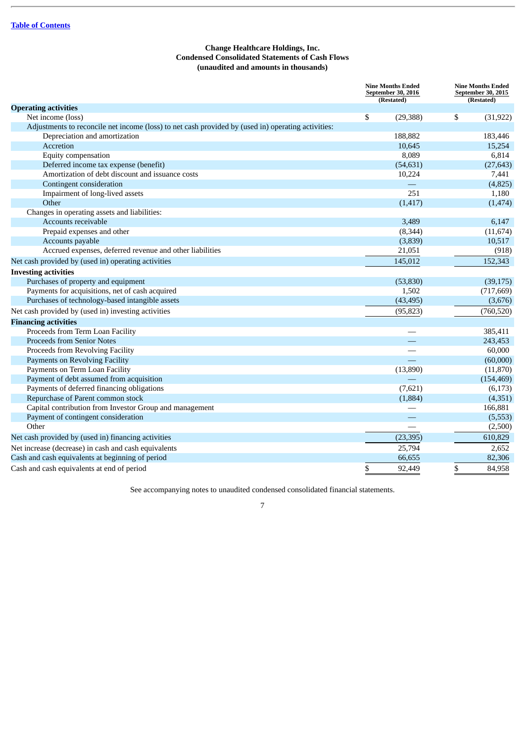# **Change Healthcare Holdings, Inc. Condensed Consolidated Statements of Cash Flows (unaudited and amounts in thousands)**

|                                                                                                    |    | <b>Nine Months Ended</b><br>September 30, 2016<br>(Restated) | <b>Nine Months Ended</b><br>September 30, 2015<br>(Restated) |            |  |
|----------------------------------------------------------------------------------------------------|----|--------------------------------------------------------------|--------------------------------------------------------------|------------|--|
| <b>Operating activities</b>                                                                        |    |                                                              |                                                              |            |  |
| Net income (loss)                                                                                  | \$ | (29, 388)                                                    | \$                                                           | (31, 922)  |  |
| Adjustments to reconcile net income (loss) to net cash provided by (used in) operating activities: |    |                                                              |                                                              |            |  |
| Depreciation and amortization                                                                      |    | 188,882                                                      |                                                              | 183,446    |  |
| Accretion                                                                                          |    | 10,645                                                       |                                                              | 15,254     |  |
| Equity compensation                                                                                |    | 8,089                                                        |                                                              | 6,814      |  |
| Deferred income tax expense (benefit)                                                              |    | (54, 631)                                                    |                                                              | (27, 643)  |  |
| Amortization of debt discount and issuance costs                                                   |    | 10,224                                                       |                                                              | 7,441      |  |
| Contingent consideration                                                                           |    |                                                              |                                                              | (4,825)    |  |
| Impairment of long-lived assets                                                                    |    | 251                                                          |                                                              | 1,180      |  |
| Other                                                                                              |    | (1, 417)                                                     |                                                              | (1, 474)   |  |
| Changes in operating assets and liabilities:                                                       |    |                                                              |                                                              |            |  |
| Accounts receivable                                                                                |    | 3,489                                                        |                                                              | 6,147      |  |
| Prepaid expenses and other                                                                         |    | (8, 344)                                                     |                                                              | (11, 674)  |  |
| Accounts payable                                                                                   |    | (3,839)                                                      |                                                              | 10,517     |  |
| Accrued expenses, deferred revenue and other liabilities                                           |    | 21,051                                                       |                                                              | (918)      |  |
| Net cash provided by (used in) operating activities                                                |    | 145,012                                                      |                                                              | 152,343    |  |
| <b>Investing activities</b>                                                                        |    |                                                              |                                                              |            |  |
| Purchases of property and equipment                                                                |    | (53, 830)                                                    |                                                              | (39, 175)  |  |
| Payments for acquisitions, net of cash acquired                                                    |    | 1,502                                                        |                                                              | (717, 669) |  |
| Purchases of technology-based intangible assets                                                    |    | (43, 495)                                                    |                                                              | (3,676)    |  |
| Net cash provided by (used in) investing activities                                                |    | (95, 823)                                                    |                                                              | (760, 520) |  |
| <b>Financing activities</b>                                                                        |    |                                                              |                                                              |            |  |
| Proceeds from Term Loan Facility                                                                   |    |                                                              |                                                              | 385,411    |  |
| <b>Proceeds from Senior Notes</b>                                                                  |    |                                                              |                                                              | 243,453    |  |
| Proceeds from Revolving Facility                                                                   |    |                                                              |                                                              | 60,000     |  |
| Payments on Revolving Facility                                                                     |    |                                                              |                                                              | (60,000)   |  |
| Payments on Term Loan Facility                                                                     |    | (13,890)                                                     |                                                              | (11, 870)  |  |
| Payment of debt assumed from acquisition                                                           |    |                                                              |                                                              | (154, 469) |  |
| Payments of deferred financing obligations                                                         |    | (7,621)                                                      |                                                              | (6, 173)   |  |
| Repurchase of Parent common stock                                                                  |    | (1,884)                                                      |                                                              | (4, 351)   |  |
| Capital contribution from Investor Group and management                                            |    |                                                              |                                                              | 166,881    |  |
| Payment of contingent consideration                                                                |    |                                                              |                                                              | (5,553)    |  |
| Other                                                                                              |    |                                                              |                                                              | (2,500)    |  |
| Net cash provided by (used in) financing activities                                                |    | (23, 395)                                                    |                                                              | 610,829    |  |
| Net increase (decrease) in cash and cash equivalents                                               |    | 25,794                                                       |                                                              | 2,652      |  |
| Cash and cash equivalents at beginning of period                                                   |    | 66,655                                                       |                                                              | 82,306     |  |
| Cash and cash equivalents at end of period                                                         | \$ | 92,449                                                       | \$                                                           | 84,958     |  |

See accompanying notes to unaudited condensed consolidated financial statements.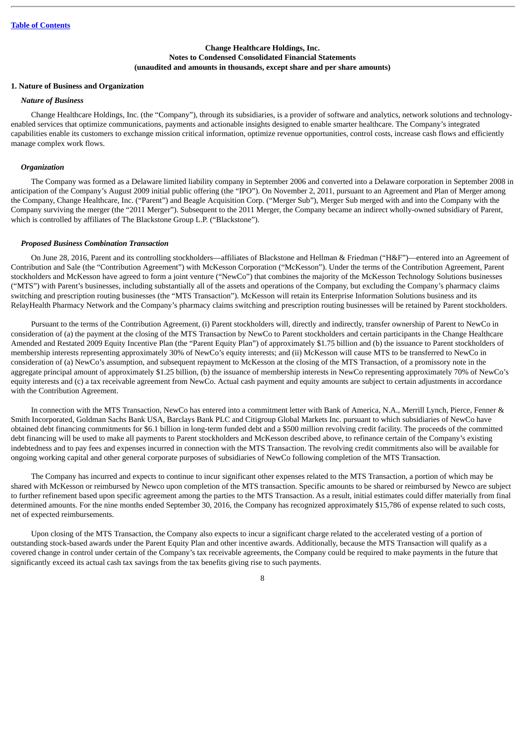### **1. Nature of Business and Organization**

#### *Nature of Business*

Change Healthcare Holdings, Inc. (the "Company"), through its subsidiaries, is a provider of software and analytics, network solutions and technologyenabled services that optimize communications, payments and actionable insights designed to enable smarter healthcare. The Company's integrated capabilities enable its customers to exchange mission critical information, optimize revenue opportunities, control costs, increase cash flows and efficiently manage complex work flows.

### *Organization*

The Company was formed as a Delaware limited liability company in September 2006 and converted into a Delaware corporation in September 2008 in anticipation of the Company's August 2009 initial public offering (the "IPO"). On November 2, 2011, pursuant to an Agreement and Plan of Merger among the Company, Change Healthcare, Inc. ("Parent") and Beagle Acquisition Corp. ("Merger Sub"), Merger Sub merged with and into the Company with the Company surviving the merger (the "2011 Merger"). Subsequent to the 2011 Merger, the Company became an indirect wholly-owned subsidiary of Parent, which is controlled by affiliates of The Blackstone Group L.P. ("Blackstone").

#### *Proposed Business Combination Transaction*

On June 28, 2016, Parent and its controlling stockholders—affiliates of Blackstone and Hellman & Friedman ("H&F")—entered into an Agreement of Contribution and Sale (the "Contribution Agreement") with McKesson Corporation ("McKesson"). Under the terms of the Contribution Agreement, Parent stockholders and McKesson have agreed to form a joint venture ("NewCo") that combines the majority of the McKesson Technology Solutions businesses ("MTS") with Parent's businesses, including substantially all of the assets and operations of the Company, but excluding the Company's pharmacy claims switching and prescription routing businesses (the "MTS Transaction"). McKesson will retain its Enterprise Information Solutions business and its RelayHealth Pharmacy Network and the Company's pharmacy claims switching and prescription routing businesses will be retained by Parent stockholders.

Pursuant to the terms of the Contribution Agreement, (i) Parent stockholders will, directly and indirectly, transfer ownership of Parent to NewCo in consideration of (a) the payment at the closing of the MTS Transaction by NewCo to Parent stockholders and certain participants in the Change Healthcare Amended and Restated 2009 Equity Incentive Plan (the "Parent Equity Plan") of approximately \$1.75 billion and (b) the issuance to Parent stockholders of membership interests representing approximately 30% of NewCo's equity interests; and (ii) McKesson will cause MTS to be transferred to NewCo in consideration of (a) NewCo's assumption, and subsequent repayment to McKesson at the closing of the MTS Transaction, of a promissory note in the aggregate principal amount of approximately \$1.25 billion, (b) the issuance of membership interests in NewCo representing approximately 70% of NewCo's equity interests and (c) a tax receivable agreement from NewCo. Actual cash payment and equity amounts are subject to certain adjustments in accordance with the Contribution Agreement.

In connection with the MTS Transaction, NewCo has entered into a commitment letter with Bank of America, N.A., Merrill Lynch, Pierce, Fenner & Smith Incorporated, Goldman Sachs Bank USA, Barclays Bank PLC and Citigroup Global Markets Inc. pursuant to which subsidiaries of NewCo have obtained debt financing commitments for \$6.1 billion in long-term funded debt and a \$500 million revolving credit facility. The proceeds of the committed debt financing will be used to make all payments to Parent stockholders and McKesson described above, to refinance certain of the Company's existing indebtedness and to pay fees and expenses incurred in connection with the MTS Transaction. The revolving credit commitments also will be available for ongoing working capital and other general corporate purposes of subsidiaries of NewCo following completion of the MTS Transaction.

The Company has incurred and expects to continue to incur significant other expenses related to the MTS Transaction, a portion of which may be shared with McKesson or reimbursed by Newco upon completion of the MTS transaction. Specific amounts to be shared or reimbursed by Newco are subject to further refinement based upon specific agreement among the parties to the MTS Transaction. As a result, initial estimates could differ materially from final determined amounts. For the nine months ended September 30, 2016, the Company has recognized approximately \$15,786 of expense related to such costs, net of expected reimbursements.

Upon closing of the MTS Transaction, the Company also expects to incur a significant charge related to the accelerated vesting of a portion of outstanding stock-based awards under the Parent Equity Plan and other incentive awards. Additionally, because the MTS Transaction will qualify as a covered change in control under certain of the Company's tax receivable agreements, the Company could be required to make payments in the future that significantly exceed its actual cash tax savings from the tax benefits giving rise to such payments.

 $\mathbf{Q}$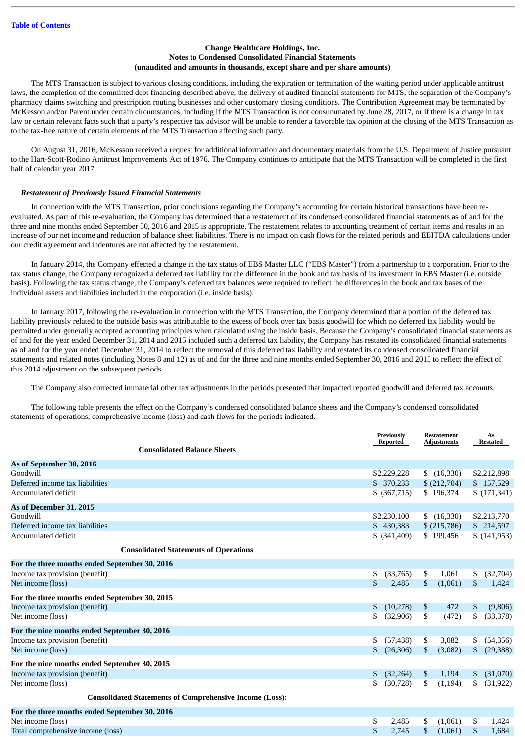The MTS Transaction is subject to various closing conditions, including the expiration or termination of the waiting period under applicable antitrust laws, the completion of the committed debt financing described above, the delivery of audited financial statements for MTS, the separation of the Company's pharmacy claims switching and prescription routing businesses and other customary closing conditions. The Contribution Agreement may be terminated by McKesson and/or Parent under certain circumstances, including if the MTS Transaction is not consummated by June 28, 2017, or if there is a change in tax law or certain relevant facts such that a party's respective tax advisor will be unable to render a favorable tax opinion at the closing of the MTS Transaction as to the tax-free nature of certain elements of the MTS Transaction affecting such party.

On August 31, 2016, McKesson received a request for additional information and documentary materials from the U.S. Department of Justice pursuant to the Hart-Scott-Rodino Antitrust Improvements Act of 1976. The Company continues to anticipate that the MTS Transaction will be completed in the first half of calendar year 2017.

### *Restatement of Previously Issued Financial Statements*

In connection with the MTS Transaction, prior conclusions regarding the Company's accounting for certain historical transactions have been reevaluated. As part of this re-evaluation, the Company has determined that a restatement of its condensed consolidated financial statements as of and for the three and nine months ended September 30, 2016 and 2015 is appropriate. The restatement relates to accounting treatment of certain items and results in an increase of our net income and reduction of balance sheet liabilities. There is no impact on cash flows for the related periods and EBITDA calculations under our credit agreement and indentures are not affected by the restatement.

In January 2014, the Company effected a change in the tax status of EBS Master LLC ("EBS Master") from a partnership to a corporation. Prior to the tax status change, the Company recognized a deferred tax liability for the difference in the book and tax basis of its investment in EBS Master (i.e. outside basis). Following the tax status change, the Company's deferred tax balances were required to reflect the differences in the book and tax bases of the individual assets and liabilities included in the corporation (i.e. inside basis).

In January 2017, following the re-evaluation in connection with the MTS Transaction, the Company determined that a portion of the deferred tax liability previously related to the outside basis was attributable to the excess of book over tax basis goodwill for which no deferred tax liability would be permitted under generally accepted accounting principles when calculated using the inside basis. Because the Company's consolidated financial statements as of and for the year ended December 31, 2014 and 2015 included such a deferred tax liability, the Company has restated its consolidated financial statements as of and for the year ended December 31, 2014 to reflect the removal of this deferred tax liability and restated its condensed consolidated financial statements and related notes (including Notes 8 and 12) as of and for the three and nine months ended September 30, 2016 and 2015 to reflect the effect of this 2014 adjustment on the subsequent periods

The Company also corrected immaterial other tax adjustments in the periods presented that impacted reported goodwill and deferred tax accounts.

The following table presents the effect on the Company's condensed consolidated balance sheets and the Company's condensed consolidated statements of operations, comprehensive income (loss) and cash flows for the periods indicated.

|                                                                | Previously<br>Reported | <b>Restatement</b><br>Adjustments | As<br>Restated        |
|----------------------------------------------------------------|------------------------|-----------------------------------|-----------------------|
| <b>Consolidated Balance Sheets</b>                             |                        |                                   |                       |
| As of September 30, 2016                                       |                        |                                   |                       |
| Goodwill                                                       | \$2,229,228            | (16,330)<br>\$                    | \$2,212,898           |
| Deferred income tax liabilities                                | \$ 370,233             | \$(212,704)                       | \$157,529             |
| Accumulated deficit                                            | $$$ (367,715)          | \$196,374                         | \$(171,341)           |
| As of December 31, 2015                                        |                        |                                   |                       |
| Goodwill                                                       | \$2,230,100            | (16, 330)<br>\$                   | \$2,213,770           |
| Deferred income tax liabilities                                | \$430,383              | \$(215,786)                       | \$ 214,597            |
| Accumulated deficit                                            | $$$ (341,409)          | \$199,456                         | \$(141,953)           |
| <b>Consolidated Statements of Operations</b>                   |                        |                                   |                       |
| For the three months ended September 30, 2016                  |                        |                                   |                       |
| Income tax provision (benefit)                                 | (33,765)<br>\$         | \$<br>1,061                       | (32,704)<br>\$        |
| Net income (loss)                                              | \$<br>2,485            | \$<br>(1,061)                     | $\mathbb{S}$<br>1,424 |
| For the three months ended September 30, 2015                  |                        |                                   |                       |
| Income tax provision (benefit)                                 | \$<br>(10, 278)        | $\mathfrak{F}$<br>472             | (9,806)<br>\$         |
| Net income (loss)                                              | (32,906)               | \$<br>(472)                       | \$<br>(33, 378)       |
| For the nine months ended September 30, 2016                   |                        |                                   |                       |
| Income tax provision (benefit)                                 | (57, 438)<br>\$        | 3.082<br>\$                       | (54,356)<br>\$        |
| Net income (loss)                                              | \$<br>(26, 306)        | \$<br>(3,082)                     | \$<br>(29, 388)       |
| For the nine months ended September 30, 2015                   |                        |                                   |                       |
| Income tax provision (benefit)                                 | \$<br>(32, 264)        | \$<br>1,194                       | \$<br>(31,070)        |
| Net income (loss)                                              | \$<br>(30, 728)        | \$<br>(1, 194)                    | (31, 922)<br>\$       |
| <b>Consolidated Statements of Comprehensive Income (Loss):</b> |                        |                                   |                       |
| For the three months ended September 30, 2016                  |                        |                                   |                       |
| Net income (loss)                                              | \$<br>2,485            | \$<br>(1,061)                     | 1,424<br>S.           |
| Total comprehensive income (loss)                              | \$<br>2,745            | \$<br>(1,061)                     | $\mathbb{S}$<br>1,684 |
|                                                                |                        |                                   |                       |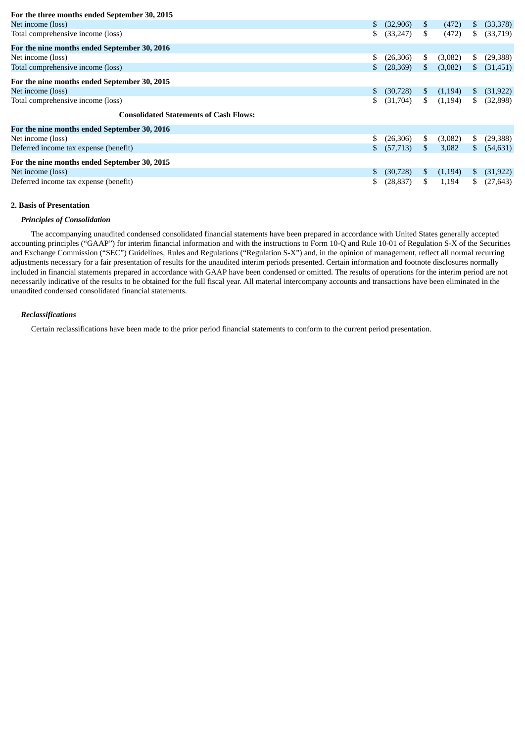| For the three months ended September 30, 2015 |    |           |    |          |              |           |
|-----------------------------------------------|----|-----------|----|----------|--------------|-----------|
| Net income (loss)                             | S. | (32,906)  | S. | (472)    | S.           | (33,378)  |
| Total comprehensive income (loss)             | \$ | (33, 247) | \$ | (472)    | \$           | (33,719)  |
| For the nine months ended September 30, 2016  |    |           |    |          |              |           |
| Net income (loss)                             | \$ | (26, 306) | \$ | (3,082)  | SS.          | (29, 388) |
| Total comprehensive income (loss)             |    | (28, 369) | \$ | (3,082)  | $\mathbb{S}$ | (31, 451) |
| For the nine months ended September 30, 2015  |    |           |    |          |              |           |
| Net income (loss)                             |    | (30,728)  | S. | (1,194)  | \$.          | (31, 922) |
| Total comprehensive income (loss)             | \$ | (31,704)  | \$ | (1, 194) | S.           | (32,898)  |
| <b>Consolidated Statements of Cash Flows:</b> |    |           |    |          |              |           |
| For the nine months ended September 30, 2016  |    |           |    |          |              |           |
| Net income (loss)                             |    | (26, 306) | \$ | (3,082)  | S.           | (29, 388) |
| Deferred income tax expense (benefit)         |    | (57,713)  | S. | 3,082    | S.           | (54, 631) |
| For the nine months ended September 30, 2015  |    |           |    |          |              |           |
| Net income (loss)                             |    | (30, 728) | S. | (1, 194) | SS.          | (31, 922) |
| Deferred income tax expense (benefit)         |    | (28,837)  | S  | 1,194    | S.           | (27, 643) |

# **2. Basis of Presentation**

### *Principles of Consolidation*

The accompanying unaudited condensed consolidated financial statements have been prepared in accordance with United States generally accepted accounting principles ("GAAP") for interim financial information and with the instructions to Form 10-Q and Rule 10-01 of Regulation S-X of the Securities and Exchange Commission ("SEC") Guidelines, Rules and Regulations ("Regulation S-X") and, in the opinion of management, reflect all normal recurring adjustments necessary for a fair presentation of results for the unaudited interim periods presented. Certain information and footnote disclosures normally included in financial statements prepared in accordance with GAAP have been condensed or omitted. The results of operations for the interim period are not necessarily indicative of the results to be obtained for the full fiscal year. All material intercompany accounts and transactions have been eliminated in the unaudited condensed consolidated financial statements.

# *Reclassifications*

Certain reclassifications have been made to the prior period financial statements to conform to the current period presentation.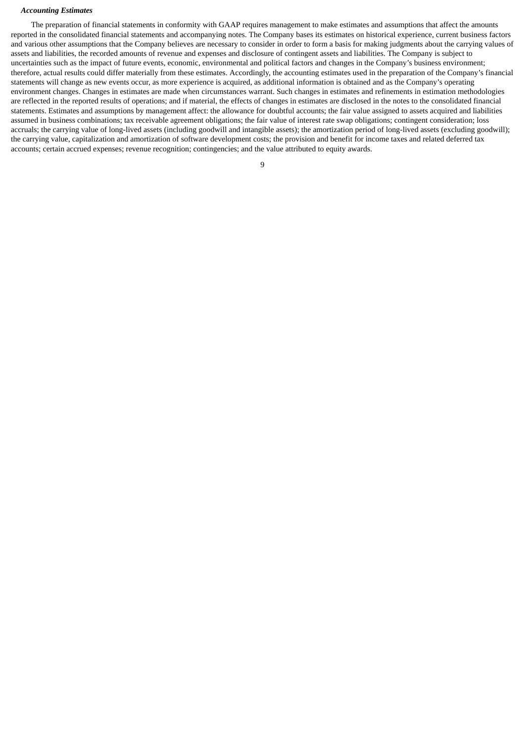#### *Accounting Estimates*

The preparation of financial statements in conformity with GAAP requires management to make estimates and assumptions that affect the amounts reported in the consolidated financial statements and accompanying notes. The Company bases its estimates on historical experience, current business factors and various other assumptions that the Company believes are necessary to consider in order to form a basis for making judgments about the carrying values of assets and liabilities, the recorded amounts of revenue and expenses and disclosure of contingent assets and liabilities. The Company is subject to uncertainties such as the impact of future events, economic, environmental and political factors and changes in the Company's business environment; therefore, actual results could differ materially from these estimates. Accordingly, the accounting estimates used in the preparation of the Company's financial statements will change as new events occur, as more experience is acquired, as additional information is obtained and as the Company's operating environment changes. Changes in estimates are made when circumstances warrant. Such changes in estimates and refinements in estimation methodologies are reflected in the reported results of operations; and if material, the effects of changes in estimates are disclosed in the notes to the consolidated financial statements. Estimates and assumptions by management affect: the allowance for doubtful accounts; the fair value assigned to assets acquired and liabilities assumed in business combinations; tax receivable agreement obligations; the fair value of interest rate swap obligations; contingent consideration; loss accruals; the carrying value of long-lived assets (including goodwill and intangible assets); the amortization period of long-lived assets (excluding goodwill); the carrying value, capitalization and amortization of software development costs; the provision and benefit for income taxes and related deferred tax accounts; certain accrued expenses; revenue recognition; contingencies; and the value attributed to equity awards.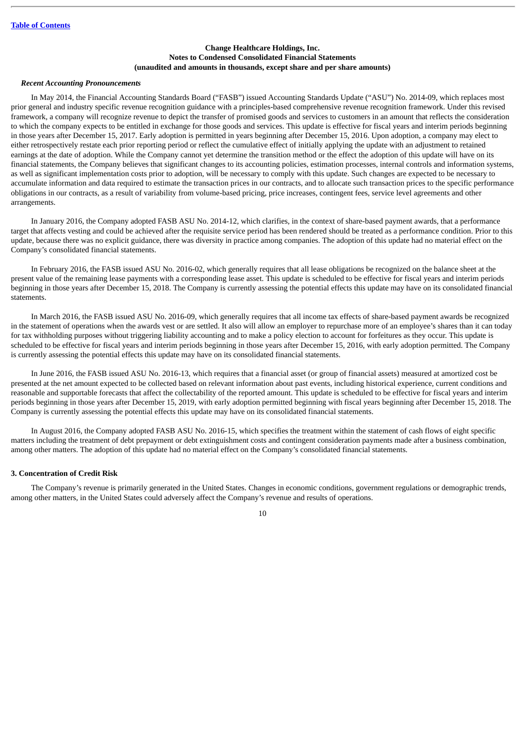#### *Recent Accounting Pronouncements*

In May 2014, the Financial Accounting Standards Board ("FASB") issued Accounting Standards Update ("ASU") No. 2014-09, which replaces most prior general and industry specific revenue recognition guidance with a principles-based comprehensive revenue recognition framework. Under this revised framework, a company will recognize revenue to depict the transfer of promised goods and services to customers in an amount that reflects the consideration to which the company expects to be entitled in exchange for those goods and services. This update is effective for fiscal years and interim periods beginning in those years after December 15, 2017. Early adoption is permitted in years beginning after December 15, 2016. Upon adoption, a company may elect to either retrospectively restate each prior reporting period or reflect the cumulative effect of initially applying the update with an adjustment to retained earnings at the date of adoption. While the Company cannot yet determine the transition method or the effect the adoption of this update will have on its financial statements, the Company believes that significant changes to its accounting policies, estimation processes, internal controls and information systems, as well as significant implementation costs prior to adoption, will be necessary to comply with this update. Such changes are expected to be necessary to accumulate information and data required to estimate the transaction prices in our contracts, and to allocate such transaction prices to the specific performance obligations in our contracts, as a result of variability from volume-based pricing, price increases, contingent fees, service level agreements and other arrangements.

In January 2016, the Company adopted FASB ASU No. 2014-12, which clarifies, in the context of share-based payment awards, that a performance target that affects vesting and could be achieved after the requisite service period has been rendered should be treated as a performance condition. Prior to this update, because there was no explicit guidance, there was diversity in practice among companies. The adoption of this update had no material effect on the Company's consolidated financial statements.

In February 2016, the FASB issued ASU No. 2016-02, which generally requires that all lease obligations be recognized on the balance sheet at the present value of the remaining lease payments with a corresponding lease asset. This update is scheduled to be effective for fiscal years and interim periods beginning in those years after December 15, 2018. The Company is currently assessing the potential effects this update may have on its consolidated financial statements.

In March 2016, the FASB issued ASU No. 2016-09, which generally requires that all income tax effects of share-based payment awards be recognized in the statement of operations when the awards vest or are settled. It also will allow an employer to repurchase more of an employee's shares than it can today for tax withholding purposes without triggering liability accounting and to make a policy election to account for forfeitures as they occur. This update is scheduled to be effective for fiscal years and interim periods beginning in those years after December 15, 2016, with early adoption permitted. The Company is currently assessing the potential effects this update may have on its consolidated financial statements.

In June 2016, the FASB issued ASU No. 2016-13, which requires that a financial asset (or group of financial assets) measured at amortized cost be presented at the net amount expected to be collected based on relevant information about past events, including historical experience, current conditions and reasonable and supportable forecasts that affect the collectability of the reported amount. This update is scheduled to be effective for fiscal years and interim periods beginning in those years after December 15, 2019, with early adoption permitted beginning with fiscal years beginning after December 15, 2018. The Company is currently assessing the potential effects this update may have on its consolidated financial statements.

In August 2016, the Company adopted FASB ASU No. 2016-15, which specifies the treatment within the statement of cash flows of eight specific matters including the treatment of debt prepayment or debt extinguishment costs and contingent consideration payments made after a business combination, among other matters. The adoption of this update had no material effect on the Company's consolidated financial statements.

#### **3. Concentration of Credit Risk**

The Company's revenue is primarily generated in the United States. Changes in economic conditions, government regulations or demographic trends, among other matters, in the United States could adversely affect the Company's revenue and results of operations.

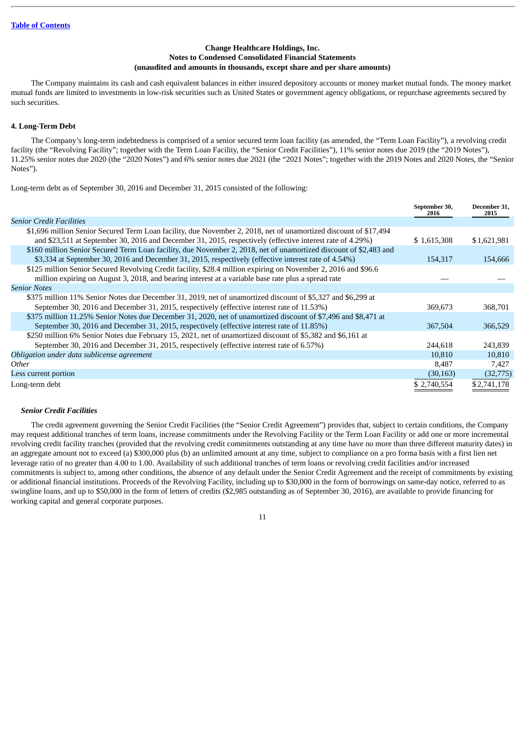The Company maintains its cash and cash equivalent balances in either insured depository accounts or money market mutual funds. The money market mutual funds are limited to investments in low-risk securities such as United States or government agency obligations, or repurchase agreements secured by such securities.

### **4. Long-Term Debt**

The Company's long-term indebtedness is comprised of a senior secured term loan facility (as amended, the "Term Loan Facility"), a revolving credit facility (the "Revolving Facility"; together with the Term Loan Facility, the "Senior Credit Facilities"), 11% senior notes due 2019 (the "2019 Notes"), 11.25% senior notes due 2020 (the "2020 Notes") and 6% senior notes due 2021 (the "2021 Notes"; together with the 2019 Notes and 2020 Notes, the "Senior Notes").

Long-term debt as of September 30, 2016 and December 31, 2015 consisted of the following:

|                                                                                                                                                                                                                               | September 30,<br>2016 | December 31,<br>2015 |
|-------------------------------------------------------------------------------------------------------------------------------------------------------------------------------------------------------------------------------|-----------------------|----------------------|
| <b>Senior Credit Facilities</b>                                                                                                                                                                                               |                       |                      |
| \$1,696 million Senior Secured Term Loan facility, due November 2, 2018, net of unamortized discount of \$17,494<br>and \$23,511 at September 30, 2016 and December 31, 2015, respectively (effective interest rate of 4.29%) | \$1,615,308           | \$1,621,981          |
| \$160 million Senior Secured Term Loan facility, due November 2, 2018, net of unamortized discount of \$2,483 and<br>\$3,334 at September 30, 2016 and December 31, 2015, respectively (effective interest rate of 4.54%)     | 154,317               | 154,666              |
| \$125 million Senior Secured Revolving Credit facility, \$28.4 million expiring on November 2, 2016 and \$96.6<br>million expiring on August 3, 2018, and bearing interest at a variable base rate plus a spread rate         |                       |                      |
| <b>Senior Notes</b>                                                                                                                                                                                                           |                       |                      |
| \$375 million 11% Senior Notes due December 31, 2019, net of unamortized discount of \$5,327 and \$6,299 at<br>September 30, 2016 and December 31, 2015, respectively (effective interest rate of 11.53%)                     | 369,673               | 368,701              |
| \$375 million 11.25% Senior Notes due December 31, 2020, net of unamortized discount of \$7,496 and \$8,471 at<br>September 30, 2016 and December 31, 2015, respectively (effective interest rate of 11.85%)                  | 367,504               | 366,529              |
| \$250 million 6% Senior Notes due February 15, 2021, net of unamortized discount of \$5,382 and \$6,161 at<br>September 30, 2016 and December 31, 2015, respectively (effective interest rate of 6.57%)                       | 244,618               | 243,839              |
| Obligation under data sublicense agreement                                                                                                                                                                                    | 10,810                | 10,810               |
| Other                                                                                                                                                                                                                         | 8,487                 | 7,427                |
| Less current portion                                                                                                                                                                                                          | (30, 163)             | (32, 775)            |
| Long-term debt                                                                                                                                                                                                                | \$2,740,554           | \$2,741,178          |

#### *Senior Credit Facilities*

The credit agreement governing the Senior Credit Facilities (the "Senior Credit Agreement") provides that, subject to certain conditions, the Company may request additional tranches of term loans, increase commitments under the Revolving Facility or the Term Loan Facility or add one or more incremental revolving credit facility tranches (provided that the revolving credit commitments outstanding at any time have no more than three different maturity dates) in an aggregate amount not to exceed (a) \$300,000 plus (b) an unlimited amount at any time, subject to compliance on a pro forma basis with a first lien net leverage ratio of no greater than 4.00 to 1.00. Availability of such additional tranches of term loans or revolving credit facilities and/or increased commitments is subject to, among other conditions, the absence of any default under the Senior Credit Agreement and the receipt of commitments by existing or additional financial institutions. Proceeds of the Revolving Facility, including up to \$30,000 in the form of borrowings on same-day notice, referred to as swingline loans, and up to \$50,000 in the form of letters of credits (\$2,985 outstanding as of September 30, 2016), are available to provide financing for working capital and general corporate purposes.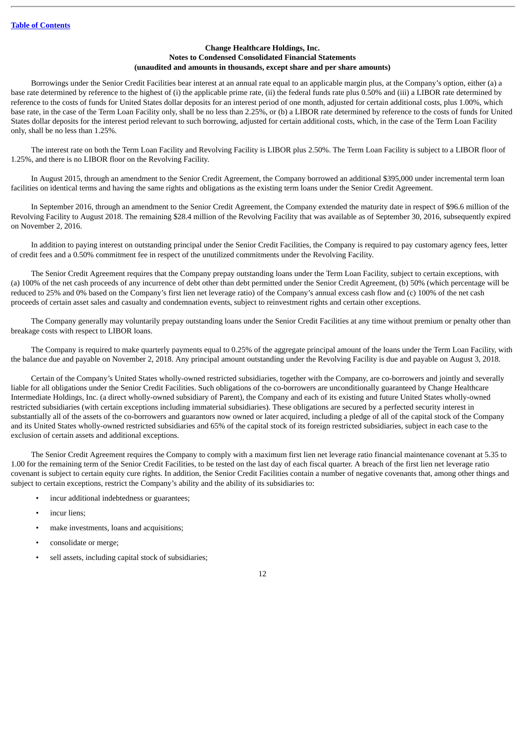Borrowings under the Senior Credit Facilities bear interest at an annual rate equal to an applicable margin plus, at the Company's option, either (a) a base rate determined by reference to the highest of (i) the applicable prime rate, (ii) the federal funds rate plus 0.50% and (iii) a LIBOR rate determined by reference to the costs of funds for United States dollar deposits for an interest period of one month, adjusted for certain additional costs, plus 1.00%, which base rate, in the case of the Term Loan Facility only, shall be no less than 2.25%, or (b) a LIBOR rate determined by reference to the costs of funds for United States dollar deposits for the interest period relevant to such borrowing, adjusted for certain additional costs, which, in the case of the Term Loan Facility only, shall be no less than 1.25%.

The interest rate on both the Term Loan Facility and Revolving Facility is LIBOR plus 2.50%. The Term Loan Facility is subject to a LIBOR floor of 1.25%, and there is no LIBOR floor on the Revolving Facility.

In August 2015, through an amendment to the Senior Credit Agreement, the Company borrowed an additional \$395,000 under incremental term loan facilities on identical terms and having the same rights and obligations as the existing term loans under the Senior Credit Agreement.

In September 2016, through an amendment to the Senior Credit Agreement, the Company extended the maturity date in respect of \$96.6 million of the Revolving Facility to August 2018. The remaining \$28.4 million of the Revolving Facility that was available as of September 30, 2016, subsequently expired on November 2, 2016.

In addition to paying interest on outstanding principal under the Senior Credit Facilities, the Company is required to pay customary agency fees, letter of credit fees and a 0.50% commitment fee in respect of the unutilized commitments under the Revolving Facility.

The Senior Credit Agreement requires that the Company prepay outstanding loans under the Term Loan Facility, subject to certain exceptions, with (a) 100% of the net cash proceeds of any incurrence of debt other than debt permitted under the Senior Credit Agreement, (b) 50% (which percentage will be reduced to 25% and 0% based on the Company's first lien net leverage ratio) of the Company's annual excess cash flow and (c) 100% of the net cash proceeds of certain asset sales and casualty and condemnation events, subject to reinvestment rights and certain other exceptions.

The Company generally may voluntarily prepay outstanding loans under the Senior Credit Facilities at any time without premium or penalty other than breakage costs with respect to LIBOR loans.

The Company is required to make quarterly payments equal to 0.25% of the aggregate principal amount of the loans under the Term Loan Facility, with the balance due and payable on November 2, 2018. Any principal amount outstanding under the Revolving Facility is due and payable on August 3, 2018.

Certain of the Company's United States wholly-owned restricted subsidiaries, together with the Company, are co-borrowers and jointly and severally liable for all obligations under the Senior Credit Facilities. Such obligations of the co-borrowers are unconditionally guaranteed by Change Healthcare Intermediate Holdings, Inc. (a direct wholly-owned subsidiary of Parent), the Company and each of its existing and future United States wholly-owned restricted subsidiaries (with certain exceptions including immaterial subsidiaries). These obligations are secured by a perfected security interest in substantially all of the assets of the co-borrowers and guarantors now owned or later acquired, including a pledge of all of the capital stock of the Company and its United States wholly-owned restricted subsidiaries and 65% of the capital stock of its foreign restricted subsidiaries, subject in each case to the exclusion of certain assets and additional exceptions.

The Senior Credit Agreement requires the Company to comply with a maximum first lien net leverage ratio financial maintenance covenant at 5.35 to 1.00 for the remaining term of the Senior Credit Facilities, to be tested on the last day of each fiscal quarter. A breach of the first lien net leverage ratio covenant is subject to certain equity cure rights. In addition, the Senior Credit Facilities contain a number of negative covenants that, among other things and subject to certain exceptions, restrict the Company's ability and the ability of its subsidiaries to:

- incur additional indebtedness or guarantees;
- incur liens;
- make investments, loans and acquisitions;
- consolidate or merge;
- sell assets, including capital stock of subsidiaries;

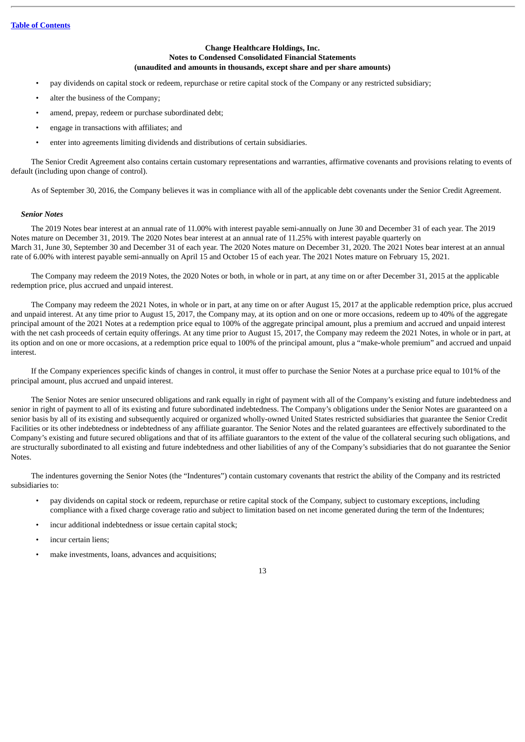- pay dividends on capital stock or redeem, repurchase or retire capital stock of the Company or any restricted subsidiary;
- alter the business of the Company;
- amend, prepay, redeem or purchase subordinated debt;
- engage in transactions with affiliates; and
- enter into agreements limiting dividends and distributions of certain subsidiaries.

The Senior Credit Agreement also contains certain customary representations and warranties, affirmative covenants and provisions relating to events of default (including upon change of control).

As of September 30, 2016, the Company believes it was in compliance with all of the applicable debt covenants under the Senior Credit Agreement.

#### *Senior Notes*

The 2019 Notes bear interest at an annual rate of 11.00% with interest payable semi-annually on June 30 and December 31 of each year. The 2019 Notes mature on December 31, 2019. The 2020 Notes bear interest at an annual rate of 11.25% with interest payable quarterly on March 31, June 30, September 30 and December 31 of each year. The 2020 Notes mature on December 31, 2020. The 2021 Notes bear interest at an annual rate of 6.00% with interest payable semi-annually on April 15 and October 15 of each year. The 2021 Notes mature on February 15, 2021.

The Company may redeem the 2019 Notes, the 2020 Notes or both, in whole or in part, at any time on or after December 31, 2015 at the applicable redemption price, plus accrued and unpaid interest.

The Company may redeem the 2021 Notes, in whole or in part, at any time on or after August 15, 2017 at the applicable redemption price, plus accrued and unpaid interest. At any time prior to August 15, 2017, the Company may, at its option and on one or more occasions, redeem up to 40% of the aggregate principal amount of the 2021 Notes at a redemption price equal to 100% of the aggregate principal amount, plus a premium and accrued and unpaid interest with the net cash proceeds of certain equity offerings. At any time prior to August 15, 2017, the Company may redeem the 2021 Notes, in whole or in part, at its option and on one or more occasions, at a redemption price equal to 100% of the principal amount, plus a "make-whole premium" and accrued and unpaid interest.

If the Company experiences specific kinds of changes in control, it must offer to purchase the Senior Notes at a purchase price equal to 101% of the principal amount, plus accrued and unpaid interest.

The Senior Notes are senior unsecured obligations and rank equally in right of payment with all of the Company's existing and future indebtedness and senior in right of payment to all of its existing and future subordinated indebtedness. The Company's obligations under the Senior Notes are guaranteed on a senior basis by all of its existing and subsequently acquired or organized wholly-owned United States restricted subsidiaries that guarantee the Senior Credit Facilities or its other indebtedness or indebtedness of any affiliate guarantor. The Senior Notes and the related guarantees are effectively subordinated to the Company's existing and future secured obligations and that of its affiliate guarantors to the extent of the value of the collateral securing such obligations, and are structurally subordinated to all existing and future indebtedness and other liabilities of any of the Company's subsidiaries that do not guarantee the Senior Notes.

The indentures governing the Senior Notes (the "Indentures") contain customary covenants that restrict the ability of the Company and its restricted subsidiaries to:

- pay dividends on capital stock or redeem, repurchase or retire capital stock of the Company, subject to customary exceptions, including compliance with a fixed charge coverage ratio and subject to limitation based on net income generated during the term of the Indentures;
- incur additional indebtedness or issue certain capital stock;
- incur certain liens;
- make investments, loans, advances and acquisitions;

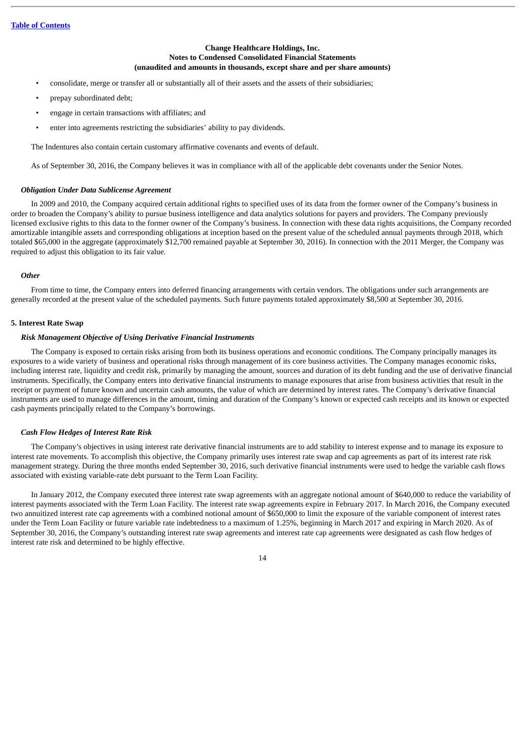- consolidate, merge or transfer all or substantially all of their assets and the assets of their subsidiaries;
- prepay subordinated debt;
- engage in certain transactions with affiliates; and
- enter into agreements restricting the subsidiaries' ability to pay dividends.

The Indentures also contain certain customary affirmative covenants and events of default.

As of September 30, 2016, the Company believes it was in compliance with all of the applicable debt covenants under the Senior Notes.

#### *Obligation Under Data Sublicense Agreement*

In 2009 and 2010, the Company acquired certain additional rights to specified uses of its data from the former owner of the Company's business in order to broaden the Company's ability to pursue business intelligence and data analytics solutions for payers and providers. The Company previously licensed exclusive rights to this data to the former owner of the Company's business. In connection with these data rights acquisitions, the Company recorded amortizable intangible assets and corresponding obligations at inception based on the present value of the scheduled annual payments through 2018, which totaled \$65,000 in the aggregate (approximately \$12,700 remained payable at September 30, 2016). In connection with the 2011 Merger, the Company was required to adjust this obligation to its fair value.

#### *Other*

From time to time, the Company enters into deferred financing arrangements with certain vendors. The obligations under such arrangements are generally recorded at the present value of the scheduled payments. Such future payments totaled approximately \$8,500 at September 30, 2016.

#### **5. Interest Rate Swap**

#### *Risk Management Objective of Using Derivative Financial Instruments*

The Company is exposed to certain risks arising from both its business operations and economic conditions. The Company principally manages its exposures to a wide variety of business and operational risks through management of its core business activities. The Company manages economic risks, including interest rate, liquidity and credit risk, primarily by managing the amount, sources and duration of its debt funding and the use of derivative financial instruments. Specifically, the Company enters into derivative financial instruments to manage exposures that arise from business activities that result in the receipt or payment of future known and uncertain cash amounts, the value of which are determined by interest rates. The Company's derivative financial instruments are used to manage differences in the amount, timing and duration of the Company's known or expected cash receipts and its known or expected cash payments principally related to the Company's borrowings.

#### *Cash Flow Hedges of Interest Rate Risk*

The Company's objectives in using interest rate derivative financial instruments are to add stability to interest expense and to manage its exposure to interest rate movements. To accomplish this objective, the Company primarily uses interest rate swap and cap agreements as part of its interest rate risk management strategy. During the three months ended September 30, 2016, such derivative financial instruments were used to hedge the variable cash flows associated with existing variable-rate debt pursuant to the Term Loan Facility.

In January 2012, the Company executed three interest rate swap agreements with an aggregate notional amount of \$640,000 to reduce the variability of interest payments associated with the Term Loan Facility. The interest rate swap agreements expire in February 2017. In March 2016, the Company executed two annuitized interest rate cap agreements with a combined notional amount of \$650,000 to limit the exposure of the variable component of interest rates under the Term Loan Facility or future variable rate indebtedness to a maximum of 1.25%, beginning in March 2017 and expiring in March 2020. As of September 30, 2016, the Company's outstanding interest rate swap agreements and interest rate cap agreements were designated as cash flow hedges of interest rate risk and determined to be highly effective.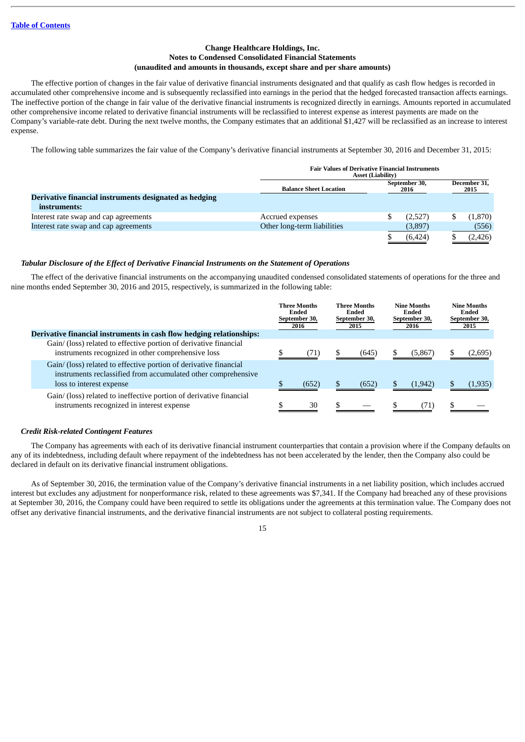The effective portion of changes in the fair value of derivative financial instruments designated and that qualify as cash flow hedges is recorded in accumulated other comprehensive income and is subsequently reclassified into earnings in the period that the hedged forecasted transaction affects earnings. The ineffective portion of the change in fair value of the derivative financial instruments is recognized directly in earnings. Amounts reported in accumulated other comprehensive income related to derivative financial instruments will be reclassified to interest expense as interest payments are made on the Company's variable-rate debt. During the next twelve months, the Company estimates that an additional \$1,427 will be reclassified as an increase to interest expense.

The following table summarizes the fair value of the Company's derivative financial instruments at September 30, 2016 and December 31, 2015:

|                                                        |                               | <b>Fair Values of Derivative Financial Instruments</b><br><b>Asset (Liability)</b> |         |  |                      |  |  |  |  |  |
|--------------------------------------------------------|-------------------------------|------------------------------------------------------------------------------------|---------|--|----------------------|--|--|--|--|--|
|                                                        | <b>Balance Sheet Location</b> | September 30,<br>2016                                                              |         |  | December 31,<br>2015 |  |  |  |  |  |
| Derivative financial instruments designated as hedging |                               |                                                                                    |         |  |                      |  |  |  |  |  |
| instruments:                                           |                               |                                                                                    |         |  |                      |  |  |  |  |  |
| Interest rate swap and cap agreements                  | Accrued expenses              |                                                                                    | (2,527) |  | (1,870)              |  |  |  |  |  |
| Interest rate swap and cap agreements                  | Other long-term liabilities   |                                                                                    | (3,897) |  | (556)                |  |  |  |  |  |
|                                                        |                               |                                                                                    | (6,424) |  | (2, 426)             |  |  |  |  |  |

#### *Tabular Disclosure of the Effect of Derivative Financial Instruments on the Statement of Operations*

The effect of the derivative financial instruments on the accompanying unaudited condensed consolidated statements of operations for the three and nine months ended September 30, 2016 and 2015, respectively, is summarized in the following table:

| Derivative financial instruments in cash flow hedging relationships:                                                                                           | <b>Three Months</b><br>Ended<br>September 30,<br>2016 | <b>Three Months</b><br>Ended<br>September 30,<br>2015 | <b>Nine Months</b><br>Ended<br>September 30,<br>2016 | <b>Nine Months</b><br>Ended<br>September 30,<br>2015 |
|----------------------------------------------------------------------------------------------------------------------------------------------------------------|-------------------------------------------------------|-------------------------------------------------------|------------------------------------------------------|------------------------------------------------------|
| Gain/ (loss) related to effective portion of derivative financial<br>instruments recognized in other comprehensive loss                                        | (71)                                                  | (645)                                                 | (5,867)                                              | (2,695)                                              |
| Gain/ (loss) related to effective portion of derivative financial<br>instruments reclassified from accumulated other comprehensive<br>loss to interest expense | (652)                                                 | (652)                                                 | (1,942)                                              | (1, 935)                                             |
| Gain/ (loss) related to ineffective portion of derivative financial<br>instruments recognized in interest expense                                              | 30                                                    |                                                       | (71)                                                 |                                                      |

#### *Credit Risk-related Contingent Features*

The Company has agreements with each of its derivative financial instrument counterparties that contain a provision where if the Company defaults on any of its indebtedness, including default where repayment of the indebtedness has not been accelerated by the lender, then the Company also could be declared in default on its derivative financial instrument obligations.

As of September 30, 2016, the termination value of the Company's derivative financial instruments in a net liability position, which includes accrued interest but excludes any adjustment for nonperformance risk, related to these agreements was \$7,341. If the Company had breached any of these provisions at September 30, 2016, the Company could have been required to settle its obligations under the agreements at this termination value. The Company does not offset any derivative financial instruments, and the derivative financial instruments are not subject to collateral posting requirements.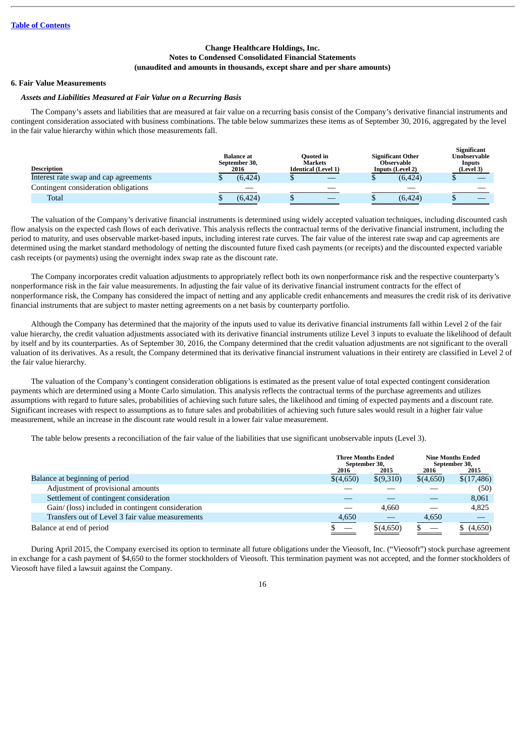#### **6. Fair Value Measurements**

#### *Assets and Liabilities Measured at Fair Value on a Recurring Basis*

The Company's assets and liabilities that are measured at fair value on a recurring basis consist of the Company's derivative financial instruments and contingent consideration associated with business combinations. The table below summarizes these items as of September 30, 2016, aggregated by the level in the fair value hierarchy within which those measurements fall.

| <b>Description</b>                    | <b>Balance</b> at<br>September 30,<br>2016 | <b>Ouoted</b> in<br>Markets<br><b>Identical (Level 1)</b> | <b>Significant Other</b><br><b>Observable</b><br><b>Inputs (Level 2)</b> | Significant<br>Unobservable<br>Inputs<br>(Level 3) |
|---------------------------------------|--------------------------------------------|-----------------------------------------------------------|--------------------------------------------------------------------------|----------------------------------------------------|
| Interest rate swap and cap agreements | (6, 424)                                   |                                                           | (6, 424)                                                                 |                                                    |
| Contingent consideration obligations  |                                            | __                                                        |                                                                          |                                                    |
| <b>Total</b>                          | (6, 424)                                   |                                                           | (6, 424)                                                                 |                                                    |

The valuation of the Company's derivative financial instruments is determined using widely accepted valuation techniques, including discounted cash flow analysis on the expected cash flows of each derivative. This analysis reflects the contractual terms of the derivative financial instrument, including the period to maturity, and uses observable market-based inputs, including interest rate curves. The fair value of the interest rate swap and cap agreements are determined using the market standard methodology of netting the discounted future fixed cash payments (or receipts) and the discounted expected variable cash receipts (or payments) using the overnight index swap rate as the discount rate.

The Company incorporates credit valuation adjustments to appropriately reflect both its own nonperformance risk and the respective counterparty's nonperformance risk in the fair value measurements. In adjusting the fair value of its derivative financial instrument contracts for the effect of nonperformance risk, the Company has considered the impact of netting and any applicable credit enhancements and measures the credit risk of its derivative financial instruments that are subject to master netting agreements on a net basis by counterparty portfolio.

Although the Company has determined that the majority of the inputs used to value its derivative financial instruments fall within Level 2 of the fair value hierarchy, the credit valuation adjustments associated with its derivative financial instruments utilize Level 3 inputs to evaluate the likelihood of default by itself and by its counterparties. As of September 30, 2016, the Company determined that the credit valuation adjustments are not significant to the overall valuation of its derivatives. As a result, the Company determined that its derivative financial instrument valuations in their entirety are classified in Level 2 of the fair value hierarchy.

The valuation of the Company's contingent consideration obligations is estimated as the present value of total expected contingent consideration payments which are determined using a Monte Carlo simulation. This analysis reflects the contractual terms of the purchase agreements and utilizes assumptions with regard to future sales, probabilities of achieving such future sales, the likelihood and timing of expected payments and a discount rate. Significant increases with respect to assumptions as to future sales and probabilities of achieving such future sales would result in a higher fair value measurement, while an increase in the discount rate would result in a lower fair value measurement.

The table below presents a reconciliation of the fair value of the liabilities that use significant unobservable inputs (Level 3).

|                                                   | <b>Three Months Ended</b><br>September 30, |           | <b>Nine Months Ended</b><br>September 30, |            |
|---------------------------------------------------|--------------------------------------------|-----------|-------------------------------------------|------------|
|                                                   | 2016                                       | 2015      | 2016                                      | 2015       |
| Balance at beginning of period                    | \$(4,650)                                  | \$(9,310) | \$(4,650)                                 | \$(17,486) |
| Adjustment of provisional amounts                 |                                            |           |                                           | (50)       |
| Settlement of contingent consideration            |                                            |           |                                           | 8,061      |
| Gain/ (loss) included in contingent consideration |                                            | 4.660     |                                           | 4.825      |
| Transfers out of Level 3 fair value measurements  | 4,650                                      |           | 4,650                                     |            |
| Balance at end of period                          |                                            | \$(4,650) |                                           | (4,650)    |

During April 2015, the Company exercised its option to terminate all future obligations under the Vieosoft, Inc. ("Vieosoft") stock purchase agreement in exchange for a cash payment of \$4,650 to the former stockholders of Vieosoft. This termination payment was not accepted, and the former stockholders of Vieosoft have filed a lawsuit against the Company.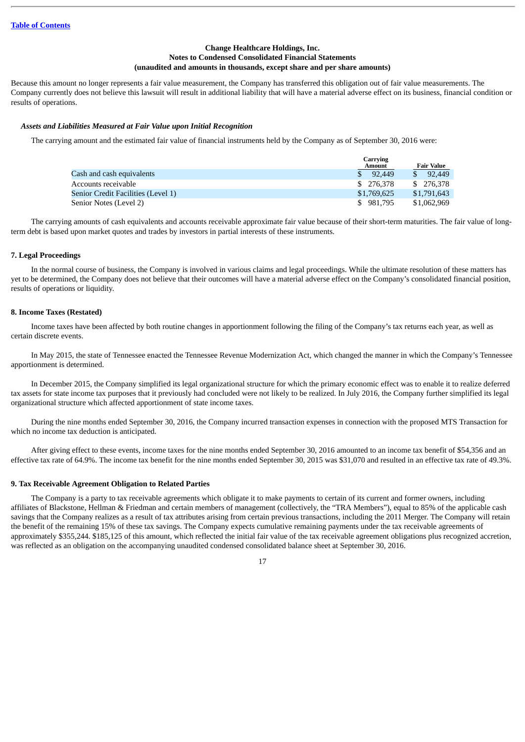Because this amount no longer represents a fair value measurement, the Company has transferred this obligation out of fair value measurements. The Company currently does not believe this lawsuit will result in additional liability that will have a material adverse effect on its business, financial condition or results of operations.

#### *Assets and Liabilities Measured at Fair Value upon Initial Recognition*

The carrying amount and the estimated fair value of financial instruments held by the Company as of September 30, 2016 were:

|                                    | Carrying       |                   |
|------------------------------------|----------------|-------------------|
|                                    | Amount         | <b>Fair Value</b> |
| Cash and cash equivalents          | 92,449<br>\$.  | 92,449            |
| Accounts receivable                | \$276,378      | \$276.378         |
| Senior Credit Facilities (Level 1) | \$1,769,625    | \$1,791,643       |
| Senior Notes (Level 2)             | 981.795<br>\$. | \$1,062,969       |

The carrying amounts of cash equivalents and accounts receivable approximate fair value because of their short-term maturities. The fair value of longterm debt is based upon market quotes and trades by investors in partial interests of these instruments.

### **7. Legal Proceedings**

In the normal course of business, the Company is involved in various claims and legal proceedings. While the ultimate resolution of these matters has yet to be determined, the Company does not believe that their outcomes will have a material adverse effect on the Company's consolidated financial position, results of operations or liquidity.

### **8. Income Taxes (Restated)**

Income taxes have been affected by both routine changes in apportionment following the filing of the Company's tax returns each year, as well as certain discrete events.

In May 2015, the state of Tennessee enacted the Tennessee Revenue Modernization Act, which changed the manner in which the Company's Tennessee apportionment is determined.

In December 2015, the Company simplified its legal organizational structure for which the primary economic effect was to enable it to realize deferred tax assets for state income tax purposes that it previously had concluded were not likely to be realized. In July 2016, the Company further simplified its legal organizational structure which affected apportionment of state income taxes.

During the nine months ended September 30, 2016, the Company incurred transaction expenses in connection with the proposed MTS Transaction for which no income tax deduction is anticipated.

After giving effect to these events, income taxes for the nine months ended September 30, 2016 amounted to an income tax benefit of \$54,356 and an effective tax rate of 64.9%. The income tax benefit for the nine months ended September 30, 2015 was \$31,070 and resulted in an effective tax rate of 49.3%.

#### **9. Tax Receivable Agreement Obligation to Related Parties**

The Company is a party to tax receivable agreements which obligate it to make payments to certain of its current and former owners, including affiliates of Blackstone, Hellman & Friedman and certain members of management (collectively, the "TRA Members"), equal to 85% of the applicable cash savings that the Company realizes as a result of tax attributes arising from certain previous transactions, including the 2011 Merger. The Company will retain the benefit of the remaining 15% of these tax savings. The Company expects cumulative remaining payments under the tax receivable agreements of approximately \$355,244. \$185,125 of this amount, which reflected the initial fair value of the tax receivable agreement obligations plus recognized accretion, was reflected as an obligation on the accompanying unaudited condensed consolidated balance sheet at September 30, 2016.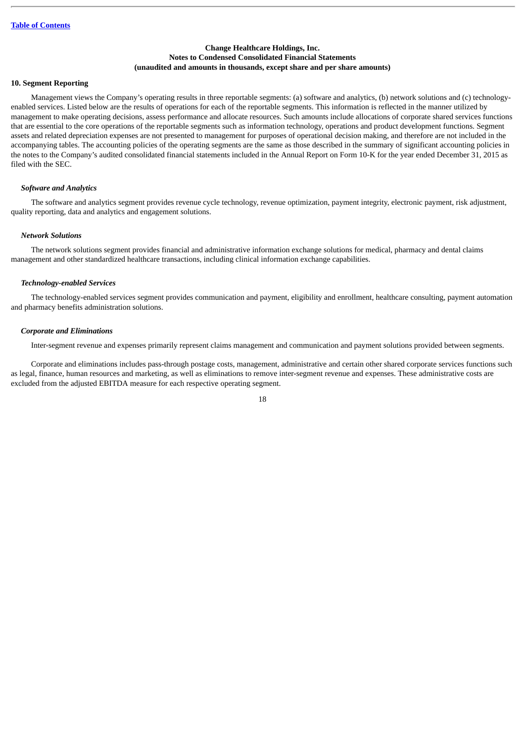### **10. Segment Reporting**

Management views the Company's operating results in three reportable segments: (a) software and analytics, (b) network solutions and (c) technologyenabled services. Listed below are the results of operations for each of the reportable segments. This information is reflected in the manner utilized by management to make operating decisions, assess performance and allocate resources. Such amounts include allocations of corporate shared services functions that are essential to the core operations of the reportable segments such as information technology, operations and product development functions. Segment assets and related depreciation expenses are not presented to management for purposes of operational decision making, and therefore are not included in the accompanying tables. The accounting policies of the operating segments are the same as those described in the summary of significant accounting policies in the notes to the Company's audited consolidated financial statements included in the Annual Report on Form 10-K for the year ended December 31, 2015 as filed with the SEC.

### *Software and Analytics*

The software and analytics segment provides revenue cycle technology, revenue optimization, payment integrity, electronic payment, risk adjustment, quality reporting, data and analytics and engagement solutions.

#### *Network Solutions*

The network solutions segment provides financial and administrative information exchange solutions for medical, pharmacy and dental claims management and other standardized healthcare transactions, including clinical information exchange capabilities.

#### *Technology-enabled Services*

The technology-enabled services segment provides communication and payment, eligibility and enrollment, healthcare consulting, payment automation and pharmacy benefits administration solutions.

### *Corporate and Eliminations*

Inter-segment revenue and expenses primarily represent claims management and communication and payment solutions provided between segments.

Corporate and eliminations includes pass-through postage costs, management, administrative and certain other shared corporate services functions such as legal, finance, human resources and marketing, as well as eliminations to remove inter-segment revenue and expenses. These administrative costs are excluded from the adjusted EBITDA measure for each respective operating segment.

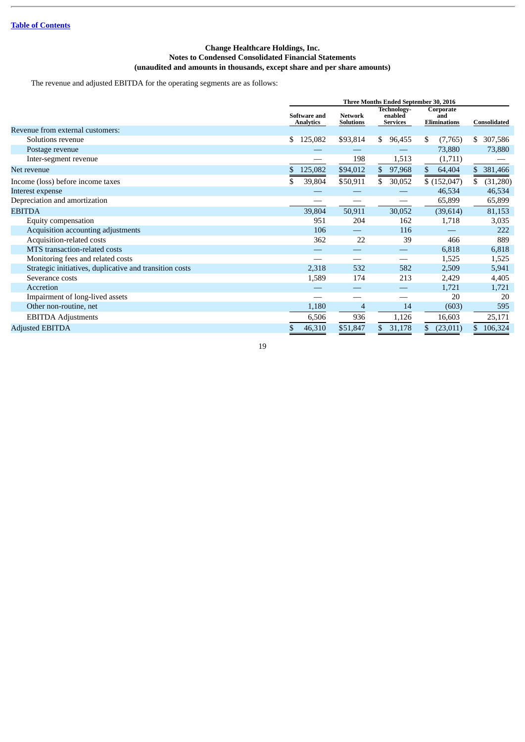The revenue and adjusted EBITDA for the operating segments are as follows:

|                                                         | Three Months Ended September 30, 2016 |                                    |                                                  |                                         |                 |
|---------------------------------------------------------|---------------------------------------|------------------------------------|--------------------------------------------------|-----------------------------------------|-----------------|
|                                                         | Software and<br><b>Analytics</b>      | <b>Network</b><br><b>Solutions</b> | <b>Technology-</b><br>enabled<br><b>Services</b> | Corporate<br>and<br><b>Eliminations</b> | Consolidated    |
| Revenue from external customers:                        |                                       |                                    |                                                  |                                         |                 |
| Solutions revenue                                       | 125,082                               | \$93,814                           | 96,455<br>\$                                     | \$<br>(7,765)                           | 307,586<br>S    |
| Postage revenue                                         |                                       |                                    |                                                  | 73,880                                  | 73,880          |
| Inter-segment revenue                                   |                                       | 198                                | 1,513                                            | (1,711)                                 |                 |
| Net revenue                                             | 125,082                               | \$94,012                           | \$<br>97,968                                     | \$<br>64,404                            | 381,466<br>\$   |
| Income (loss) before income taxes                       | 39,804                                | \$50,911                           | 30,052<br>\$                                     | \$(152,047)                             | \$<br>(31, 280) |
| Interest expense                                        |                                       |                                    |                                                  | 46,534                                  | 46,534          |
| Depreciation and amortization                           |                                       |                                    |                                                  | 65,899                                  | 65,899          |
| <b>EBITDA</b>                                           | 39,804                                | 50,911                             | 30,052                                           | (39,614)                                | 81,153          |
| Equity compensation                                     | 951                                   | 204                                | 162                                              | 1,718                                   | 3,035           |
| Acquisition accounting adjustments                      | 106                                   |                                    | 116                                              |                                         | 222             |
| Acquisition-related costs                               | 362                                   | 22                                 | 39                                               | 466                                     | 889             |
| MTS transaction-related costs                           |                                       |                                    |                                                  | 6,818                                   | 6,818           |
| Monitoring fees and related costs                       |                                       |                                    |                                                  | 1,525                                   | 1,525           |
| Strategic initiatives, duplicative and transition costs | 2,318                                 | 532                                | 582                                              | 2,509                                   | 5,941           |
| Severance costs                                         | 1,589                                 | 174                                | 213                                              | 2,429                                   | 4,405           |
| Accretion                                               |                                       |                                    |                                                  | 1,721                                   | 1,721           |
| Impairment of long-lived assets                         |                                       |                                    |                                                  | 20                                      | 20              |
| Other non-routine, net                                  | 1,180                                 | 4                                  | 14                                               | (603)                                   | 595             |
| <b>EBITDA Adjustments</b>                               | 6,506                                 | 936                                | 1,126                                            | 16,603                                  | 25,171          |
| <b>Adjusted EBITDA</b>                                  | 46,310                                | \$51,847                           | 31,178<br>\$                                     | (23,011)                                | 106,324         |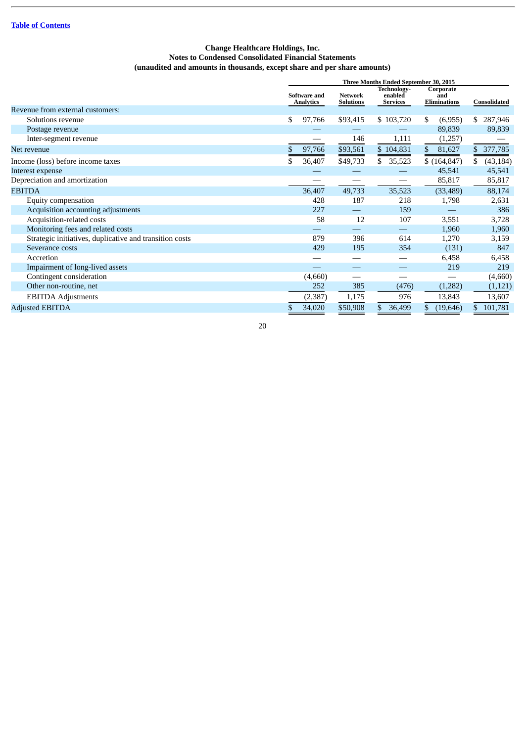|                                                         | Three Months Ended September 30, 2015 |                                         |                                    |                                                  |                                         |                          |
|---------------------------------------------------------|---------------------------------------|-----------------------------------------|------------------------------------|--------------------------------------------------|-----------------------------------------|--------------------------|
|                                                         |                                       | <b>Software and</b><br><b>Analytics</b> | <b>Network</b><br><b>Solutions</b> | <b>Technology-</b><br>enabled<br><b>Services</b> | Corporate<br>and<br><b>Eliminations</b> | Consolidated             |
| Revenue from external customers:                        |                                       |                                         |                                    |                                                  |                                         |                          |
| Solutions revenue                                       | \$.                                   | 97,766                                  | \$93,415                           | \$103,720                                        | (6,955)<br>\$                           | 287,946<br>\$            |
| Postage revenue                                         |                                       |                                         |                                    |                                                  | 89,839                                  | 89,839                   |
| Inter-segment revenue                                   |                                       |                                         | 146                                | 1,111                                            | (1,257)                                 |                          |
| Net revenue                                             |                                       | 97,766                                  | \$93,561                           | \$104,831                                        | $\mathbb{S}$<br>81,627                  | 377,785<br><sup>\$</sup> |
| Income (loss) before income taxes                       |                                       | 36,407                                  | \$49,733                           | 35,523<br>\$                                     | \$(164, 847)                            | (43, 184)<br>\$.         |
| Interest expense                                        |                                       |                                         |                                    |                                                  | 45,541                                  | 45,541                   |
| Depreciation and amortization                           |                                       |                                         |                                    |                                                  | 85,817                                  | 85,817                   |
| <b>EBITDA</b>                                           |                                       | 36,407                                  | 49,733                             | 35,523                                           | (33, 489)                               | 88,174                   |
| Equity compensation                                     |                                       | 428                                     | 187                                | 218                                              | 1,798                                   | 2,631                    |
| Acquisition accounting adjustments                      |                                       | 227                                     |                                    | 159                                              |                                         | 386                      |
| Acquisition-related costs                               |                                       | 58                                      | 12                                 | 107                                              | 3,551                                   | 3,728                    |
| Monitoring fees and related costs                       |                                       |                                         |                                    |                                                  | 1,960                                   | 1,960                    |
| Strategic initiatives, duplicative and transition costs |                                       | 879                                     | 396                                | 614                                              | 1,270                                   | 3,159                    |
| Severance costs                                         |                                       | 429                                     | 195                                | 354                                              | (131)                                   | 847                      |
| Accretion                                               |                                       |                                         |                                    |                                                  | 6,458                                   | 6,458                    |
| Impairment of long-lived assets                         |                                       |                                         |                                    |                                                  | 219                                     | 219                      |
| Contingent consideration                                |                                       | (4,660)                                 |                                    |                                                  |                                         | (4,660)                  |
| Other non-routine, net                                  |                                       | 252                                     | 385                                | (476)                                            | (1,282)                                 | (1, 121)                 |
| <b>EBITDA Adjustments</b>                               |                                       | (2,387)                                 | 1,175                              | 976                                              | 13,843                                  | 13,607                   |
| <b>Adjusted EBITDA</b>                                  |                                       | 34,020                                  | \$50,908                           | 36,499<br>S.                                     | (19, 646)<br>S.                         | 101,781<br>S.            |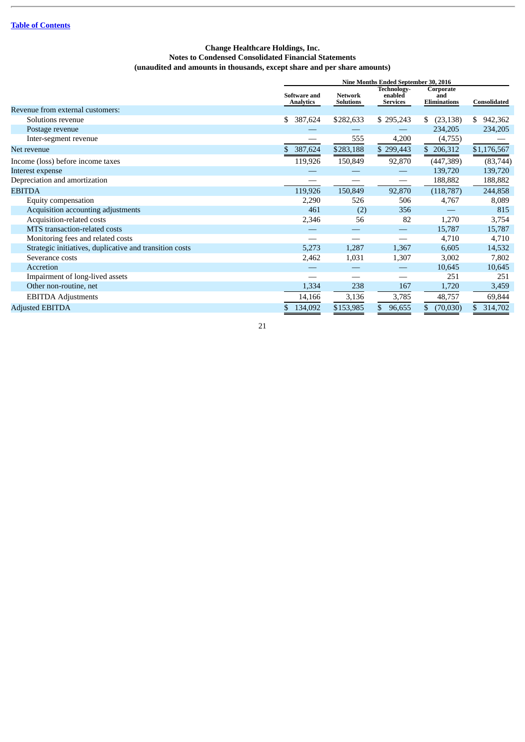|                                                         | Nine Months Ended September 30, 2016 |                                    |                                                  |                                         |               |  |
|---------------------------------------------------------|--------------------------------------|------------------------------------|--------------------------------------------------|-----------------------------------------|---------------|--|
|                                                         | Software and<br><b>Analytics</b>     | <b>Network</b><br><b>Solutions</b> | <b>Technology-</b><br>enabled<br><b>Services</b> | Corporate<br>and<br><b>Eliminations</b> | Consolidated  |  |
| Revenue from external customers:                        |                                      |                                    |                                                  |                                         |               |  |
| Solutions revenue                                       | 387,624<br>\$                        | \$282,633                          | \$295,243                                        | (23, 138)<br>S.                         | 942,362<br>\$ |  |
| Postage revenue                                         |                                      |                                    |                                                  | 234,205                                 | 234,205       |  |
| Inter-segment revenue                                   |                                      | 555                                | 4,200                                            | (4,755)                                 |               |  |
| Net revenue                                             | 387,624                              | \$283,188                          | \$299,443                                        | 206,312                                 | \$1,176,567   |  |
| Income (loss) before income taxes                       | 119,926                              | 150,849                            | 92,870                                           | (447, 389)                              | (83, 744)     |  |
| Interest expense                                        |                                      |                                    |                                                  | 139,720                                 | 139,720       |  |
| Depreciation and amortization                           |                                      |                                    |                                                  | 188,882                                 | 188,882       |  |
| <b>EBITDA</b>                                           | 119,926                              | 150,849                            | 92,870                                           | (118,787)                               | 244,858       |  |
| Equity compensation                                     | 2,290                                | 526                                | 506                                              | 4,767                                   | 8,089         |  |
| Acquisition accounting adjustments                      | 461                                  | (2)                                | 356                                              |                                         | 815           |  |
| Acquisition-related costs                               | 2,346                                | 56                                 | 82                                               | 1,270                                   | 3,754         |  |
| MTS transaction-related costs                           |                                      |                                    |                                                  | 15,787                                  | 15,787        |  |
| Monitoring fees and related costs                       |                                      |                                    |                                                  | 4,710                                   | 4,710         |  |
| Strategic initiatives, duplicative and transition costs | 5,273                                | 1,287                              | 1,367                                            | 6,605                                   | 14,532        |  |
| Severance costs                                         | 2,462                                | 1,031                              | 1,307                                            | 3,002                                   | 7,802         |  |
| Accretion                                               |                                      |                                    |                                                  | 10,645                                  | 10,645        |  |
| Impairment of long-lived assets                         |                                      |                                    |                                                  | 251                                     | 251           |  |
| Other non-routine, net                                  | 1,334                                | 238                                | 167                                              | 1,720                                   | 3,459         |  |
| <b>EBITDA Adjustments</b>                               | 14,166                               | 3,136                              | 3,785                                            | 48,757                                  | 69,844        |  |
| <b>Adjusted EBITDA</b>                                  | 134,092                              | \$153,985                          | 96,655<br>\$                                     | (70,030)                                | 314,702       |  |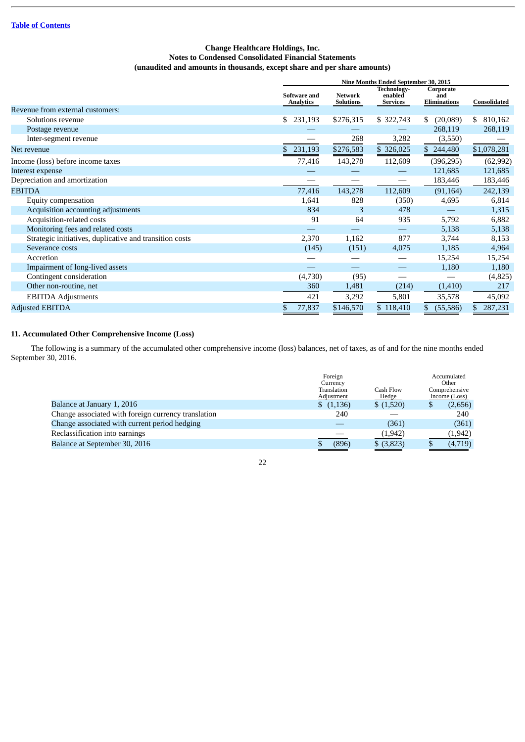|                                                         | Nine Months Ended September 30, 2015 |                                    |                                           |                                         |               |  |
|---------------------------------------------------------|--------------------------------------|------------------------------------|-------------------------------------------|-----------------------------------------|---------------|--|
|                                                         | Software and<br><b>Analytics</b>     | <b>Network</b><br><b>Solutions</b> | Technology-<br>enabled<br><b>Services</b> | Corporate<br>and<br><b>Eliminations</b> | Consolidated  |  |
| Revenue from external customers:                        |                                      |                                    |                                           |                                         |               |  |
| Solutions revenue                                       | S.<br>231,193                        | \$276,315                          | \$ 322,743                                | (20,089)<br>\$                          | 810,162<br>\$ |  |
| Postage revenue                                         |                                      |                                    |                                           | 268,119                                 | 268,119       |  |
| Inter-segment revenue                                   |                                      | 268                                | 3,282                                     | (3,550)                                 |               |  |
| Net revenue                                             | \$231,193                            | \$276,583                          | \$326,025                                 | 244,480                                 | \$1,078,281   |  |
| Income (loss) before income taxes                       | 77,416                               | 143,278                            | 112,609                                   | (396, 295)                              | (62, 992)     |  |
| Interest expense                                        |                                      |                                    |                                           | 121,685                                 | 121,685       |  |
| Depreciation and amortization                           |                                      |                                    |                                           | 183,446                                 | 183,446       |  |
| <b>EBITDA</b>                                           | 77,416                               | 143,278                            | 112,609                                   | (91, 164)                               | 242,139       |  |
| Equity compensation                                     | 1,641                                | 828                                | (350)                                     | 4,695                                   | 6,814         |  |
| Acquisition accounting adjustments                      | 834                                  | 3                                  | 478                                       |                                         | 1,315         |  |
| Acquisition-related costs                               | 91                                   | 64                                 | 935                                       | 5,792                                   | 6,882         |  |
| Monitoring fees and related costs                       |                                      |                                    |                                           | 5,138                                   | 5,138         |  |
| Strategic initiatives, duplicative and transition costs | 2,370                                | 1,162                              | 877                                       | 3,744                                   | 8,153         |  |
| Severance costs                                         | (145)                                | (151)                              | 4,075                                     | 1,185                                   | 4,964         |  |
| Accretion                                               |                                      |                                    |                                           | 15,254                                  | 15,254        |  |
| Impairment of long-lived assets                         |                                      |                                    |                                           | 1,180                                   | 1,180         |  |
| Contingent consideration                                | (4,730)                              | (95)                               |                                           |                                         | (4,825)       |  |
| Other non-routine, net                                  | 360                                  | 1,481                              | (214)                                     | (1, 410)                                | 217           |  |
| <b>EBITDA Adjustments</b>                               | 421                                  | 3,292                              | 5,801                                     | 35,578                                  | 45,092        |  |
| <b>Adjusted EBITDA</b>                                  | \$<br>77,837                         | \$146,570                          | \$118,410                                 | (55, 586)                               | 287,231       |  |
|                                                         |                                      |                                    |                                           |                                         |               |  |

# **11. Accumulated Other Comprehensive Income (Loss)**

The following is a summary of the accumulated other comprehensive income (loss) balances, net of taxes, as of and for the nine months ended September 30, 2016.

|                                                     | Foreign     |             | Accumulated   |
|-----------------------------------------------------|-------------|-------------|---------------|
|                                                     | Currency    |             | Other         |
|                                                     | Translation | Cash Flow   | Comprehensive |
|                                                     | Adjustment  | Hedge       | Income (Loss) |
| Balance at January 1, 2016                          | (1,136)     | (1,520)     | (2,656)       |
| Change associated with foreign currency translation | 240         |             | 240           |
| Change associated with current period hedging       |             | (361)       | (361)         |
| Reclassification into earnings                      |             | (1, 942)    | (1,942)       |
| Balance at September 30, 2016                       | (896)       | $$$ (3,823) | (4,719)       |
|                                                     |             |             |               |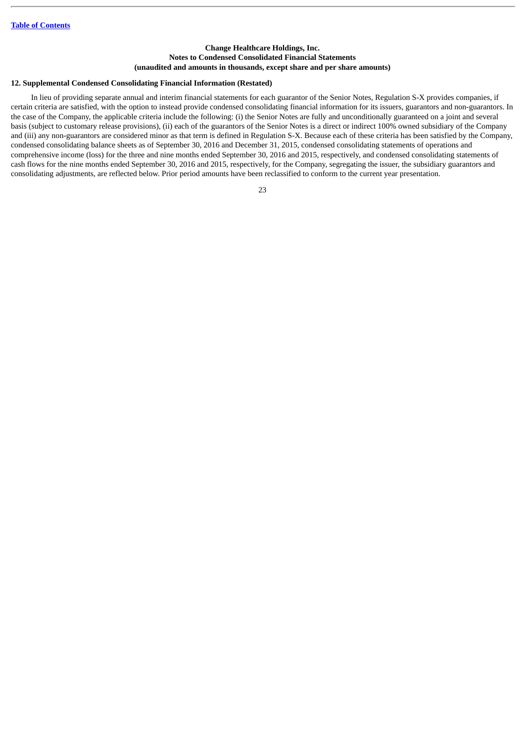### **12. Supplemental Condensed Consolidating Financial Information (Restated)**

In lieu of providing separate annual and interim financial statements for each guarantor of the Senior Notes, Regulation S-X provides companies, if certain criteria are satisfied, with the option to instead provide condensed consolidating financial information for its issuers, guarantors and non-guarantors. In the case of the Company, the applicable criteria include the following: (i) the Senior Notes are fully and unconditionally guaranteed on a joint and several basis (subject to customary release provisions), (ii) each of the guarantors of the Senior Notes is a direct or indirect 100% owned subsidiary of the Company and (iii) any non-guarantors are considered minor as that term is defined in Regulation S-X. Because each of these criteria has been satisfied by the Company, condensed consolidating balance sheets as of September 30, 2016 and December 31, 2015, condensed consolidating statements of operations and comprehensive income (loss) for the three and nine months ended September 30, 2016 and 2015, respectively, and condensed consolidating statements of cash flows for the nine months ended September 30, 2016 and 2015, respectively, for the Company, segregating the issuer, the subsidiary guarantors and consolidating adjustments, are reflected below. Prior period amounts have been reclassified to conform to the current year presentation.

|   | I  |
|---|----|
| × | ۰, |
|   |    |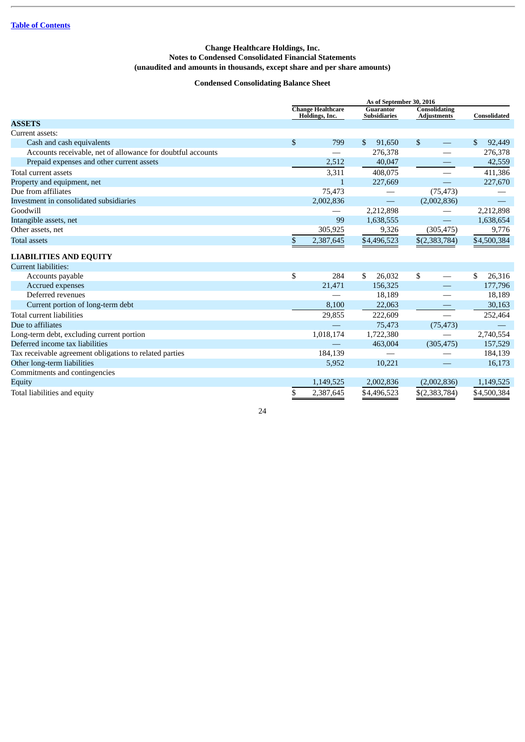# **Condensed Consolidating Balance Sheet**

|                                                             | As of September 30, 2016 |                                            |                                         |                                          |              |
|-------------------------------------------------------------|--------------------------|--------------------------------------------|-----------------------------------------|------------------------------------------|--------------|
|                                                             |                          | <b>Change Healthcare</b><br>Holdings, Inc. | <b>Guarantor</b><br><b>Subsidiaries</b> | Consolidating<br><b>Adjustments</b>      | Consolidated |
| <b>ASSETS</b>                                               |                          |                                            |                                         |                                          |              |
| Current assets:                                             |                          |                                            |                                         |                                          |              |
| Cash and cash equivalents                                   | \$                       | 799                                        | $\mathbb{S}$<br>91,650                  | $\mathbb{S}$<br>$\overline{\phantom{0}}$ | \$<br>92,449 |
| Accounts receivable, net of allowance for doubtful accounts |                          |                                            | 276,378                                 |                                          | 276,378      |
| Prepaid expenses and other current assets                   |                          | 2,512                                      | 40,047                                  |                                          | 42,559       |
| Total current assets                                        |                          | 3,311                                      | 408,075                                 |                                          | 411,386      |
| Property and equipment, net                                 |                          | $\mathbf{1}$                               | 227,669                                 |                                          | 227,670      |
| Due from affiliates                                         |                          | 75,473                                     |                                         | (75, 473)                                |              |
| Investment in consolidated subsidiaries                     |                          | 2,002,836                                  | $\overline{\phantom{m}}$                | (2,002,836)                              |              |
| Goodwill                                                    |                          |                                            | 2,212,898                               |                                          | 2,212,898    |
| Intangible assets, net                                      |                          | 99                                         | 1,638,555                               |                                          | 1,638,654    |
| Other assets, net                                           |                          | 305,925                                    | 9,326                                   | (305, 475)                               | 9,776        |
| <b>Total assets</b>                                         | \$                       | 2,387,645                                  | \$4,496,523                             | \$(2,383,784)                            | \$4,500,384  |
| <b>LIABILITIES AND EQUITY</b>                               |                          |                                            |                                         |                                          |              |
| <b>Current liabilities:</b>                                 |                          |                                            |                                         |                                          |              |
| Accounts payable                                            | \$                       | 284                                        | \$<br>26,032                            | \$                                       | 26,316<br>\$ |
| <b>Accrued</b> expenses                                     |                          | 21,471                                     | 156,325                                 |                                          | 177,796      |
| Deferred revenues                                           |                          |                                            | 18,189                                  |                                          | 18,189       |
| Current portion of long-term debt                           |                          | 8.100                                      | 22,063                                  |                                          | 30,163       |
| Total current liabilities                                   |                          | 29,855                                     | 222,609                                 | $\overline{\phantom{0}}$                 | 252,464      |
| Due to affiliates                                           |                          |                                            | 75,473                                  | (75, 473)                                |              |
| Long-term debt, excluding current portion                   |                          | 1,018,174                                  | 1,722,380                               |                                          | 2,740,554    |
| Deferred income tax liabilities                             |                          |                                            | 463,004                                 | (305, 475)                               | 157,529      |
| Tax receivable agreement obligations to related parties     |                          | 184,139                                    |                                         |                                          | 184,139      |
| Other long-term liabilities                                 |                          | 5,952                                      | 10,221                                  |                                          | 16,173       |
| Commitments and contingencies                               |                          |                                            |                                         |                                          |              |
| Equity                                                      |                          | 1,149,525                                  | 2,002,836                               | (2,002,836)                              | 1,149,525    |
| Total liabilities and equity                                | \$                       | 2,387,645                                  | \$4,496,523                             | \$(2,383,784)                            | \$4,500,384  |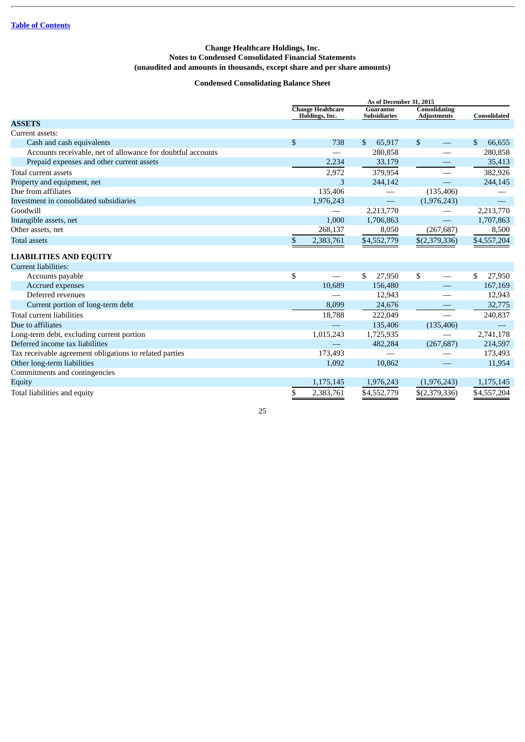# **Condensed Consolidating Balance Sheet**

|                                                             | As of December 31, 2015                    |                                         |                                            |              |  |
|-------------------------------------------------------------|--------------------------------------------|-----------------------------------------|--------------------------------------------|--------------|--|
|                                                             | <b>Change Healthcare</b><br>Holdings, Inc. | <b>Guarantor</b><br><b>Subsidiaries</b> | Consolidating<br><b>Adjustments</b>        | Consolidated |  |
| <b>ASSETS</b>                                               |                                            |                                         |                                            |              |  |
| Current assets:                                             |                                            |                                         |                                            |              |  |
| Cash and cash equivalents                                   | \$<br>738                                  | $\mathbb{S}$<br>65,917                  | $\mathfrak{S}$<br>$\overline{\phantom{0}}$ | \$<br>66,655 |  |
| Accounts receivable, net of allowance for doubtful accounts |                                            | 280,858                                 |                                            | 280,858      |  |
| Prepaid expenses and other current assets                   | 2,234                                      | 33,179                                  |                                            | 35,413       |  |
| Total current assets                                        | 2,972                                      | 379,954                                 |                                            | 382,926      |  |
| Property and equipment, net                                 | 3                                          | 244,142                                 |                                            | 244,145      |  |
| Due from affiliates                                         | 135,406                                    |                                         | (135, 406)                                 |              |  |
| Investment in consolidated subsidiaries                     | 1,976,243                                  |                                         | (1,976,243)                                |              |  |
| Goodwill                                                    |                                            | 2,213,770                               |                                            | 2,213,770    |  |
| Intangible assets, net                                      | 1,000                                      | 1,706,863                               |                                            | 1,707,863    |  |
| Other assets, net                                           | 268,137                                    | 8,050                                   | (267, 687)                                 | 8,500        |  |
| <b>Total assets</b>                                         | \$<br>2,383,761                            | \$4,552,779                             | \$(2,379,336)                              | \$4,557,204  |  |
| <b>LIABILITIES AND EQUITY</b>                               |                                            |                                         |                                            |              |  |
| <b>Current liabilities:</b>                                 |                                            |                                         |                                            |              |  |
| Accounts payable                                            | \$                                         | \$<br>27,950                            | \$                                         | \$<br>27,950 |  |
| Accrued expenses                                            | 10,689                                     | 156,480                                 |                                            | 167,169      |  |
| Deferred revenues                                           |                                            | 12,943                                  |                                            | 12,943       |  |
| Current portion of long-term debt                           | 8,099                                      | 24,676                                  |                                            | 32,775       |  |
| Total current liabilities                                   | 18,788                                     | 222,049                                 |                                            | 240,837      |  |
| Due to affiliates                                           |                                            | 135,406                                 | (135, 406)                                 |              |  |
| Long-term debt, excluding current portion                   | 1,015,243                                  | 1,725,935                               |                                            | 2,741,178    |  |
| Deferred income tax liabilities                             |                                            | 482,284                                 | (267, 687)                                 | 214,597      |  |
| Tax receivable agreement obligations to related parties     | 173,493                                    |                                         |                                            | 173,493      |  |
| Other long-term liabilities                                 | 1,092                                      | 10,862                                  |                                            | 11,954       |  |
| Commitments and contingencies                               |                                            |                                         |                                            |              |  |
| Equity                                                      | 1,175,145                                  | 1,976,243                               | (1,976,243)                                | 1,175,145    |  |
| Total liabilities and equity                                | \$<br>2,383,761                            | \$4,552,779                             | \$(2,379,336)                              | \$4,557,204  |  |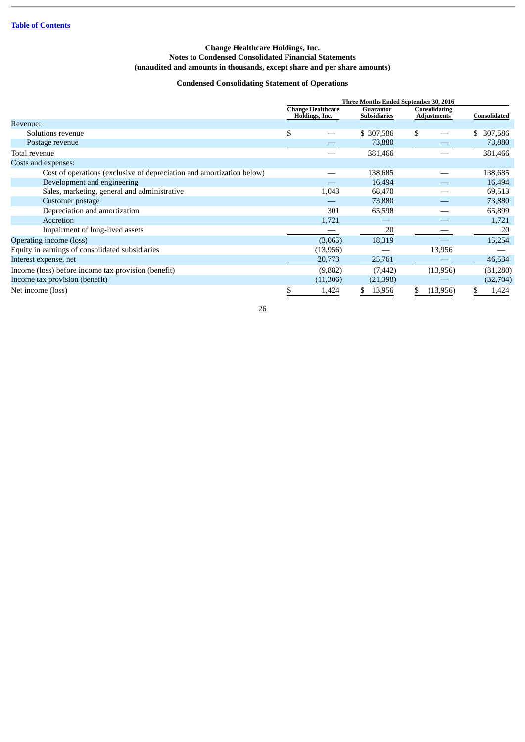# **Condensed Consolidating Statement of Operations**

|                                                                       | Three Months Ended September 30, 2016      |                                  |                                            |               |  |  |
|-----------------------------------------------------------------------|--------------------------------------------|----------------------------------|--------------------------------------------|---------------|--|--|
|                                                                       | <b>Change Healthcare</b><br>Holdings, Inc. | Guarantor<br><b>Subsidiaries</b> | <b>Consolidating</b><br><b>Adjustments</b> | Consolidated  |  |  |
| Revenue:                                                              |                                            |                                  |                                            |               |  |  |
| Solutions revenue                                                     | \$                                         | \$307,586                        | \$                                         | 307,586<br>\$ |  |  |
| Postage revenue                                                       |                                            | 73,880                           |                                            | 73,880        |  |  |
| Total revenue                                                         |                                            | 381,466                          |                                            | 381,466       |  |  |
| Costs and expenses:                                                   |                                            |                                  |                                            |               |  |  |
| Cost of operations (exclusive of depreciation and amortization below) |                                            | 138,685                          |                                            | 138,685       |  |  |
| Development and engineering                                           |                                            | 16,494                           |                                            | 16,494        |  |  |
| Sales, marketing, general and administrative                          | 1,043                                      | 68,470                           |                                            | 69,513        |  |  |
| Customer postage                                                      |                                            | 73,880                           |                                            | 73,880        |  |  |
| Depreciation and amortization                                         | 301                                        | 65,598                           |                                            | 65,899        |  |  |
| Accretion                                                             | 1,721                                      |                                  |                                            | 1,721         |  |  |
| Impairment of long-lived assets                                       |                                            | 20                               |                                            | 20            |  |  |
| Operating income (loss)                                               | (3,065)                                    | 18,319                           |                                            | 15,254        |  |  |
| Equity in earnings of consolidated subsidiaries                       | (13,956)                                   |                                  | 13,956                                     |               |  |  |
| Interest expense, net                                                 | 20,773                                     | 25,761                           |                                            | 46,534        |  |  |
| Income (loss) before income tax provision (benefit)                   | (9,882)                                    | (7, 442)                         | (13,956)                                   | (31,280)      |  |  |
| Income tax provision (benefit)                                        | (11,306)                                   | (21,398)                         |                                            | (32,704)      |  |  |
| Net income (loss)                                                     | 1,424                                      | 13,956                           | \$<br>(13,956)                             | 1,424         |  |  |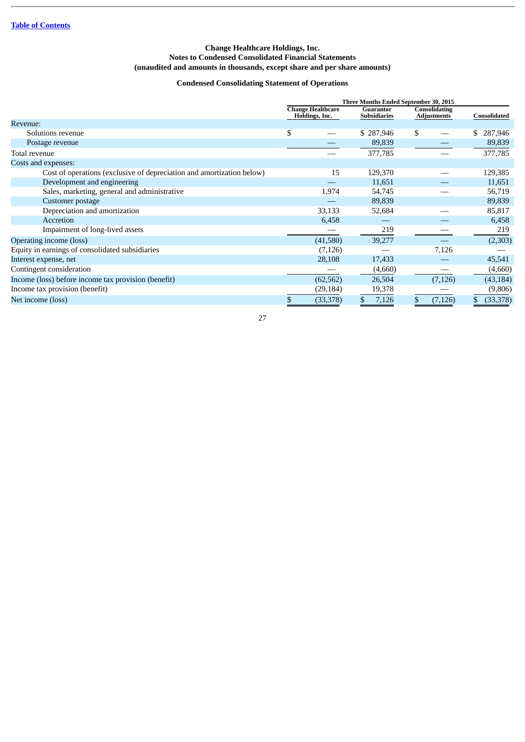# **Condensed Consolidating Statement of Operations**

|                                                                       | Three Months Ended September 30, 2015      |                                  |                                     |               |  |  |
|-----------------------------------------------------------------------|--------------------------------------------|----------------------------------|-------------------------------------|---------------|--|--|
|                                                                       | <b>Change Healthcare</b><br>Holdings, Inc. | Guarantor<br><b>Subsidiaries</b> | Consolidating<br><b>Adjustments</b> | Consolidated  |  |  |
| Revenue:                                                              |                                            |                                  |                                     |               |  |  |
| Solutions revenue                                                     | \$                                         | \$287,946                        | \$                                  | 287,946<br>\$ |  |  |
| Postage revenue                                                       |                                            | 89,839                           |                                     | 89,839        |  |  |
| Total revenue                                                         |                                            | 377,785                          |                                     | 377,785       |  |  |
| Costs and expenses:                                                   |                                            |                                  |                                     |               |  |  |
| Cost of operations (exclusive of depreciation and amortization below) | 15                                         | 129,370                          |                                     | 129,385       |  |  |
| Development and engineering                                           |                                            | 11,651                           |                                     | 11,651        |  |  |
| Sales, marketing, general and administrative                          | 1,974                                      | 54,745                           |                                     | 56,719        |  |  |
| Customer postage                                                      |                                            | 89,839                           |                                     | 89,839        |  |  |
| Depreciation and amortization                                         | 33,133                                     | 52,684                           |                                     | 85,817        |  |  |
| Accretion                                                             | 6,458                                      |                                  |                                     | 6,458         |  |  |
| Impairment of long-lived assets                                       |                                            | 219                              |                                     | 219           |  |  |
| Operating income (loss)                                               | (41,580)                                   | 39,277                           |                                     | (2,303)       |  |  |
| Equity in earnings of consolidated subsidiaries                       | (7, 126)                                   |                                  | 7,126                               |               |  |  |
| Interest expense, net                                                 | 28,108                                     | 17,433                           |                                     | 45,541        |  |  |
| Contingent consideration                                              |                                            | (4,660)                          |                                     | (4,660)       |  |  |
| Income (loss) before income tax provision (benefit)                   | (62, 562)                                  | 26,504                           | (7, 126)                            | (43, 184)     |  |  |
| Income tax provision (benefit)                                        | (29,184)                                   | 19,378                           |                                     | (9,806)       |  |  |
| Net income (loss)                                                     | (33, 378)                                  | 7,126<br>\$                      | \$<br>(7, 126)                      | (33,378)<br>S |  |  |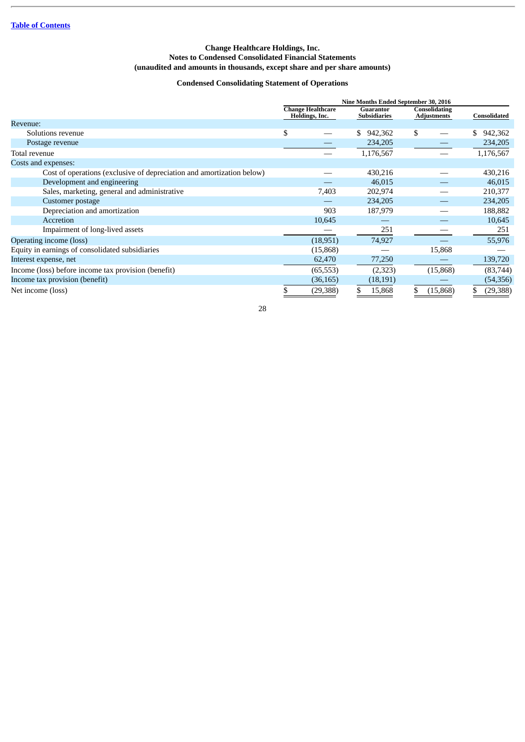# **Condensed Consolidating Statement of Operations**

|                                                                       | Nine Months Ended September 30, 2016       |                                  |                                     |                 |  |  |
|-----------------------------------------------------------------------|--------------------------------------------|----------------------------------|-------------------------------------|-----------------|--|--|
|                                                                       | <b>Change Healthcare</b><br>Holdings, Inc. | Guarantor<br><b>Subsidiaries</b> | Consolidating<br><b>Adjustments</b> | Consolidated    |  |  |
| Revenue:                                                              |                                            |                                  |                                     |                 |  |  |
| Solutions revenue                                                     | \$                                         | \$942,362                        | \$                                  | 942,362<br>\$.  |  |  |
| Postage revenue                                                       |                                            | 234,205                          |                                     | 234,205         |  |  |
| Total revenue                                                         |                                            | 1,176,567                        |                                     | 1,176,567       |  |  |
| Costs and expenses:                                                   |                                            |                                  |                                     |                 |  |  |
| Cost of operations (exclusive of depreciation and amortization below) |                                            | 430,216                          |                                     | 430,216         |  |  |
| Development and engineering                                           |                                            | 46,015                           |                                     | 46,015          |  |  |
| Sales, marketing, general and administrative                          | 7,403                                      | 202,974                          |                                     | 210,377         |  |  |
| Customer postage                                                      |                                            | 234,205                          |                                     | 234,205         |  |  |
| Depreciation and amortization                                         | 903                                        | 187,979                          |                                     | 188,882         |  |  |
| Accretion                                                             | 10,645                                     |                                  |                                     | 10,645          |  |  |
| Impairment of long-lived assets                                       |                                            | 251                              |                                     | 251             |  |  |
| Operating income (loss)                                               | (18,951)                                   | 74,927                           |                                     | 55,976          |  |  |
| Equity in earnings of consolidated subsidiaries                       | (15,868)                                   |                                  | 15,868                              |                 |  |  |
| Interest expense, net                                                 | 62,470                                     | 77,250                           |                                     | 139,720         |  |  |
| Income (loss) before income tax provision (benefit)                   | (65, 553)                                  | (2,323)                          | (15,868)                            | (83,744)        |  |  |
| Income tax provision (benefit)                                        | (36, 165)                                  | (18, 191)                        |                                     | (54, 356)       |  |  |
| Net income (loss)                                                     | (29, 388)                                  | \$<br>15,868                     | \$<br>(15, 868)                     | \$<br>(29, 388) |  |  |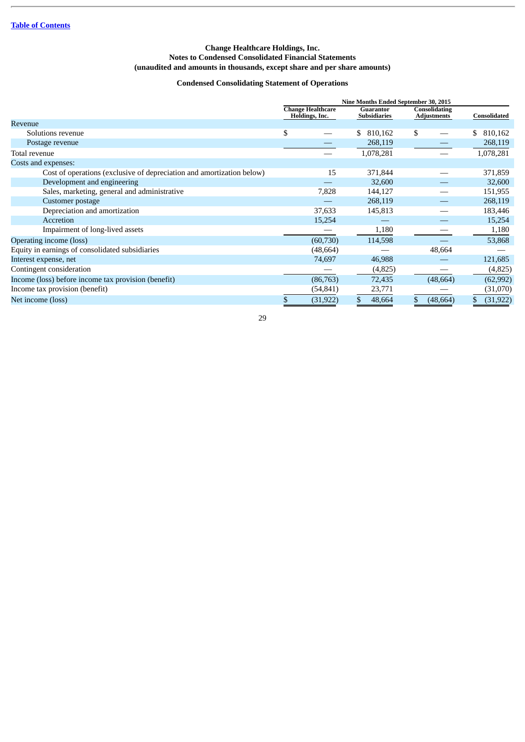# **Condensed Consolidating Statement of Operations**

|                                                                       | Nine Months Ended September 30, 2015       |           |    |                                  |    |                                            |              |           |
|-----------------------------------------------------------------------|--------------------------------------------|-----------|----|----------------------------------|----|--------------------------------------------|--------------|-----------|
|                                                                       | <b>Change Healthcare</b><br>Holdings, Inc. |           |    | Guarantor<br><b>Subsidiaries</b> |    | <b>Consolidating</b><br><b>Adjustments</b> | Consolidated |           |
| Revenue                                                               |                                            |           |    |                                  |    |                                            |              |           |
| Solutions revenue                                                     | \$                                         |           | S. | 810,162                          | \$ |                                            | \$           | 810,162   |
| Postage revenue                                                       |                                            |           |    | 268,119                          |    |                                            |              | 268,119   |
| Total revenue                                                         |                                            |           |    | 1,078,281                        |    |                                            |              | 1,078,281 |
| Costs and expenses:                                                   |                                            |           |    |                                  |    |                                            |              |           |
| Cost of operations (exclusive of depreciation and amortization below) |                                            | 15        |    | 371,844                          |    |                                            |              | 371,859   |
| Development and engineering                                           |                                            |           |    | 32,600                           |    |                                            |              | 32,600    |
| Sales, marketing, general and administrative                          |                                            | 7,828     |    | 144,127                          |    |                                            |              | 151,955   |
| Customer postage                                                      |                                            |           |    | 268,119                          |    |                                            |              | 268,119   |
| Depreciation and amortization                                         |                                            | 37,633    |    | 145,813                          |    |                                            |              | 183,446   |
| Accretion                                                             |                                            | 15,254    |    |                                  |    |                                            |              | 15,254    |
| Impairment of long-lived assets                                       |                                            |           |    | 1,180                            |    |                                            |              | 1,180     |
| Operating income (loss)                                               |                                            | (60, 730) |    | 114,598                          |    |                                            |              | 53,868    |
| Equity in earnings of consolidated subsidiaries                       |                                            | (48, 664) |    |                                  |    | 48,664                                     |              |           |
| Interest expense, net                                                 |                                            | 74,697    |    | 46,988                           |    |                                            |              | 121,685   |
| Contingent consideration                                              |                                            |           |    | (4,825)                          |    |                                            |              | (4,825)   |
| Income (loss) before income tax provision (benefit)                   |                                            | (86,763)  |    | 72,435                           |    | (48, 664)                                  |              | (62, 992) |
| Income tax provision (benefit)                                        |                                            | (54, 841) |    | 23,771                           |    |                                            |              | (31,070)  |
| Net income (loss)                                                     |                                            | (31, 922) | \$ | 48,664                           | \$ | (48, 664)                                  | \$           | (31, 922) |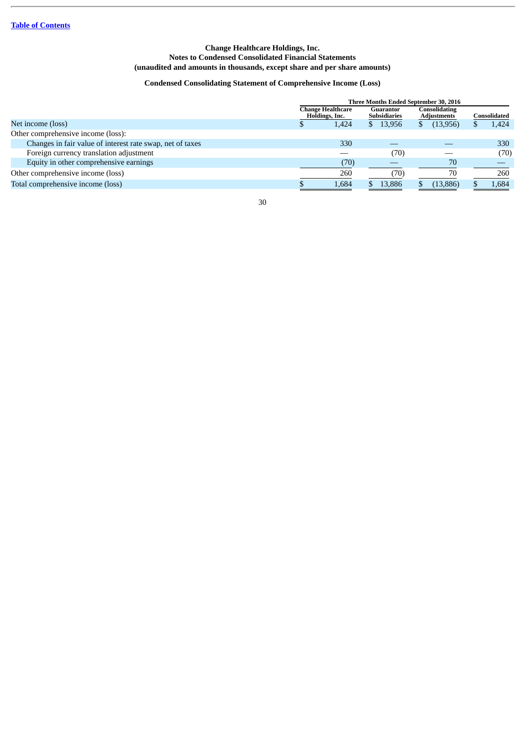# **Condensed Consolidating Statement of Comprehensive Income (Loss)**

|                                                           | Three Months Ended September 30, 2016 |                                            |                                  |                                     |  |              |
|-----------------------------------------------------------|---------------------------------------|--------------------------------------------|----------------------------------|-------------------------------------|--|--------------|
|                                                           |                                       | <b>Change Healthcare</b><br>Holdings, Inc. | Guarantor<br><b>Subsidiaries</b> | Consolidating<br><b>Adjustments</b> |  | Consolidated |
| Net income (loss)                                         |                                       | 1,424                                      | 13,956<br>S.                     | (13,956)                            |  | 1.424        |
| Other comprehensive income (loss):                        |                                       |                                            |                                  |                                     |  |              |
| Changes in fair value of interest rate swap, net of taxes |                                       | 330                                        |                                  |                                     |  | 330          |
| Foreign currency translation adjustment                   |                                       |                                            | (70)                             |                                     |  | (70)         |
| Equity in other comprehensive earnings                    |                                       | (70)                                       |                                  | 70                                  |  |              |
| Other comprehensive income (loss)                         |                                       | 260                                        | (70)                             | 70                                  |  | 260          |
| Total comprehensive income (loss)                         |                                       | 1,684                                      | 13,886                           | (13, 886)                           |  | 1,684        |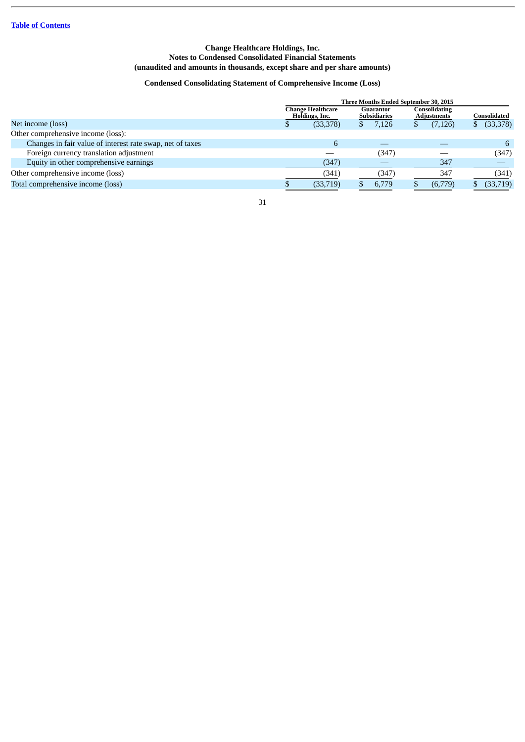# **Condensed Consolidating Statement of Comprehensive Income (Loss)**

|                                                           | Three Months Ended September 30, 2015      |           |                                  |       |  |          |  |                                     |  |              |
|-----------------------------------------------------------|--------------------------------------------|-----------|----------------------------------|-------|--|----------|--|-------------------------------------|--|--------------|
|                                                           | <b>Change Healthcare</b><br>Holdings, Inc. |           | Guarantor<br><b>Subsidiaries</b> |       |  |          |  | Consolidating<br><b>Adjustments</b> |  | Consolidated |
| Net income (loss)                                         |                                            | (33, 378) |                                  | 7,126 |  | (7, 126) |  | (33, 378)                           |  |              |
| Other comprehensive income (loss):                        |                                            |           |                                  |       |  |          |  |                                     |  |              |
| Changes in fair value of interest rate swap, net of taxes |                                            | 6         |                                  |       |  |          |  | 6                                   |  |              |
| Foreign currency translation adjustment                   |                                            |           |                                  | (347) |  |          |  | (347)                               |  |              |
| Equity in other comprehensive earnings                    |                                            | (347)     |                                  |       |  | 347      |  |                                     |  |              |
| Other comprehensive income (loss)                         |                                            | (341)     |                                  | (347) |  | 347      |  | (341)                               |  |              |
| Total comprehensive income (loss)                         |                                            | (33,719)  |                                  | 6.779 |  | (6,779)  |  | (33, 719)                           |  |              |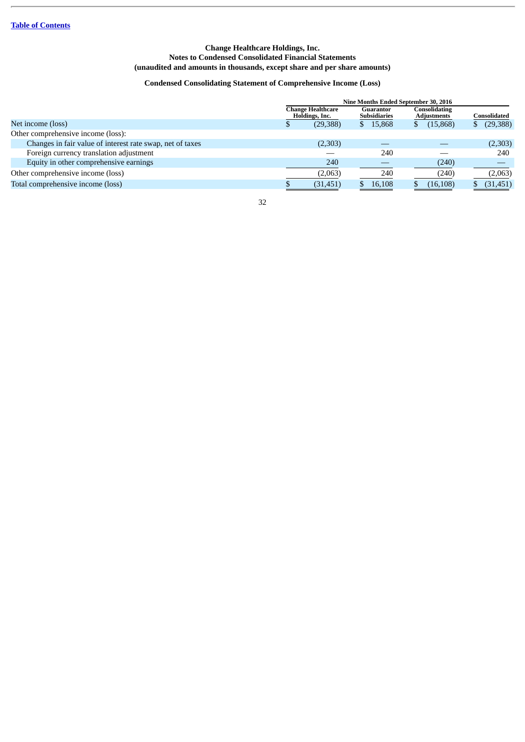# **Condensed Consolidating Statement of Comprehensive Income (Loss)**

|                                                           | Nine Months Ended September 30, 2016       |           |                                                                         |           |           |  |              |  |
|-----------------------------------------------------------|--------------------------------------------|-----------|-------------------------------------------------------------------------|-----------|-----------|--|--------------|--|
|                                                           | <b>Change Healthcare</b><br>Holdings, Inc. |           | Consolidating<br>Guarantor<br><b>Subsidiaries</b><br><b>Adjustments</b> |           |           |  | Consolidated |  |
| Net income (loss)                                         |                                            | (29, 388) | 15,868<br>S.                                                            | (15, 868) | (29, 388) |  |              |  |
| Other comprehensive income (loss):                        |                                            |           |                                                                         |           |           |  |              |  |
| Changes in fair value of interest rate swap, net of taxes |                                            | (2,303)   |                                                                         |           | (2,303)   |  |              |  |
| Foreign currency translation adjustment                   |                                            |           | 240                                                                     |           | 240       |  |              |  |
| Equity in other comprehensive earnings                    |                                            | 240       |                                                                         | (240)     |           |  |              |  |
| Other comprehensive income (loss)                         |                                            | (2,063)   | 240                                                                     | (240)     | (2,063)   |  |              |  |
| Total comprehensive income (loss)                         |                                            | (31, 451) | 16,108                                                                  | (16, 108) | (31, 451) |  |              |  |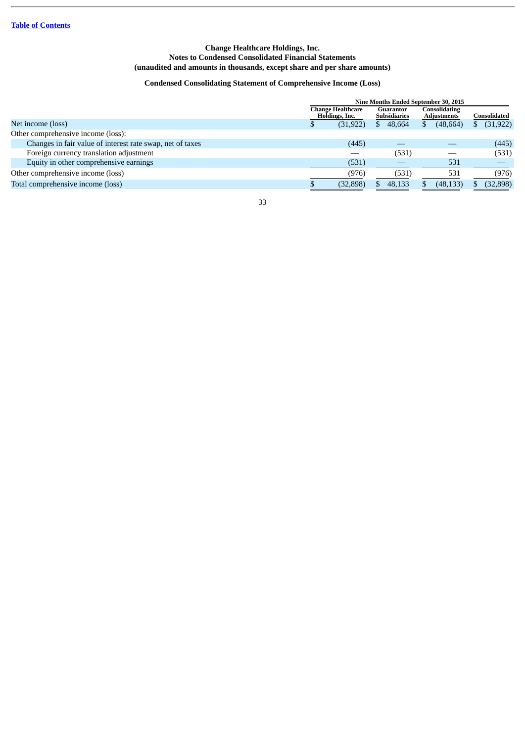# **Condensed Consolidating Statement of Comprehensive Income (Loss)**

|                                                           | Nine Months Ended September 30, 2015 |                                            |  |                                  |  |                                     |              |
|-----------------------------------------------------------|--------------------------------------|--------------------------------------------|--|----------------------------------|--|-------------------------------------|--------------|
|                                                           |                                      | <b>Change Healthcare</b><br>Holdings, Inc. |  | Guarantor<br><b>Subsidiaries</b> |  | Consolidating<br><b>Adjustments</b> | Consolidated |
| Net income (loss)                                         |                                      | (31, 922)                                  |  | 48,664                           |  | (48, 664)                           | (31, 922)    |
| Other comprehensive income (loss):                        |                                      |                                            |  |                                  |  |                                     |              |
| Changes in fair value of interest rate swap, net of taxes |                                      | (445)                                      |  |                                  |  |                                     | (445)        |
| Foreign currency translation adjustment                   |                                      |                                            |  | (531)                            |  |                                     | (531)        |
| Equity in other comprehensive earnings                    |                                      | (531)                                      |  |                                  |  | 531                                 |              |
| Other comprehensive income (loss)                         |                                      | (976)                                      |  | (531)                            |  | 531                                 | (976)        |
| Total comprehensive income (loss)                         |                                      | (32,898)                                   |  | 48,133                           |  | (48, 133)                           | (32, 898)    |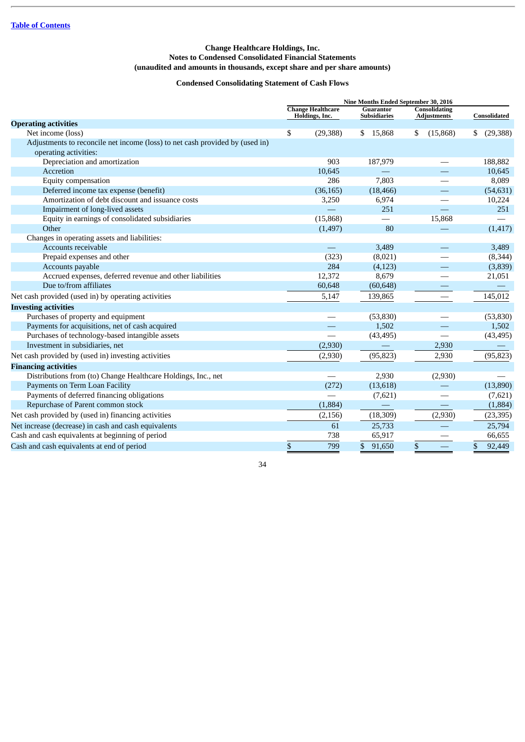# **Condensed Consolidating Statement of Cash Flows**

|                                                                              |    | Nine Months Ended September 30, 2016       |                                  |                                     |                |  |
|------------------------------------------------------------------------------|----|--------------------------------------------|----------------------------------|-------------------------------------|----------------|--|
|                                                                              |    | <b>Change Healthcare</b><br>Holdings, Inc. | Guarantor<br><b>Subsidiaries</b> | Consolidating<br><b>Adjustments</b> | Consolidated   |  |
| <b>Operating activities</b>                                                  |    |                                            |                                  |                                     |                |  |
| Net income (loss)                                                            | \$ | (29, 388)                                  | \$15,868                         | (15, 868)<br>\$.                    | (29, 388)<br>S |  |
| Adjustments to reconcile net income (loss) to net cash provided by (used in) |    |                                            |                                  |                                     |                |  |
| operating activities:                                                        |    |                                            |                                  |                                     |                |  |
| Depreciation and amortization                                                |    | 903                                        | 187,979                          |                                     | 188,882        |  |
| Accretion                                                                    |    | 10,645                                     |                                  |                                     | 10,645         |  |
| Equity compensation                                                          |    | 286                                        | 7,803                            |                                     | 8,089          |  |
| Deferred income tax expense (benefit)                                        |    | (36, 165)                                  | (18, 466)                        |                                     | (54, 631)      |  |
| Amortization of debt discount and issuance costs                             |    | 3,250                                      | 6,974                            |                                     | 10,224         |  |
| Impairment of long-lived assets                                              |    |                                            | 251                              |                                     | 251            |  |
| Equity in earnings of consolidated subsidiaries                              |    | (15,868)                                   |                                  | 15,868                              |                |  |
| Other                                                                        |    | (1, 497)                                   | 80                               |                                     | (1, 417)       |  |
| Changes in operating assets and liabilities:                                 |    |                                            |                                  |                                     |                |  |
| Accounts receivable                                                          |    |                                            | 3,489                            |                                     | 3,489          |  |
| Prepaid expenses and other                                                   |    | (323)                                      | (8,021)                          |                                     | (8, 344)       |  |
| Accounts payable                                                             |    | 284                                        | (4, 123)                         |                                     | (3,839)        |  |
| Accrued expenses, deferred revenue and other liabilities                     |    | 12,372                                     | 8,679                            |                                     | 21,051         |  |
| Due to/from affiliates                                                       |    | 60,648                                     | (60, 648)                        |                                     |                |  |
| Net cash provided (used in) by operating activities                          |    | 5,147                                      | 139,865                          |                                     | 145,012        |  |
| <b>Investing activities</b>                                                  |    |                                            |                                  |                                     |                |  |
| Purchases of property and equipment                                          |    |                                            | (53, 830)                        |                                     | (53, 830)      |  |
| Payments for acquisitions, net of cash acquired                              |    |                                            | 1,502                            |                                     | 1,502          |  |
| Purchases of technology-based intangible assets                              |    |                                            | (43, 495)                        |                                     | (43, 495)      |  |
| Investment in subsidiaries, net                                              |    | (2,930)                                    |                                  | 2,930                               |                |  |
| Net cash provided by (used in) investing activities                          |    | (2,930)                                    | (95, 823)                        | 2,930                               | (95, 823)      |  |
| <b>Financing activities</b>                                                  |    |                                            |                                  |                                     |                |  |
| Distributions from (to) Change Healthcare Holdings, Inc., net                |    |                                            | 2,930                            | (2,930)                             |                |  |
| Payments on Term Loan Facility                                               |    | (272)                                      | (13, 618)                        |                                     | (13,890)       |  |
| Payments of deferred financing obligations                                   |    |                                            | (7,621)                          |                                     | (7,621)        |  |
| Repurchase of Parent common stock                                            |    | (1,884)                                    |                                  |                                     | (1,884)        |  |
| Net cash provided by (used in) financing activities                          |    | (2, 156)                                   | (18, 309)                        | (2,930)                             | (23, 395)      |  |
| Net increase (decrease) in cash and cash equivalents                         |    | 61                                         | 25,733                           |                                     | 25,794         |  |
| Cash and cash equivalents at beginning of period                             |    | 738                                        | 65,917                           |                                     | 66,655         |  |
| Cash and cash equivalents at end of period                                   | \$ | 799                                        | $\mathsf{\$}$<br>91,650          | \$                                  | \$<br>92,449   |  |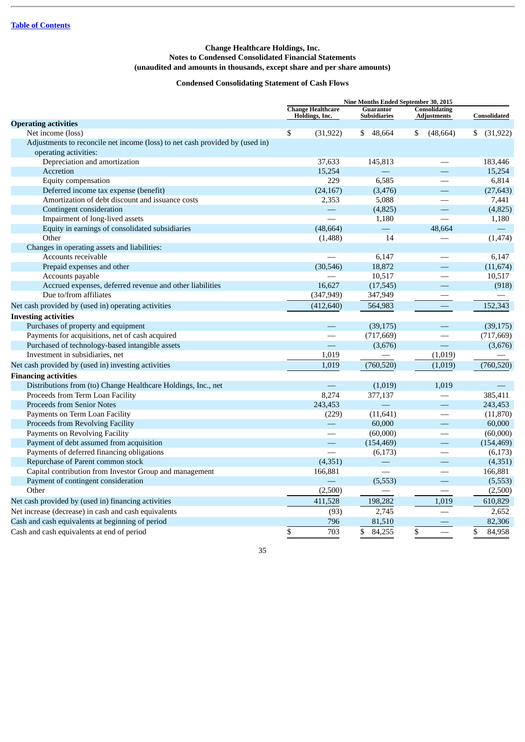# **Condensed Consolidating Statement of Cash Flows**

|                                                                              | Nine Months Ended September 30, 2015 |                                            |                                  |                                     |                 |
|------------------------------------------------------------------------------|--------------------------------------|--------------------------------------------|----------------------------------|-------------------------------------|-----------------|
|                                                                              |                                      | <b>Change Healthcare</b><br>Holdings, Inc. | Guarantor<br><b>Subsidiaries</b> | Consolidating<br><b>Adjustments</b> | Consolidated    |
| <b>Operating activities</b>                                                  |                                      |                                            |                                  |                                     |                 |
| Net income (loss)                                                            | \$                                   | (31, 922)                                  | \$48,664                         | (48, 664)<br>\$.                    | (31, 922)<br>\$ |
| Adjustments to reconcile net income (loss) to net cash provided by (used in) |                                      |                                            |                                  |                                     |                 |
| operating activities:                                                        |                                      |                                            |                                  |                                     |                 |
| Depreciation and amortization                                                |                                      | 37,633                                     | 145,813                          |                                     | 183,446         |
| Accretion                                                                    |                                      | 15,254                                     |                                  |                                     | 15,254          |
| Equity compensation                                                          |                                      | 229                                        | 6,585                            |                                     | 6,814           |
| Deferred income tax expense (benefit)                                        |                                      | (24, 167)                                  | (3, 476)                         |                                     | (27, 643)       |
| Amortization of debt discount and issuance costs                             |                                      | 2,353                                      | 5,088                            |                                     | 7,441           |
| Contingent consideration                                                     |                                      | $\equiv$                                   | (4, 825)                         |                                     | (4,825)         |
| Impairment of long-lived assets                                              |                                      |                                            | 1,180                            |                                     | 1,180           |
| Equity in earnings of consolidated subsidiaries                              |                                      | (48, 664)                                  |                                  | 48,664                              |                 |
| Other                                                                        |                                      | (1,488)                                    | 14                               |                                     | (1, 474)        |
| Changes in operating assets and liabilities:                                 |                                      |                                            |                                  |                                     |                 |
| Accounts receivable                                                          |                                      |                                            | 6,147                            |                                     | 6,147           |
| Prepaid expenses and other                                                   |                                      | (30, 546)                                  | 18,872                           |                                     | (11, 674)       |
| Accounts payable                                                             |                                      |                                            | 10,517                           |                                     | 10,517          |
| Accrued expenses, deferred revenue and other liabilities                     |                                      | 16,627                                     | (17,545)                         |                                     | (918)           |
| Due to/from affiliates                                                       |                                      | (347, 949)                                 | 347,949                          |                                     |                 |
| Net cash provided by (used in) operating activities                          |                                      | (412, 640)                                 | 564,983                          |                                     | 152,343         |
| <b>Investing activities</b>                                                  |                                      |                                            |                                  |                                     |                 |
| Purchases of property and equipment                                          |                                      |                                            | (39, 175)                        |                                     | (39, 175)       |
| Payments for acquisitions, net of cash acquired                              |                                      |                                            | (717, 669)                       |                                     | (717, 669)      |
| Purchased of technology-based intangible assets                              |                                      |                                            | (3,676)                          | $\qquad \qquad =$                   | (3,676)         |
| Investment in subsidiaries, net                                              |                                      | 1,019                                      |                                  | (1,019)                             |                 |
| Net cash provided by (used in) investing activities                          |                                      | 1,019                                      | (760, 520)                       | (1,019)                             | (760, 520)      |
| <b>Financing activities</b>                                                  |                                      |                                            |                                  |                                     |                 |
| Distributions from (to) Change Healthcare Holdings, Inc., net                |                                      |                                            | (1,019)                          | 1,019                               |                 |
| Proceeds from Term Loan Facility                                             |                                      | 8,274                                      | 377,137                          |                                     | 385,411         |
| <b>Proceeds from Senior Notes</b>                                            |                                      | 243,453                                    |                                  | $\equiv$                            | 243,453         |
| Payments on Term Loan Facility                                               |                                      | (229)                                      | (11, 641)                        |                                     | (11,870)        |
| Proceeds from Revolving Facility                                             |                                      |                                            | 60,000                           |                                     | 60,000          |
| Payments on Revolving Facility                                               |                                      |                                            | (60,000)                         |                                     | (60,000)        |
| Payment of debt assumed from acquisition                                     |                                      |                                            | (154, 469)                       |                                     | (154, 469)      |
| Payments of deferred financing obligations                                   |                                      | $\overline{\phantom{0}}$                   | (6, 173)                         |                                     | (6, 173)        |
| Repurchase of Parent common stock                                            |                                      | (4, 351)                                   |                                  |                                     | (4,351)         |
| Capital contribution from Investor Group and management                      |                                      | 166,881                                    |                                  |                                     | 166,881         |
| Payment of contingent consideration                                          |                                      |                                            | (5,553)                          |                                     | (5, 553)        |
| Other                                                                        |                                      | (2,500)                                    |                                  |                                     | (2,500)         |
| Net cash provided by (used in) financing activities                          |                                      | 411,528                                    | 198,282                          | 1,019                               | 610,829         |
| Net increase (decrease) in cash and cash equivalents                         |                                      | (93)                                       | 2,745                            |                                     | 2,652           |
| Cash and cash equivalents at beginning of period                             |                                      | 796                                        | 81,510                           |                                     | 82,306          |
| Cash and cash equivalents at end of period                                   | \$                                   | 703                                        | \$<br>84,255                     | \$                                  | \$<br>84,958    |
|                                                                              |                                      |                                            |                                  |                                     |                 |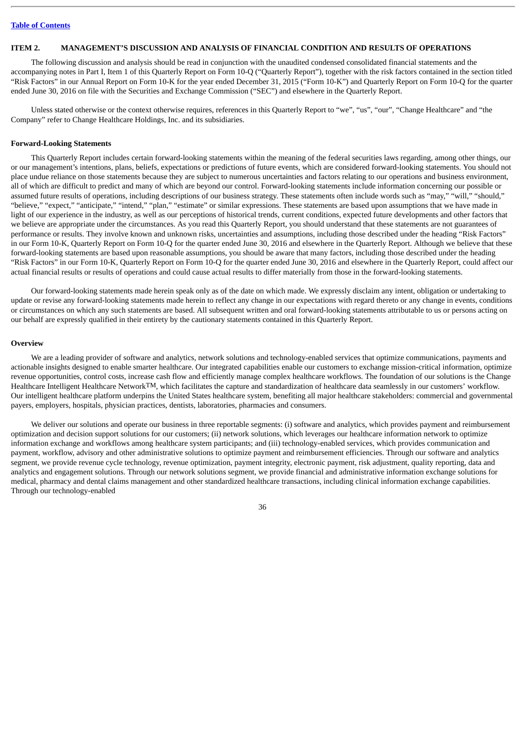#### <span id="page-38-0"></span>**ITEM 2. MANAGEMENT'S DISCUSSION AND ANALYSIS OF FINANCIAL CONDITION AND RESULTS OF OPERATIONS**

The following discussion and analysis should be read in conjunction with the unaudited condensed consolidated financial statements and the accompanying notes in Part I, Item 1 of this Quarterly Report on Form 10-Q ("Quarterly Report"), together with the risk factors contained in the section titled "Risk Factors" in our Annual Report on Form 10-K for the year ended December 31, 2015 ("Form 10-K") and Quarterly Report on Form 10-Q for the quarter ended June 30, 2016 on file with the Securities and Exchange Commission ("SEC") and elsewhere in the Quarterly Report.

Unless stated otherwise or the context otherwise requires, references in this Quarterly Report to "we", "us", "our", "Change Healthcare" and "the Company" refer to Change Healthcare Holdings, Inc. and its subsidiaries.

#### **Forward-Looking Statements**

This Quarterly Report includes certain forward-looking statements within the meaning of the federal securities laws regarding, among other things, our or our management's intentions, plans, beliefs, expectations or predictions of future events, which are considered forward-looking statements. You should not place undue reliance on those statements because they are subject to numerous uncertainties and factors relating to our operations and business environment, all of which are difficult to predict and many of which are beyond our control. Forward-looking statements include information concerning our possible or assumed future results of operations, including descriptions of our business strategy. These statements often include words such as "may," "will," "should," "believe," "expect," "anticipate," "intend," "plan," "estimate" or similar expressions. These statements are based upon assumptions that we have made in light of our experience in the industry, as well as our perceptions of historical trends, current conditions, expected future developments and other factors that we believe are appropriate under the circumstances. As you read this Quarterly Report, you should understand that these statements are not guarantees of performance or results. They involve known and unknown risks, uncertainties and assumptions, including those described under the heading "Risk Factors" in our Form 10-K, Quarterly Report on Form 10-Q for the quarter ended June 30, 2016 and elsewhere in the Quarterly Report. Although we believe that these forward-looking statements are based upon reasonable assumptions, you should be aware that many factors, including those described under the heading "Risk Factors" in our Form 10-K, Quarterly Report on Form 10-Q for the quarter ended June 30, 2016 and elsewhere in the Quarterly Report, could affect our actual financial results or results of operations and could cause actual results to differ materially from those in the forward-looking statements.

Our forward-looking statements made herein speak only as of the date on which made. We expressly disclaim any intent, obligation or undertaking to update or revise any forward-looking statements made herein to reflect any change in our expectations with regard thereto or any change in events, conditions or circumstances on which any such statements are based. All subsequent written and oral forward-looking statements attributable to us or persons acting on our behalf are expressly qualified in their entirety by the cautionary statements contained in this Quarterly Report.

#### **Overview**

We are a leading provider of software and analytics, network solutions and technology-enabled services that optimize communications, payments and actionable insights designed to enable smarter healthcare. Our integrated capabilities enable our customers to exchange mission-critical information, optimize revenue opportunities, control costs, increase cash flow and efficiently manage complex healthcare workflows. The foundation of our solutions is the Change Healthcare Intelligent Healthcare NetworkTM, which facilitates the capture and standardization of healthcare data seamlessly in our customers' workflow. Our intelligent healthcare platform underpins the United States healthcare system, benefiting all major healthcare stakeholders: commercial and governmental payers, employers, hospitals, physician practices, dentists, laboratories, pharmacies and consumers.

We deliver our solutions and operate our business in three reportable segments: (i) software and analytics, which provides payment and reimbursement optimization and decision support solutions for our customers; (ii) network solutions, which leverages our healthcare information network to optimize information exchange and workflows among healthcare system participants; and (iii) technology-enabled services, which provides communication and payment, workflow, advisory and other administrative solutions to optimize payment and reimbursement efficiencies. Through our software and analytics segment, we provide revenue cycle technology, revenue optimization, payment integrity, electronic payment, risk adjustment, quality reporting, data and analytics and engagement solutions. Through our network solutions segment, we provide financial and administrative information exchange solutions for medical, pharmacy and dental claims management and other standardized healthcare transactions, including clinical information exchange capabilities. Through our technology-enabled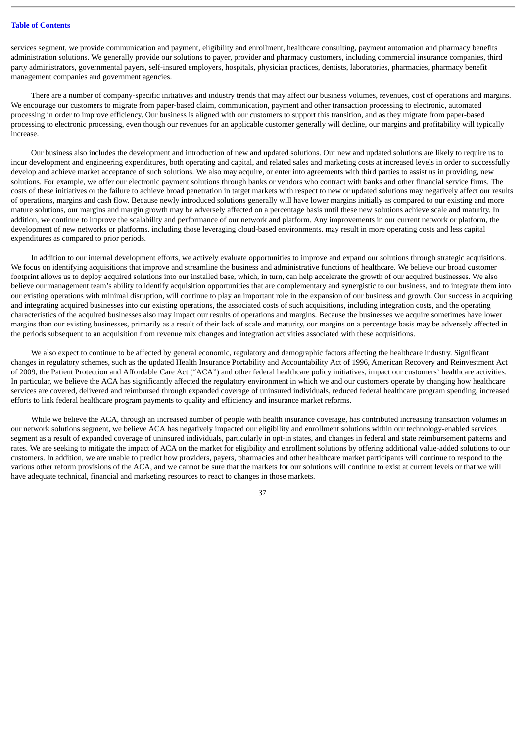services segment, we provide communication and payment, eligibility and enrollment, healthcare consulting, payment automation and pharmacy benefits administration solutions. We generally provide our solutions to payer, provider and pharmacy customers, including commercial insurance companies, third party administrators, governmental payers, self-insured employers, hospitals, physician practices, dentists, laboratories, pharmacies, pharmacy benefit management companies and government agencies.

There are a number of company-specific initiatives and industry trends that may affect our business volumes, revenues, cost of operations and margins. We encourage our customers to migrate from paper-based claim, communication, payment and other transaction processing to electronic, automated processing in order to improve efficiency. Our business is aligned with our customers to support this transition, and as they migrate from paper-based processing to electronic processing, even though our revenues for an applicable customer generally will decline, our margins and profitability will typically increase.

Our business also includes the development and introduction of new and updated solutions. Our new and updated solutions are likely to require us to incur development and engineering expenditures, both operating and capital, and related sales and marketing costs at increased levels in order to successfully develop and achieve market acceptance of such solutions. We also may acquire, or enter into agreements with third parties to assist us in providing, new solutions. For example, we offer our electronic payment solutions through banks or vendors who contract with banks and other financial service firms. The costs of these initiatives or the failure to achieve broad penetration in target markets with respect to new or updated solutions may negatively affect our results of operations, margins and cash flow. Because newly introduced solutions generally will have lower margins initially as compared to our existing and more mature solutions, our margins and margin growth may be adversely affected on a percentage basis until these new solutions achieve scale and maturity. In addition, we continue to improve the scalability and performance of our network and platform. Any improvements in our current network or platform, the development of new networks or platforms, including those leveraging cloud-based environments, may result in more operating costs and less capital expenditures as compared to prior periods.

In addition to our internal development efforts, we actively evaluate opportunities to improve and expand our solutions through strategic acquisitions. We focus on identifying acquisitions that improve and streamline the business and administrative functions of healthcare. We believe our broad customer footprint allows us to deploy acquired solutions into our installed base, which, in turn, can help accelerate the growth of our acquired businesses. We also believe our management team's ability to identify acquisition opportunities that are complementary and synergistic to our business, and to integrate them into our existing operations with minimal disruption, will continue to play an important role in the expansion of our business and growth. Our success in acquiring and integrating acquired businesses into our existing operations, the associated costs of such acquisitions, including integration costs, and the operating characteristics of the acquired businesses also may impact our results of operations and margins. Because the businesses we acquire sometimes have lower margins than our existing businesses, primarily as a result of their lack of scale and maturity, our margins on a percentage basis may be adversely affected in the periods subsequent to an acquisition from revenue mix changes and integration activities associated with these acquisitions.

We also expect to continue to be affected by general economic, regulatory and demographic factors affecting the healthcare industry. Significant changes in regulatory schemes, such as the updated Health Insurance Portability and Accountability Act of 1996, American Recovery and Reinvestment Act of 2009, the Patient Protection and Affordable Care Act ("ACA") and other federal healthcare policy initiatives, impact our customers' healthcare activities. In particular, we believe the ACA has significantly affected the regulatory environment in which we and our customers operate by changing how healthcare services are covered, delivered and reimbursed through expanded coverage of uninsured individuals, reduced federal healthcare program spending, increased efforts to link federal healthcare program payments to quality and efficiency and insurance market reforms.

While we believe the ACA, through an increased number of people with health insurance coverage, has contributed increasing transaction volumes in our network solutions segment, we believe ACA has negatively impacted our eligibility and enrollment solutions within our technology-enabled services segment as a result of expanded coverage of uninsured individuals, particularly in opt-in states, and changes in federal and state reimbursement patterns and rates. We are seeking to mitigate the impact of ACA on the market for eligibility and enrollment solutions by offering additional value-added solutions to our customers. In addition, we are unable to predict how providers, payers, pharmacies and other healthcare market participants will continue to respond to the various other reform provisions of the ACA, and we cannot be sure that the markets for our solutions will continue to exist at current levels or that we will have adequate technical, financial and marketing resources to react to changes in those markets.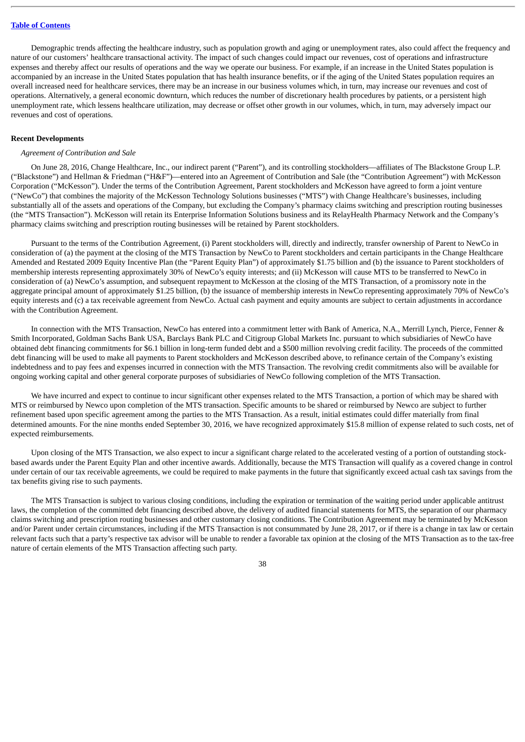Demographic trends affecting the healthcare industry, such as population growth and aging or unemployment rates, also could affect the frequency and nature of our customers' healthcare transactional activity. The impact of such changes could impact our revenues, cost of operations and infrastructure expenses and thereby affect our results of operations and the way we operate our business. For example, if an increase in the United States population is accompanied by an increase in the United States population that has health insurance benefits, or if the aging of the United States population requires an overall increased need for healthcare services, there may be an increase in our business volumes which, in turn, may increase our revenues and cost of operations. Alternatively, a general economic downturn, which reduces the number of discretionary health procedures by patients, or a persistent high unemployment rate, which lessens healthcare utilization, may decrease or offset other growth in our volumes, which, in turn, may adversely impact our revenues and cost of operations.

#### **Recent Developments**

#### *Agreement of Contribution and Sale*

On June 28, 2016, Change Healthcare, Inc., our indirect parent ("Parent"), and its controlling stockholders—affiliates of The Blackstone Group L.P. ("Blackstone") and Hellman & Friedman ("H&F")—entered into an Agreement of Contribution and Sale (the "Contribution Agreement") with McKesson Corporation ("McKesson"). Under the terms of the Contribution Agreement, Parent stockholders and McKesson have agreed to form a joint venture ("NewCo") that combines the majority of the McKesson Technology Solutions businesses ("MTS") with Change Healthcare's businesses, including substantially all of the assets and operations of the Company, but excluding the Company's pharmacy claims switching and prescription routing businesses (the "MTS Transaction"). McKesson will retain its Enterprise Information Solutions business and its RelayHealth Pharmacy Network and the Company's pharmacy claims switching and prescription routing businesses will be retained by Parent stockholders.

Pursuant to the terms of the Contribution Agreement, (i) Parent stockholders will, directly and indirectly, transfer ownership of Parent to NewCo in consideration of (a) the payment at the closing of the MTS Transaction by NewCo to Parent stockholders and certain participants in the Change Healthcare Amended and Restated 2009 Equity Incentive Plan (the "Parent Equity Plan") of approximately \$1.75 billion and (b) the issuance to Parent stockholders of membership interests representing approximately 30% of NewCo's equity interests; and (ii) McKesson will cause MTS to be transferred to NewCo in consideration of (a) NewCo's assumption, and subsequent repayment to McKesson at the closing of the MTS Transaction, of a promissory note in the aggregate principal amount of approximately \$1.25 billion, (b) the issuance of membership interests in NewCo representing approximately 70% of NewCo's equity interests and (c) a tax receivable agreement from NewCo. Actual cash payment and equity amounts are subject to certain adjustments in accordance with the Contribution Agreement.

In connection with the MTS Transaction, NewCo has entered into a commitment letter with Bank of America, N.A., Merrill Lynch, Pierce, Fenner & Smith Incorporated, Goldman Sachs Bank USA, Barclays Bank PLC and Citigroup Global Markets Inc. pursuant to which subsidiaries of NewCo have obtained debt financing commitments for \$6.1 billion in long-term funded debt and a \$500 million revolving credit facility. The proceeds of the committed debt financing will be used to make all payments to Parent stockholders and McKesson described above, to refinance certain of the Company's existing indebtedness and to pay fees and expenses incurred in connection with the MTS Transaction. The revolving credit commitments also will be available for ongoing working capital and other general corporate purposes of subsidiaries of NewCo following completion of the MTS Transaction.

We have incurred and expect to continue to incur significant other expenses related to the MTS Transaction, a portion of which may be shared with MTS or reimbursed by Newco upon completion of the MTS transaction. Specific amounts to be shared or reimbursed by Newco are subject to further refinement based upon specific agreement among the parties to the MTS Transaction. As a result, initial estimates could differ materially from final determined amounts. For the nine months ended September 30, 2016, we have recognized approximately \$15.8 million of expense related to such costs, net of expected reimbursements.

Upon closing of the MTS Transaction, we also expect to incur a significant charge related to the accelerated vesting of a portion of outstanding stockbased awards under the Parent Equity Plan and other incentive awards. Additionally, because the MTS Transaction will qualify as a covered change in control under certain of our tax receivable agreements, we could be required to make payments in the future that significantly exceed actual cash tax savings from the tax benefits giving rise to such payments.

The MTS Transaction is subject to various closing conditions, including the expiration or termination of the waiting period under applicable antitrust laws, the completion of the committed debt financing described above, the delivery of audited financial statements for MTS, the separation of our pharmacy claims switching and prescription routing businesses and other customary closing conditions. The Contribution Agreement may be terminated by McKesson and/or Parent under certain circumstances, including if the MTS Transaction is not consummated by June 28, 2017, or if there is a change in tax law or certain relevant facts such that a party's respective tax advisor will be unable to render a favorable tax opinion at the closing of the MTS Transaction as to the tax-free nature of certain elements of the MTS Transaction affecting such party.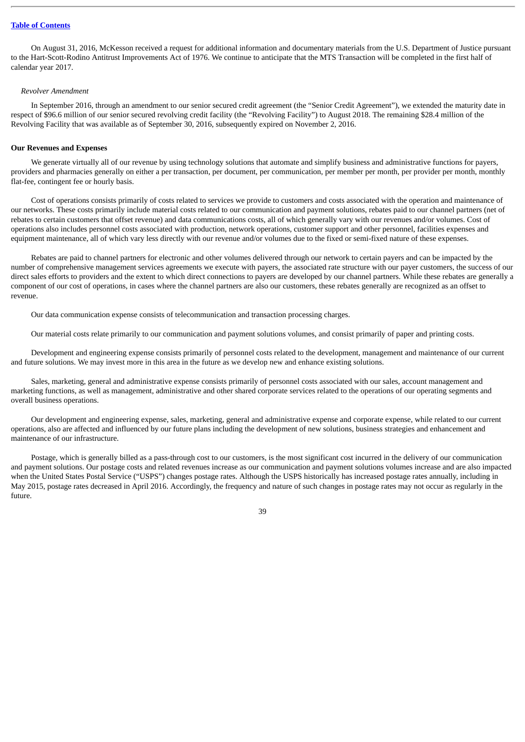On August 31, 2016, McKesson received a request for additional information and documentary materials from the U.S. Department of Justice pursuant to the Hart-Scott-Rodino Antitrust Improvements Act of 1976. We continue to anticipate that the MTS Transaction will be completed in the first half of calendar year 2017.

### *Revolver Amendment*

In September 2016, through an amendment to our senior secured credit agreement (the "Senior Credit Agreement"), we extended the maturity date in respect of \$96.6 million of our senior secured revolving credit facility (the "Revolving Facility") to August 2018. The remaining \$28.4 million of the Revolving Facility that was available as of September 30, 2016, subsequently expired on November 2, 2016.

### **Our Revenues and Expenses**

We generate virtually all of our revenue by using technology solutions that automate and simplify business and administrative functions for payers, providers and pharmacies generally on either a per transaction, per document, per communication, per member per month, per provider per month, monthly flat-fee, contingent fee or hourly basis.

Cost of operations consists primarily of costs related to services we provide to customers and costs associated with the operation and maintenance of our networks. These costs primarily include material costs related to our communication and payment solutions, rebates paid to our channel partners (net of rebates to certain customers that offset revenue) and data communications costs, all of which generally vary with our revenues and/or volumes. Cost of operations also includes personnel costs associated with production, network operations, customer support and other personnel, facilities expenses and equipment maintenance, all of which vary less directly with our revenue and/or volumes due to the fixed or semi-fixed nature of these expenses.

Rebates are paid to channel partners for electronic and other volumes delivered through our network to certain payers and can be impacted by the number of comprehensive management services agreements we execute with payers, the associated rate structure with our payer customers, the success of our direct sales efforts to providers and the extent to which direct connections to payers are developed by our channel partners. While these rebates are generally a component of our cost of operations, in cases where the channel partners are also our customers, these rebates generally are recognized as an offset to revenue.

Our data communication expense consists of telecommunication and transaction processing charges.

Our material costs relate primarily to our communication and payment solutions volumes, and consist primarily of paper and printing costs.

Development and engineering expense consists primarily of personnel costs related to the development, management and maintenance of our current and future solutions. We may invest more in this area in the future as we develop new and enhance existing solutions.

Sales, marketing, general and administrative expense consists primarily of personnel costs associated with our sales, account management and marketing functions, as well as management, administrative and other shared corporate services related to the operations of our operating segments and overall business operations.

Our development and engineering expense, sales, marketing, general and administrative expense and corporate expense, while related to our current operations, also are affected and influenced by our future plans including the development of new solutions, business strategies and enhancement and maintenance of our infrastructure.

Postage, which is generally billed as a pass-through cost to our customers, is the most significant cost incurred in the delivery of our communication and payment solutions. Our postage costs and related revenues increase as our communication and payment solutions volumes increase and are also impacted when the United States Postal Service ("USPS") changes postage rates. Although the USPS historically has increased postage rates annually, including in May 2015, postage rates decreased in April 2016. Accordingly, the frequency and nature of such changes in postage rates may not occur as regularly in the future.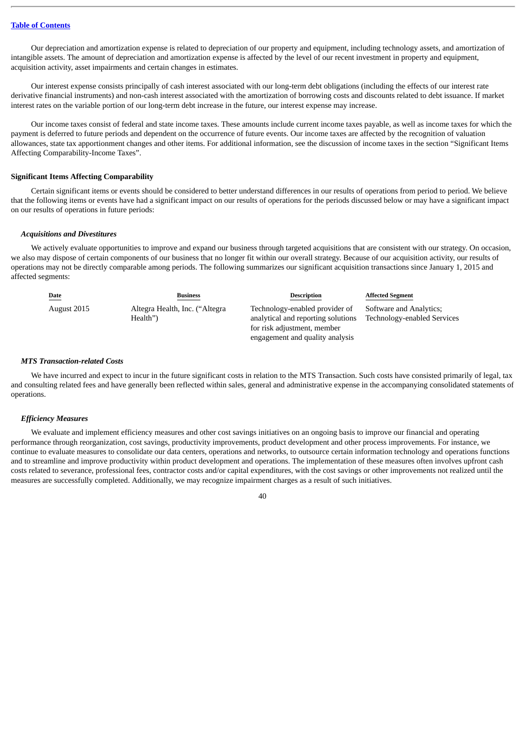Our depreciation and amortization expense is related to depreciation of our property and equipment, including technology assets, and amortization of intangible assets. The amount of depreciation and amortization expense is affected by the level of our recent investment in property and equipment, acquisition activity, asset impairments and certain changes in estimates.

Our interest expense consists principally of cash interest associated with our long-term debt obligations (including the effects of our interest rate derivative financial instruments) and non-cash interest associated with the amortization of borrowing costs and discounts related to debt issuance. If market interest rates on the variable portion of our long-term debt increase in the future, our interest expense may increase.

Our income taxes consist of federal and state income taxes. These amounts include current income taxes payable, as well as income taxes for which the payment is deferred to future periods and dependent on the occurrence of future events. Our income taxes are affected by the recognition of valuation allowances, state tax apportionment changes and other items. For additional information, see the discussion of income taxes in the section "Significant Items Affecting Comparability-Income Taxes".

#### **Significant Items Affecting Comparability**

Certain significant items or events should be considered to better understand differences in our results of operations from period to period. We believe that the following items or events have had a significant impact on our results of operations for the periods discussed below or may have a significant impact on our results of operations in future periods:

#### *Acquisitions and Divestitures*

We actively evaluate opportunities to improve and expand our business through targeted acquisitions that are consistent with our strategy. On occasion, we also may dispose of certain components of our business that no longer fit within our overall strategy. Because of our acquisition activity, our results of operations may not be directly comparable among periods. The following summarizes our significant acquisition transactions since January 1, 2015 and affected segments:

| <u>Date</u> | <b>Business</b>                            | <b>Description</b>                                                                                                                     | <b>Affected Segment</b>                                |
|-------------|--------------------------------------------|----------------------------------------------------------------------------------------------------------------------------------------|--------------------------------------------------------|
| August 2015 | Altegra Health, Inc. ("Altegra<br>Health") | Technology-enabled provider of<br>analytical and reporting solutions<br>for risk adjustment, member<br>engagement and quality analysis | Software and Analytics;<br>Technology-enabled Services |

### *MTS Transaction-related Costs*

We have incurred and expect to incur in the future significant costs in relation to the MTS Transaction. Such costs have consisted primarily of legal, tax and consulting related fees and have generally been reflected within sales, general and administrative expense in the accompanying consolidated statements of operations.

# *Efficiency Measures*

We evaluate and implement efficiency measures and other cost savings initiatives on an ongoing basis to improve our financial and operating performance through reorganization, cost savings, productivity improvements, product development and other process improvements. For instance, we continue to evaluate measures to consolidate our data centers, operations and networks, to outsource certain information technology and operations functions and to streamline and improve productivity within product development and operations. The implementation of these measures often involves upfront cash costs related to severance, professional fees, contractor costs and/or capital expenditures, with the cost savings or other improvements not realized until the measures are successfully completed. Additionally, we may recognize impairment charges as a result of such initiatives.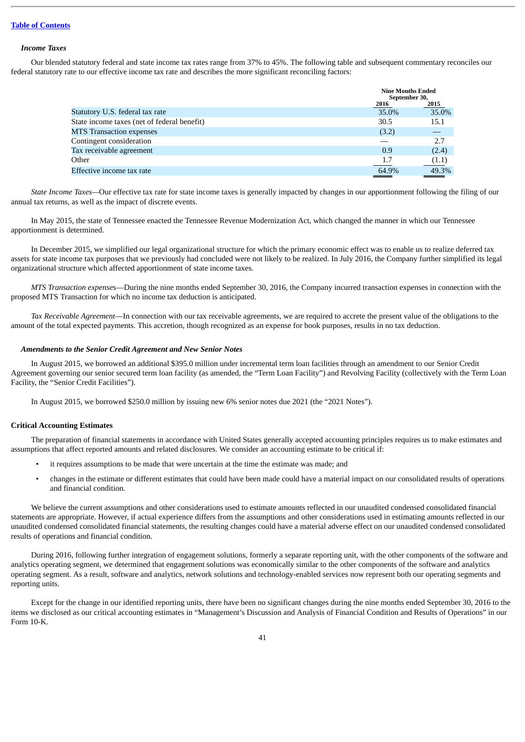#### *Income Taxes*

Our blended statutory federal and state income tax rates range from 37% to 45%. The following table and subsequent commentary reconciles our federal statutory rate to our effective income tax rate and describes the more significant reconciling factors:

|                                             | <b>Nine Months Ended</b><br>September 30, |       |  |
|---------------------------------------------|-------------------------------------------|-------|--|
|                                             | 2016                                      | 2015  |  |
| Statutory U.S. federal tax rate             | 35.0%                                     | 35.0% |  |
| State income taxes (net of federal benefit) | 30.5                                      | 15.1  |  |
| <b>MTS Transaction expenses</b>             | (3.2)                                     |       |  |
| Contingent consideration                    |                                           | 2.7   |  |
| Tax receivable agreement                    | 0.9                                       | (2.4) |  |
| Other                                       | 1.7                                       | (1.1) |  |
| Effective income tax rate                   | 64.9%                                     | 49.3% |  |

*State Income Taxes—*Our effective tax rate for state income taxes is generally impacted by changes in our apportionment following the filing of our annual tax returns, as well as the impact of discrete events.

In May 2015, the state of Tennessee enacted the Tennessee Revenue Modernization Act, which changed the manner in which our Tennessee apportionment is determined.

In December 2015, we simplified our legal organizational structure for which the primary economic effect was to enable us to realize deferred tax assets for state income tax purposes that we previously had concluded were not likely to be realized. In July 2016, the Company further simplified its legal organizational structure which affected apportionment of state income taxes.

*MTS Transaction expenses*—During the nine months ended September 30, 2016, the Company incurred transaction expenses in connection with the proposed MTS Transaction for which no income tax deduction is anticipated.

*Tax Receivable Agreement*—In connection with our tax receivable agreements, we are required to accrete the present value of the obligations to the amount of the total expected payments. This accretion, though recognized as an expense for book purposes, results in no tax deduction.

#### *Amendments to the Senior Credit Agreement and New Senior Notes*

In August 2015, we borrowed an additional \$395.0 million under incremental term loan facilities through an amendment to our Senior Credit Agreement governing our senior secured term loan facility (as amended, the "Term Loan Facility") and Revolving Facility (collectively with the Term Loan Facility, the "Senior Credit Facilities").

In August 2015, we borrowed \$250.0 million by issuing new 6% senior notes due 2021 (the "2021 Notes").

#### **Critical Accounting Estimates**

The preparation of financial statements in accordance with United States generally accepted accounting principles requires us to make estimates and assumptions that affect reported amounts and related disclosures. We consider an accounting estimate to be critical if:

- it requires assumptions to be made that were uncertain at the time the estimate was made; and
- changes in the estimate or different estimates that could have been made could have a material impact on our consolidated results of operations and financial condition.

We believe the current assumptions and other considerations used to estimate amounts reflected in our unaudited condensed consolidated financial statements are appropriate. However, if actual experience differs from the assumptions and other considerations used in estimating amounts reflected in our unaudited condensed consolidated financial statements, the resulting changes could have a material adverse effect on our unaudited condensed consolidated results of operations and financial condition.

During 2016, following further integration of engagement solutions, formerly a separate reporting unit, with the other components of the software and analytics operating segment, we determined that engagement solutions was economically similar to the other components of the software and analytics operating segment. As a result, software and analytics, network solutions and technology-enabled services now represent both our operating segments and reporting units.

Except for the change in our identified reporting units, there have been no significant changes during the nine months ended September 30, 2016 to the items we disclosed as our critical accounting estimates in "Management's Discussion and Analysis of Financial Condition and Results of Operations" in our Form  $10-K$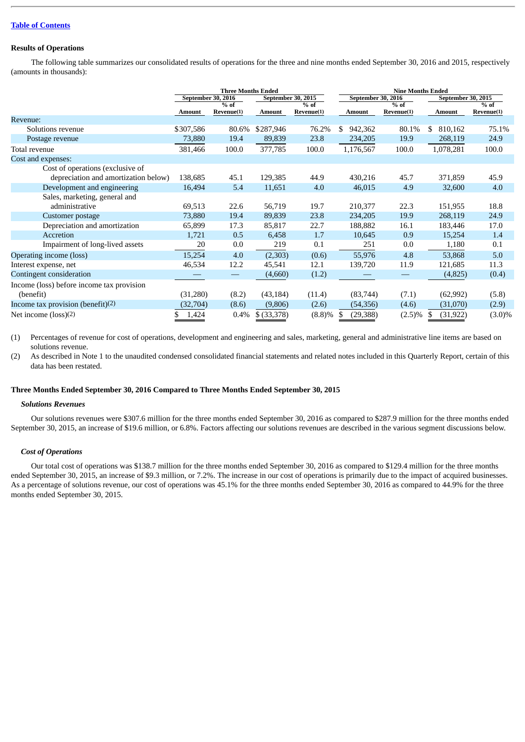### **Results of Operations**

The following table summarizes our consolidated results of operations for the three and nine months ended September 30, 2016 and 2015, respectively (amounts in thousands):

|                                                                          | <b>Three Months Ended</b><br>September 30, 2016<br>September 30, 2015 |                      |               | <b>Nine Months Ended</b><br><b>September 30, 2016</b><br>September 30, 2015 |                 |                      |                |                      |
|--------------------------------------------------------------------------|-----------------------------------------------------------------------|----------------------|---------------|-----------------------------------------------------------------------------|-----------------|----------------------|----------------|----------------------|
|                                                                          | Amount                                                                | $%$ of<br>Revenue(1) | <b>Amount</b> | $%$ of<br>Revenue(1)                                                        | <b>Amount</b>   | $%$ of<br>Revenue(1) | Amount         | $%$ of<br>Revenue(1) |
| Revenue:                                                                 |                                                                       |                      |               |                                                                             |                 |                      |                |                      |
| Solutions revenue                                                        | \$307,586                                                             | 80.6%                | \$287,946     | 76.2%                                                                       | \$<br>942,362   | 80.1%                | \$<br>810,162  | 75.1%                |
| Postage revenue                                                          | 73,880                                                                | 19.4                 | 89,839        | 23.8                                                                        | 234,205         | 19.9                 | 268,119        | 24.9                 |
| Total revenue                                                            | 381,466                                                               | 100.0                | 377,785       | 100.0                                                                       | 1,176,567       | 100.0                | 1,078,281      | 100.0                |
| Cost and expenses:                                                       |                                                                       |                      |               |                                                                             |                 |                      |                |                      |
| Cost of operations (exclusive of<br>depreciation and amortization below) | 138,685                                                               | 45.1                 | 129,385       | 44.9                                                                        | 430,216         | 45.7                 | 371,859        | 45.9                 |
| Development and engineering                                              | 16,494                                                                | 5.4                  | 11,651        | 4.0                                                                         | 46,015          | 4.9                  | 32,600         | 4.0                  |
| Sales, marketing, general and<br>administrative                          | 69,513                                                                | 22.6                 | 56,719        | 19.7                                                                        | 210,377         | 22.3                 | 151,955        | 18.8                 |
| Customer postage                                                         | 73,880                                                                | 19.4                 | 89,839        | 23.8                                                                        | 234,205         | 19.9                 | 268,119        | 24.9                 |
| Depreciation and amortization                                            | 65,899                                                                | 17.3                 | 85,817        | 22.7                                                                        | 188,882         | 16.1                 | 183,446        | 17.0                 |
| Accretion                                                                | 1,721                                                                 | 0.5                  | 6,458         | 1.7                                                                         | 10,645          | 0.9                  | 15,254         | 1.4                  |
| Impairment of long-lived assets                                          | 20                                                                    | 0.0                  | 219           | 0.1                                                                         | 251             | 0.0                  | 1,180          | 0.1                  |
| Operating income (loss)                                                  | 15,254                                                                | 4.0                  | (2,303)       | (0.6)                                                                       | 55,976          | 4.8                  | 53,868         | 5.0                  |
| Interest expense, net                                                    | 46,534                                                                | 12.2                 | 45,541        | 12.1                                                                        | 139,720         | 11.9                 | 121,685        | 11.3                 |
| Contingent consideration                                                 |                                                                       |                      | (4,660)       | (1.2)                                                                       |                 |                      | (4,825)        | (0.4)                |
| Income (loss) before income tax provision                                |                                                                       |                      |               |                                                                             |                 |                      |                |                      |
| (benefit)                                                                | (31,280)                                                              | (8.2)                | (43, 184)     | (11.4)                                                                      | (83,744)        | (7.1)                | (62, 992)      | (5.8)                |
| Income tax provision (benefit)(2)                                        | (32,704)                                                              | (8.6)                | (9,806)       | (2.6)                                                                       | (54, 356)       | (4.6)                | (31,070)       | (2.9)                |
| Net income $(\text{loss})^{(2)}$                                         | 1,424                                                                 | $0.4\%$              | $$$ (33,378)  | (8.8)%                                                                      | \$<br>(29, 388) | $(2.5)\%$            | (31, 922)<br>S | $(3.0)\%$            |

(1) Percentages of revenue for cost of operations, development and engineering and sales, marketing, general and administrative line items are based on solutions revenue.

(2) As described in Note 1 to the unaudited condensed consolidated financial statements and related notes included in this Quarterly Report, certain of this data has been restated.

# **Three Months Ended September 30, 2016 Compared to Three Months Ended September 30, 2015**

### *Solutions Revenues*

Our solutions revenues were \$307.6 million for the three months ended September 30, 2016 as compared to \$287.9 million for the three months ended September 30, 2015, an increase of \$19.6 million, or 6.8%. Factors affecting our solutions revenues are described in the various segment discussions below.

#### *Cost of Operations*

Our total cost of operations was \$138.7 million for the three months ended September 30, 2016 as compared to \$129.4 million for the three months ended September 30, 2015, an increase of \$9.3 million, or 7.2%. The increase in our cost of operations is primarily due to the impact of acquired businesses. As a percentage of solutions revenue, our cost of operations was 45.1% for the three months ended September 30, 2016 as compared to 44.9% for the three months ended September 30, 2015.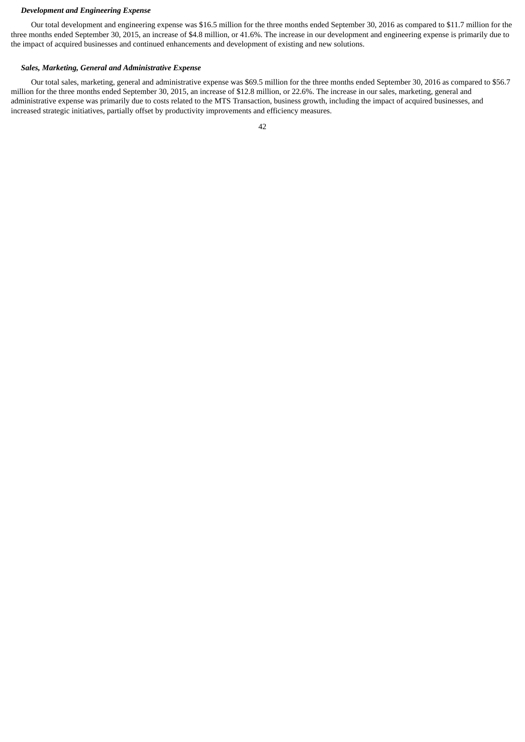# *Development and Engineering Expense*

Our total development and engineering expense was \$16.5 million for the three months ended September 30, 2016 as compared to \$11.7 million for the three months ended September 30, 2015, an increase of \$4.8 million, or 41.6%. The increase in our development and engineering expense is primarily due to the impact of acquired businesses and continued enhancements and development of existing and new solutions.

#### *Sales, Marketing, General and Administrative Expense*

Our total sales, marketing, general and administrative expense was \$69.5 million for the three months ended September 30, 2016 as compared to \$56.7 million for the three months ended September 30, 2015, an increase of \$12.8 million, or 22.6%. The increase in our sales, marketing, general and administrative expense was primarily due to costs related to the MTS Transaction, business growth, including the impact of acquired businesses, and increased strategic initiatives, partially offset by productivity improvements and efficiency measures.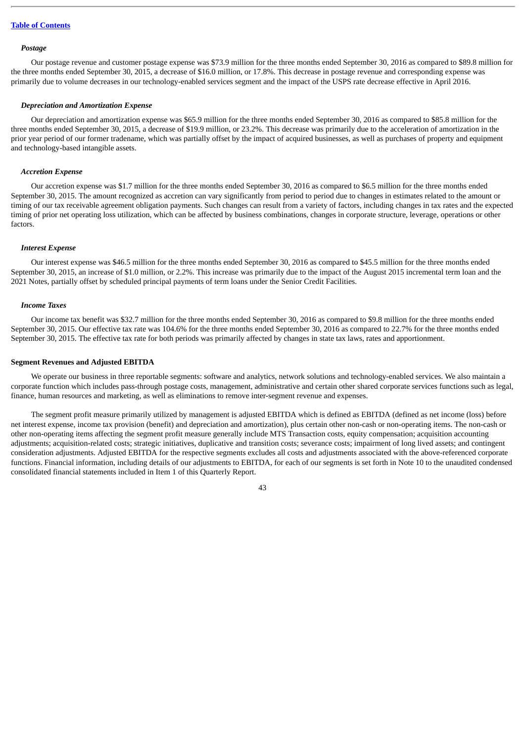#### *Postage*

Our postage revenue and customer postage expense was \$73.9 million for the three months ended September 30, 2016 as compared to \$89.8 million for the three months ended September 30, 2015, a decrease of \$16.0 million, or 17.8%. This decrease in postage revenue and corresponding expense was primarily due to volume decreases in our technology-enabled services segment and the impact of the USPS rate decrease effective in April 2016.

#### *Depreciation and Amortization Expense*

Our depreciation and amortization expense was \$65.9 million for the three months ended September 30, 2016 as compared to \$85.8 million for the three months ended September 30, 2015, a decrease of \$19.9 million, or 23.2%. This decrease was primarily due to the acceleration of amortization in the prior year period of our former tradename, which was partially offset by the impact of acquired businesses, as well as purchases of property and equipment and technology-based intangible assets.

#### *Accretion Expense*

Our accretion expense was \$1.7 million for the three months ended September 30, 2016 as compared to \$6.5 million for the three months ended September 30, 2015. The amount recognized as accretion can vary significantly from period to period due to changes in estimates related to the amount or timing of our tax receivable agreement obligation payments. Such changes can result from a variety of factors, including changes in tax rates and the expected timing of prior net operating loss utilization, which can be affected by business combinations, changes in corporate structure, leverage, operations or other factors.

#### *Interest Expense*

Our interest expense was \$46.5 million for the three months ended September 30, 2016 as compared to \$45.5 million for the three months ended September 30, 2015, an increase of \$1.0 million, or 2.2%. This increase was primarily due to the impact of the August 2015 incremental term loan and the 2021 Notes, partially offset by scheduled principal payments of term loans under the Senior Credit Facilities.

# *Income Taxes*

Our income tax benefit was \$32.7 million for the three months ended September 30, 2016 as compared to \$9.8 million for the three months ended September 30, 2015. Our effective tax rate was 104.6% for the three months ended September 30, 2016 as compared to 22.7% for the three months ended September 30, 2015. The effective tax rate for both periods was primarily affected by changes in state tax laws, rates and apportionment.

#### **Segment Revenues and Adjusted EBITDA**

We operate our business in three reportable segments: software and analytics, network solutions and technology-enabled services. We also maintain a corporate function which includes pass-through postage costs, management, administrative and certain other shared corporate services functions such as legal, finance, human resources and marketing, as well as eliminations to remove inter-segment revenue and expenses.

The segment profit measure primarily utilized by management is adjusted EBITDA which is defined as EBITDA (defined as net income (loss) before net interest expense, income tax provision (benefit) and depreciation and amortization), plus certain other non-cash or non-operating items. The non-cash or other non-operating items affecting the segment profit measure generally include MTS Transaction costs, equity compensation; acquisition accounting adjustments; acquisition-related costs; strategic initiatives, duplicative and transition costs; severance costs; impairment of long lived assets; and contingent consideration adjustments. Adjusted EBITDA for the respective segments excludes all costs and adjustments associated with the above-referenced corporate functions. Financial information, including details of our adjustments to EBITDA, for each of our segments is set forth in Note 10 to the unaudited condensed consolidated financial statements included in Item 1 of this Quarterly Report.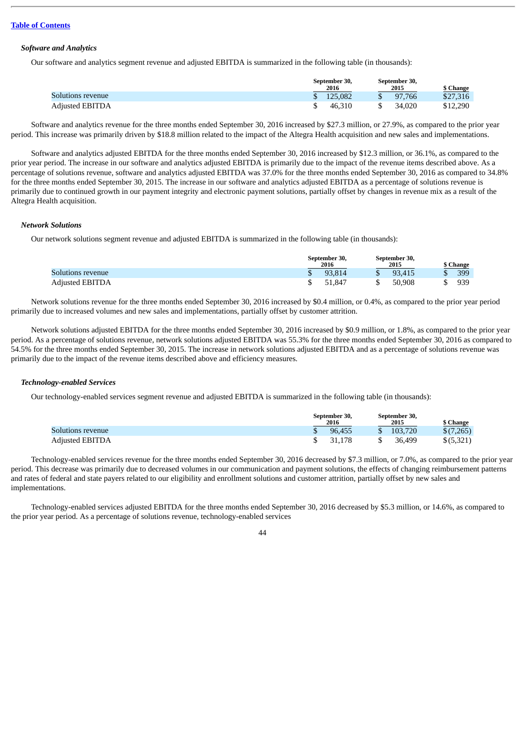#### *Software and Analytics*

Our software and analytics segment revenue and adjusted EBITDA is summarized in the following table (in thousands):

|                        | September 30,<br>2016 | September 30,<br>2015 | \$ Change |
|------------------------|-----------------------|-----------------------|-----------|
| Solutions revenue      | 125,082               | 97,766                | \$27,316  |
| <b>Adjusted EBITDA</b> | 46.310                | 34.020                | \$12,290  |

Software and analytics revenue for the three months ended September 30, 2016 increased by \$27.3 million, or 27.9%, as compared to the prior year period. This increase was primarily driven by \$18.8 million related to the impact of the Altegra Health acquisition and new sales and implementations.

Software and analytics adjusted EBITDA for the three months ended September 30, 2016 increased by \$12.3 million, or 36.1%, as compared to the prior year period. The increase in our software and analytics adjusted EBITDA is primarily due to the impact of the revenue items described above. As a percentage of solutions revenue, software and analytics adjusted EBITDA was 37.0% for the three months ended September 30, 2016 as compared to 34.8% for the three months ended September 30, 2015. The increase in our software and analytics adjusted EBITDA as a percentage of solutions revenue is primarily due to continued growth in our payment integrity and electronic payment solutions, partially offset by changes in revenue mix as a result of the Altegra Health acquisition.

#### *Network Solutions*

Our network solutions segment revenue and adjusted EBITDA is summarized in the following table (in thousands):

|                        | September 30,<br>2016 |   | September 30,<br>2015 |  | \$ Change |
|------------------------|-----------------------|---|-----------------------|--|-----------|
| Solutions revenue      | \$<br>93.814          | Φ | 93.415                |  | 399       |
| <b>Adjusted EBITDA</b> | 51.847                |   | 50,908                |  | 939       |

Network solutions revenue for the three months ended September 30, 2016 increased by \$0.4 million, or 0.4%, as compared to the prior year period primarily due to increased volumes and new sales and implementations, partially offset by customer attrition.

Network solutions adjusted EBITDA for the three months ended September 30, 2016 increased by \$0.9 million, or 1.8%, as compared to the prior year period. As a percentage of solutions revenue, network solutions adjusted EBITDA was 55.3% for the three months ended September 30, 2016 as compared to 54.5% for the three months ended September 30, 2015. The increase in network solutions adjusted EBITDA and as a percentage of solutions revenue was primarily due to the impact of the revenue items described above and efficiency measures.

#### *Technology-enabled Services*

Our technology-enabled services segment revenue and adjusted EBITDA is summarized in the following table (in thousands):

|                        | September 30,<br>2016 | September 30,<br>2015 | \$ Change  |
|------------------------|-----------------------|-----------------------|------------|
| Solutions revenue      | 96.455                | 103.720               | \$(7,265)  |
| <b>Adjusted EBITDA</b> |                       | 36.499                | \$ (5,321) |

Technology-enabled services revenue for the three months ended September 30, 2016 decreased by \$7.3 million, or 7.0%, as compared to the prior year period. This decrease was primarily due to decreased volumes in our communication and payment solutions, the effects of changing reimbursement patterns and rates of federal and state payers related to our eligibility and enrollment solutions and customer attrition, partially offset by new sales and implementations.

Technology-enabled services adjusted EBITDA for the three months ended September 30, 2016 decreased by \$5.3 million, or 14.6%, as compared to the prior year period. As a percentage of solutions revenue, technology-enabled services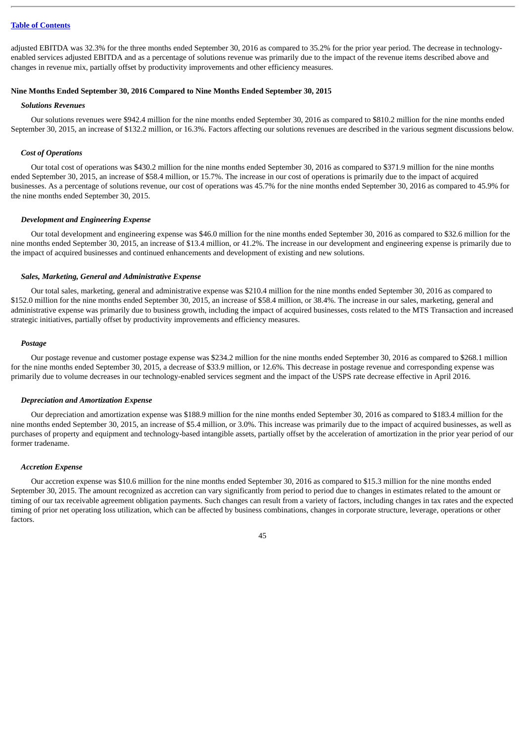adjusted EBITDA was 32.3% for the three months ended September 30, 2016 as compared to 35.2% for the prior year period. The decrease in technologyenabled services adjusted EBITDA and as a percentage of solutions revenue was primarily due to the impact of the revenue items described above and changes in revenue mix, partially offset by productivity improvements and other efficiency measures.

#### **Nine Months Ended September 30, 2016 Compared to Nine Months Ended September 30, 2015**

#### *Solutions Revenues*

Our solutions revenues were \$942.4 million for the nine months ended September 30, 2016 as compared to \$810.2 million for the nine months ended September 30, 2015, an increase of \$132.2 million, or 16.3%. Factors affecting our solutions revenues are described in the various segment discussions below.

#### *Cost of Operations*

Our total cost of operations was \$430.2 million for the nine months ended September 30, 2016 as compared to \$371.9 million for the nine months ended September 30, 2015, an increase of \$58.4 million, or 15.7%. The increase in our cost of operations is primarily due to the impact of acquired businesses. As a percentage of solutions revenue, our cost of operations was 45.7% for the nine months ended September 30, 2016 as compared to 45.9% for the nine months ended September 30, 2015.

#### *Development and Engineering Expense*

Our total development and engineering expense was \$46.0 million for the nine months ended September 30, 2016 as compared to \$32.6 million for the nine months ended September 30, 2015, an increase of \$13.4 million, or 41.2%. The increase in our development and engineering expense is primarily due to the impact of acquired businesses and continued enhancements and development of existing and new solutions.

### *Sales, Marketing, General and Administrative Expense*

Our total sales, marketing, general and administrative expense was \$210.4 million for the nine months ended September 30, 2016 as compared to \$152.0 million for the nine months ended September 30, 2015, an increase of \$58.4 million, or 38.4%. The increase in our sales, marketing, general and administrative expense was primarily due to business growth, including the impact of acquired businesses, costs related to the MTS Transaction and increased strategic initiatives, partially offset by productivity improvements and efficiency measures.

#### *Postage*

Our postage revenue and customer postage expense was \$234.2 million for the nine months ended September 30, 2016 as compared to \$268.1 million for the nine months ended September 30, 2015, a decrease of \$33.9 million, or 12.6%. This decrease in postage revenue and corresponding expense was primarily due to volume decreases in our technology-enabled services segment and the impact of the USPS rate decrease effective in April 2016.

#### *Depreciation and Amortization Expense*

Our depreciation and amortization expense was \$188.9 million for the nine months ended September 30, 2016 as compared to \$183.4 million for the nine months ended September 30, 2015, an increase of \$5.4 million, or 3.0%. This increase was primarily due to the impact of acquired businesses, as well as purchases of property and equipment and technology-based intangible assets, partially offset by the acceleration of amortization in the prior year period of our former tradename.

#### *Accretion Expense*

Our accretion expense was \$10.6 million for the nine months ended September 30, 2016 as compared to \$15.3 million for the nine months ended September 30, 2015. The amount recognized as accretion can vary significantly from period to period due to changes in estimates related to the amount or timing of our tax receivable agreement obligation payments. Such changes can result from a variety of factors, including changes in tax rates and the expected timing of prior net operating loss utilization, which can be affected by business combinations, changes in corporate structure, leverage, operations or other factors.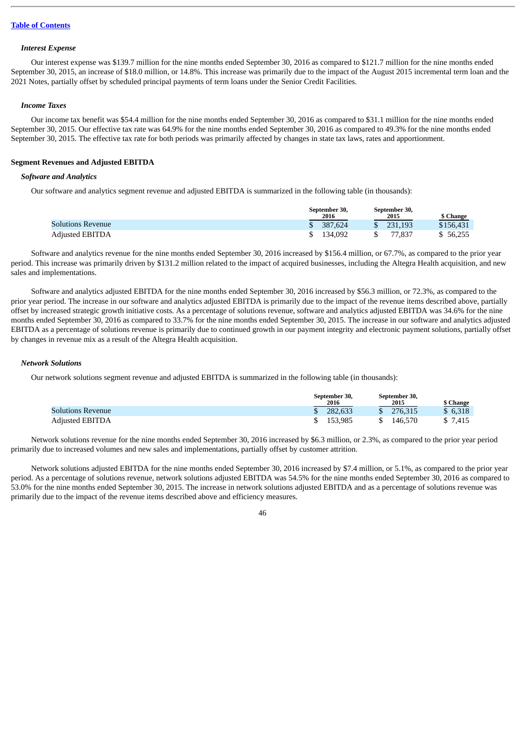#### *Interest Expense*

Our interest expense was \$139.7 million for the nine months ended September 30, 2016 as compared to \$121.7 million for the nine months ended September 30, 2015, an increase of \$18.0 million, or 14.8%. This increase was primarily due to the impact of the August 2015 incremental term loan and the 2021 Notes, partially offset by scheduled principal payments of term loans under the Senior Credit Facilities.

#### *Income Taxes*

Our income tax benefit was \$54.4 million for the nine months ended September 30, 2016 as compared to \$31.1 million for the nine months ended September 30, 2015. Our effective tax rate was 64.9% for the nine months ended September 30, 2016 as compared to 49.3% for the nine months ended September 30, 2015. The effective tax rate for both periods was primarily affected by changes in state tax laws, rates and apportionment.

#### **Segment Revenues and Adjusted EBITDA**

#### *Software and Analytics*

Our software and analytics segment revenue and adjusted EBITDA is summarized in the following table (in thousands):

|                          | September 30,<br>2016 | September 30,<br>2015 | \$ Change |
|--------------------------|-----------------------|-----------------------|-----------|
| <b>Solutions Revenue</b> | 387,624               | 231.193               | \$156.431 |
| <b>Adjusted EBITDA</b>   | 134.092               | 77.837                | 56,255 `  |

Software and analytics revenue for the nine months ended September 30, 2016 increased by \$156.4 million, or 67.7%, as compared to the prior year period. This increase was primarily driven by \$131.2 million related to the impact of acquired businesses, including the Altegra Health acquisition, and new sales and implementations.

Software and analytics adjusted EBITDA for the nine months ended September 30, 2016 increased by \$56.3 million, or 72.3%, as compared to the prior year period. The increase in our software and analytics adjusted EBITDA is primarily due to the impact of the revenue items described above, partially offset by increased strategic growth initiative costs. As a percentage of solutions revenue, software and analytics adjusted EBITDA was 34.6% for the nine months ended September 30, 2016 as compared to 33.7% for the nine months ended September 30, 2015. The increase in our software and analytics adjusted EBITDA as a percentage of solutions revenue is primarily due to continued growth in our payment integrity and electronic payment solutions, partially offset by changes in revenue mix as a result of the Altegra Health acquisition.

#### *Network Solutions*

Our network solutions segment revenue and adjusted EBITDA is summarized in the following table (in thousands):

|                          | September 30,<br>2016 | September 30,<br>2015 | \$ Change |
|--------------------------|-----------------------|-----------------------|-----------|
| <b>Solutions Revenue</b> | 282,633               | 276,315               | \$6,318   |
| <b>Adjusted EBITDA</b>   | 153.985               | 146,570               | \$7,415   |

Network solutions revenue for the nine months ended September 30, 2016 increased by \$6.3 million, or 2.3%, as compared to the prior year period primarily due to increased volumes and new sales and implementations, partially offset by customer attrition.

Network solutions adjusted EBITDA for the nine months ended September 30, 2016 increased by \$7.4 million, or 5.1%, as compared to the prior year period. As a percentage of solutions revenue, network solutions adjusted EBITDA was 54.5% for the nine months ended September 30, 2016 as compared to 53.0% for the nine months ended September 30, 2015. The increase in network solutions adjusted EBITDA and as a percentage of solutions revenue was primarily due to the impact of the revenue items described above and efficiency measures.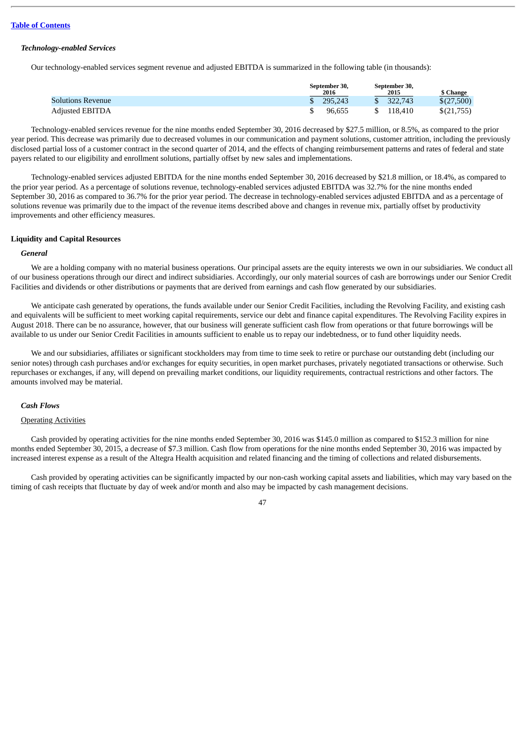#### *Technology-enabled Services*

Our technology-enabled services segment revenue and adjusted EBITDA is summarized in the following table (in thousands):

|                          | September 30,<br>2016 | September 30,<br>2015 | \$ Change  |
|--------------------------|-----------------------|-----------------------|------------|
| <b>Solutions Revenue</b> | 295.243               | 322.743               | \$(27,500) |
| <b>Adjusted EBITDA</b>   | 96.655                | 118,410               | \$(21,755) |

Technology-enabled services revenue for the nine months ended September 30, 2016 decreased by \$27.5 million, or 8.5%, as compared to the prior year period. This decrease was primarily due to decreased volumes in our communication and payment solutions, customer attrition, including the previously disclosed partial loss of a customer contract in the second quarter of 2014, and the effects of changing reimbursement patterns and rates of federal and state payers related to our eligibility and enrollment solutions, partially offset by new sales and implementations.

Technology-enabled services adjusted EBITDA for the nine months ended September 30, 2016 decreased by \$21.8 million, or 18.4%, as compared to the prior year period. As a percentage of solutions revenue, technology-enabled services adjusted EBITDA was 32.7% for the nine months ended September 30, 2016 as compared to 36.7% for the prior year period. The decrease in technology-enabled services adjusted EBITDA and as a percentage of solutions revenue was primarily due to the impact of the revenue items described above and changes in revenue mix, partially offset by productivity improvements and other efficiency measures.

#### **Liquidity and Capital Resources**

#### *General*

We are a holding company with no material business operations. Our principal assets are the equity interests we own in our subsidiaries. We conduct all of our business operations through our direct and indirect subsidiaries. Accordingly, our only material sources of cash are borrowings under our Senior Credit Facilities and dividends or other distributions or payments that are derived from earnings and cash flow generated by our subsidiaries.

We anticipate cash generated by operations, the funds available under our Senior Credit Facilities, including the Revolving Facility, and existing cash and equivalents will be sufficient to meet working capital requirements, service our debt and finance capital expenditures. The Revolving Facility expires in August 2018. There can be no assurance, however, that our business will generate sufficient cash flow from operations or that future borrowings will be available to us under our Senior Credit Facilities in amounts sufficient to enable us to repay our indebtedness, or to fund other liquidity needs.

We and our subsidiaries, affiliates or significant stockholders may from time to time seek to retire or purchase our outstanding debt (including our senior notes) through cash purchases and/or exchanges for equity securities, in open market purchases, privately negotiated transactions or otherwise. Such repurchases or exchanges, if any, will depend on prevailing market conditions, our liquidity requirements, contractual restrictions and other factors. The amounts involved may be material.

### *Cash Flows*

### Operating Activities

Cash provided by operating activities for the nine months ended September 30, 2016 was \$145.0 million as compared to \$152.3 million for nine months ended September 30, 2015, a decrease of \$7.3 million. Cash flow from operations for the nine months ended September 30, 2016 was impacted by increased interest expense as a result of the Altegra Health acquisition and related financing and the timing of collections and related disbursements.

Cash provided by operating activities can be significantly impacted by our non-cash working capital assets and liabilities, which may vary based on the timing of cash receipts that fluctuate by day of week and/or month and also may be impacted by cash management decisions.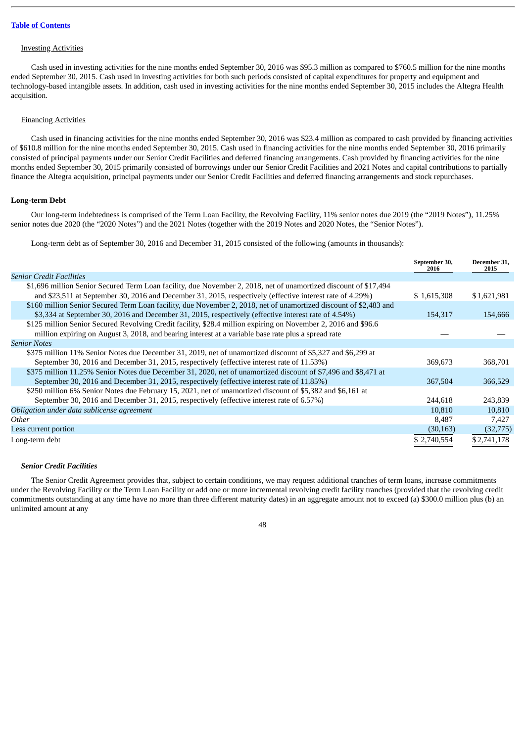#### Investing Activities

Cash used in investing activities for the nine months ended September 30, 2016 was \$95.3 million as compared to \$760.5 million for the nine months ended September 30, 2015. Cash used in investing activities for both such periods consisted of capital expenditures for property and equipment and technology-based intangible assets. In addition, cash used in investing activities for the nine months ended September 30, 2015 includes the Altegra Health acquisition.

# Financing Activities

Cash used in financing activities for the nine months ended September 30, 2016 was \$23.4 million as compared to cash provided by financing activities of \$610.8 million for the nine months ended September 30, 2015. Cash used in financing activities for the nine months ended September 30, 2016 primarily consisted of principal payments under our Senior Credit Facilities and deferred financing arrangements. Cash provided by financing activities for the nine months ended September 30, 2015 primarily consisted of borrowings under our Senior Credit Facilities and 2021 Notes and capital contributions to partially finance the Altegra acquisition, principal payments under our Senior Credit Facilities and deferred financing arrangements and stock repurchases.

### **Long-term Debt**

Our long-term indebtedness is comprised of the Term Loan Facility, the Revolving Facility, 11% senior notes due 2019 (the "2019 Notes"), 11.25% senior notes due 2020 (the "2020 Notes") and the 2021 Notes (together with the 2019 Notes and 2020 Notes, the "Senior Notes").

Long-term debt as of September 30, 2016 and December 31, 2015 consisted of the following (amounts in thousands):

|                                                                                                                   | September 30,<br>2016 | December 31,<br>2015 |
|-------------------------------------------------------------------------------------------------------------------|-----------------------|----------------------|
| <b>Senior Credit Facilities</b>                                                                                   |                       |                      |
| \$1,696 million Senior Secured Term Loan facility, due November 2, 2018, net of unamortized discount of \$17,494  |                       |                      |
| and \$23,511 at September 30, 2016 and December 31, 2015, respectively (effective interest rate of 4.29%)         | \$1,615,308           | \$1,621,981          |
| \$160 million Senior Secured Term Loan facility, due November 2, 2018, net of unamortized discount of \$2,483 and |                       |                      |
| \$3,334 at September 30, 2016 and December 31, 2015, respectively (effective interest rate of 4.54%)              | 154,317               | 154,666              |
| \$125 million Senior Secured Revolving Credit facility, \$28.4 million expiring on November 2, 2016 and \$96.6    |                       |                      |
| million expiring on August 3, 2018, and bearing interest at a variable base rate plus a spread rate               |                       |                      |
| <b>Senior Notes</b>                                                                                               |                       |                      |
| \$375 million 11% Senior Notes due December 31, 2019, net of unamortized discount of \$5,327 and \$6,299 at       |                       |                      |
| September 30, 2016 and December 31, 2015, respectively (effective interest rate of 11.53%)                        | 369,673               | 368,701              |
| \$375 million 11.25% Senior Notes due December 31, 2020, net of unamortized discount of \$7,496 and \$8,471 at    |                       |                      |
| September 30, 2016 and December 31, 2015, respectively (effective interest rate of 11.85%)                        | 367,504               | 366,529              |
| \$250 million 6% Senior Notes due February 15, 2021, net of unamortized discount of \$5,382 and \$6,161 at        |                       |                      |
| September 30, 2016 and December 31, 2015, respectively (effective interest rate of 6.57%)                         | 244,618               | 243,839              |
| Obligation under data sublicense agreement                                                                        | 10,810                | 10,810               |
| Other                                                                                                             | 8,487                 | 7,427                |
| Less current portion                                                                                              | (30, 163)             | (32, 775)            |
| Long-term debt                                                                                                    | \$2,740,554           | \$2,741,178          |

### *Senior Credit Facilities*

The Senior Credit Agreement provides that, subject to certain conditions, we may request additional tranches of term loans, increase commitments under the Revolving Facility or the Term Loan Facility or add one or more incremental revolving credit facility tranches (provided that the revolving credit commitments outstanding at any time have no more than three different maturity dates) in an aggregate amount not to exceed (a) \$300.0 million plus (b) an unlimited amount at any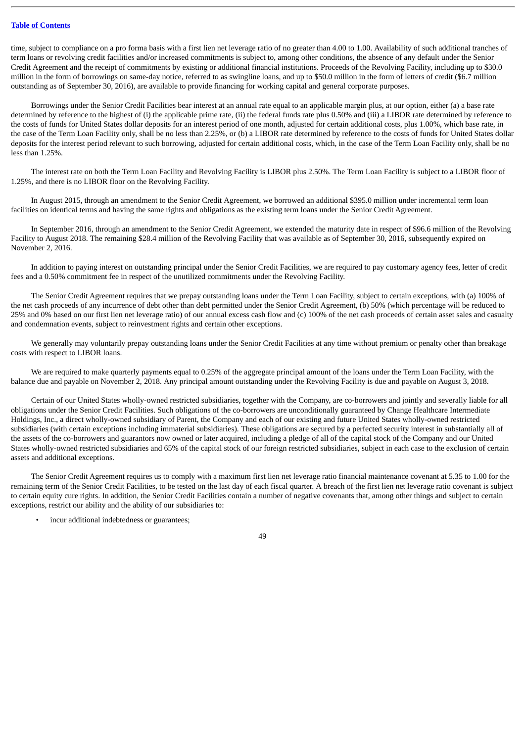time, subject to compliance on a pro forma basis with a first lien net leverage ratio of no greater than 4.00 to 1.00. Availability of such additional tranches of term loans or revolving credit facilities and/or increased commitments is subject to, among other conditions, the absence of any default under the Senior Credit Agreement and the receipt of commitments by existing or additional financial institutions. Proceeds of the Revolving Facility, including up to \$30.0 million in the form of borrowings on same-day notice, referred to as swingline loans, and up to \$50.0 million in the form of letters of credit (\$6.7 million outstanding as of September 30, 2016), are available to provide financing for working capital and general corporate purposes.

Borrowings under the Senior Credit Facilities bear interest at an annual rate equal to an applicable margin plus, at our option, either (a) a base rate determined by reference to the highest of (i) the applicable prime rate, (ii) the federal funds rate plus 0.50% and (iii) a LIBOR rate determined by reference to the costs of funds for United States dollar deposits for an interest period of one month, adjusted for certain additional costs, plus 1.00%, which base rate, in the case of the Term Loan Facility only, shall be no less than 2.25%, or (b) a LIBOR rate determined by reference to the costs of funds for United States dollar deposits for the interest period relevant to such borrowing, adjusted for certain additional costs, which, in the case of the Term Loan Facility only, shall be no less than 1.25%.

The interest rate on both the Term Loan Facility and Revolving Facility is LIBOR plus 2.50%. The Term Loan Facility is subject to a LIBOR floor of 1.25%, and there is no LIBOR floor on the Revolving Facility.

In August 2015, through an amendment to the Senior Credit Agreement, we borrowed an additional \$395.0 million under incremental term loan facilities on identical terms and having the same rights and obligations as the existing term loans under the Senior Credit Agreement.

In September 2016, through an amendment to the Senior Credit Agreement, we extended the maturity date in respect of \$96.6 million of the Revolving Facility to August 2018. The remaining \$28.4 million of the Revolving Facility that was available as of September 30, 2016, subsequently expired on November 2, 2016.

In addition to paying interest on outstanding principal under the Senior Credit Facilities, we are required to pay customary agency fees, letter of credit fees and a 0.50% commitment fee in respect of the unutilized commitments under the Revolving Facility.

The Senior Credit Agreement requires that we prepay outstanding loans under the Term Loan Facility, subject to certain exceptions, with (a) 100% of the net cash proceeds of any incurrence of debt other than debt permitted under the Senior Credit Agreement, (b) 50% (which percentage will be reduced to 25% and 0% based on our first lien net leverage ratio) of our annual excess cash flow and (c) 100% of the net cash proceeds of certain asset sales and casualty and condemnation events, subject to reinvestment rights and certain other exceptions.

We generally may voluntarily prepay outstanding loans under the Senior Credit Facilities at any time without premium or penalty other than breakage costs with respect to LIBOR loans.

We are required to make quarterly payments equal to 0.25% of the aggregate principal amount of the loans under the Term Loan Facility, with the balance due and payable on November 2, 2018. Any principal amount outstanding under the Revolving Facility is due and payable on August 3, 2018.

Certain of our United States wholly-owned restricted subsidiaries, together with the Company, are co-borrowers and jointly and severally liable for all obligations under the Senior Credit Facilities. Such obligations of the co-borrowers are unconditionally guaranteed by Change Healthcare Intermediate Holdings, Inc., a direct wholly-owned subsidiary of Parent, the Company and each of our existing and future United States wholly-owned restricted subsidiaries (with certain exceptions including immaterial subsidiaries). These obligations are secured by a perfected security interest in substantially all of the assets of the co-borrowers and guarantors now owned or later acquired, including a pledge of all of the capital stock of the Company and our United States wholly-owned restricted subsidiaries and 65% of the capital stock of our foreign restricted subsidiaries, subject in each case to the exclusion of certain assets and additional exceptions.

The Senior Credit Agreement requires us to comply with a maximum first lien net leverage ratio financial maintenance covenant at 5.35 to 1.00 for the remaining term of the Senior Credit Facilities, to be tested on the last day of each fiscal quarter. A breach of the first lien net leverage ratio covenant is subject to certain equity cure rights. In addition, the Senior Credit Facilities contain a number of negative covenants that, among other things and subject to certain exceptions, restrict our ability and the ability of our subsidiaries to:

incur additional indebtedness or guarantees;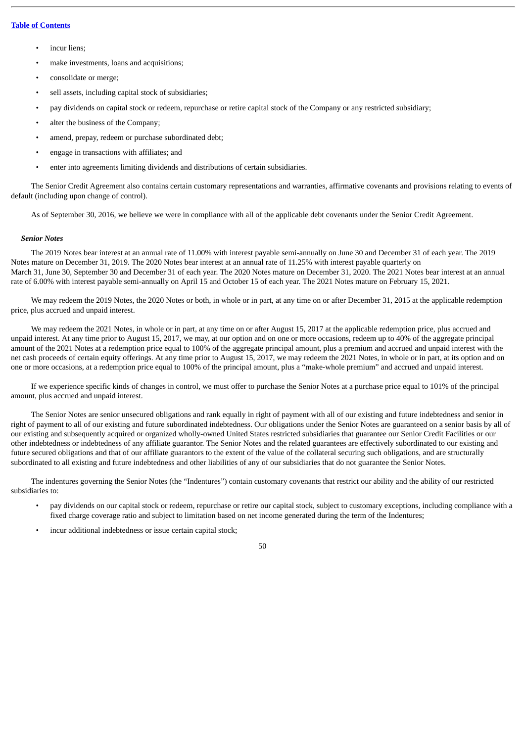- incur liens;
- make investments, loans and acquisitions;
- consolidate or merge;
- sell assets, including capital stock of subsidiaries;
- pay dividends on capital stock or redeem, repurchase or retire capital stock of the Company or any restricted subsidiary;
- alter the business of the Company;
- amend, prepay, redeem or purchase subordinated debt;
- engage in transactions with affiliates; and
- enter into agreements limiting dividends and distributions of certain subsidiaries.

The Senior Credit Agreement also contains certain customary representations and warranties, affirmative covenants and provisions relating to events of default (including upon change of control).

As of September 30, 2016, we believe we were in compliance with all of the applicable debt covenants under the Senior Credit Agreement.

# *Senior Notes*

The 2019 Notes bear interest at an annual rate of 11.00% with interest payable semi-annually on June 30 and December 31 of each year. The 2019 Notes mature on December 31, 2019. The 2020 Notes bear interest at an annual rate of 11.25% with interest payable quarterly on March 31, June 30, September 30 and December 31 of each year. The 2020 Notes mature on December 31, 2020. The 2021 Notes bear interest at an annual rate of 6.00% with interest payable semi-annually on April 15 and October 15 of each year. The 2021 Notes mature on February 15, 2021.

We may redeem the 2019 Notes, the 2020 Notes or both, in whole or in part, at any time on or after December 31, 2015 at the applicable redemption price, plus accrued and unpaid interest.

We may redeem the 2021 Notes, in whole or in part, at any time on or after August 15, 2017 at the applicable redemption price, plus accrued and unpaid interest. At any time prior to August 15, 2017, we may, at our option and on one or more occasions, redeem up to 40% of the aggregate principal amount of the 2021 Notes at a redemption price equal to 100% of the aggregate principal amount, plus a premium and accrued and unpaid interest with the net cash proceeds of certain equity offerings. At any time prior to August 15, 2017, we may redeem the 2021 Notes, in whole or in part, at its option and on one or more occasions, at a redemption price equal to 100% of the principal amount, plus a "make-whole premium" and accrued and unpaid interest.

If we experience specific kinds of changes in control, we must offer to purchase the Senior Notes at a purchase price equal to 101% of the principal amount, plus accrued and unpaid interest.

The Senior Notes are senior unsecured obligations and rank equally in right of payment with all of our existing and future indebtedness and senior in right of payment to all of our existing and future subordinated indebtedness. Our obligations under the Senior Notes are guaranteed on a senior basis by all of our existing and subsequently acquired or organized wholly-owned United States restricted subsidiaries that guarantee our Senior Credit Facilities or our other indebtedness or indebtedness of any affiliate guarantor. The Senior Notes and the related guarantees are effectively subordinated to our existing and future secured obligations and that of our affiliate guarantors to the extent of the value of the collateral securing such obligations, and are structurally subordinated to all existing and future indebtedness and other liabilities of any of our subsidiaries that do not guarantee the Senior Notes.

The indentures governing the Senior Notes (the "Indentures") contain customary covenants that restrict our ability and the ability of our restricted subsidiaries to:

- pay dividends on our capital stock or redeem, repurchase or retire our capital stock, subject to customary exceptions, including compliance with a fixed charge coverage ratio and subject to limitation based on net income generated during the term of the Indentures;
- incur additional indebtedness or issue certain capital stock;
- 50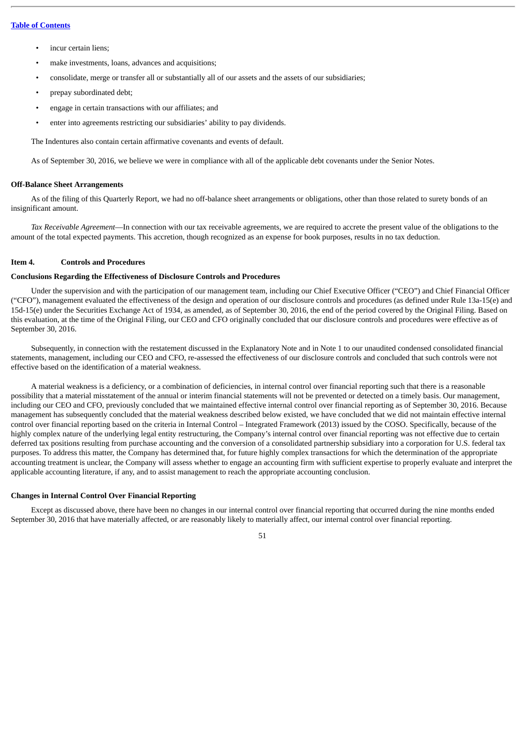- incur certain liens;
- make investments, loans, advances and acquisitions;
- consolidate, merge or transfer all or substantially all of our assets and the assets of our subsidiaries;
- prepay subordinated debt;
- engage in certain transactions with our affiliates; and
- enter into agreements restricting our subsidiaries' ability to pay dividends.

The Indentures also contain certain affirmative covenants and events of default.

As of September 30, 2016, we believe we were in compliance with all of the applicable debt covenants under the Senior Notes.

#### **Off-Balance Sheet Arrangements**

As of the filing of this Quarterly Report, we had no off-balance sheet arrangements or obligations, other than those related to surety bonds of an insignificant amount.

*Tax Receivable Agreement*—In connection with our tax receivable agreements, we are required to accrete the present value of the obligations to the amount of the total expected payments. This accretion, though recognized as an expense for book purposes, results in no tax deduction.

#### **Item 4. Controls and Procedures**

#### **Conclusions Regarding the Effectiveness of Disclosure Controls and Procedures**

Under the supervision and with the participation of our management team, including our Chief Executive Officer ("CEO") and Chief Financial Officer ("CFO"), management evaluated the effectiveness of the design and operation of our disclosure controls and procedures (as defined under Rule 13a-15(e) and 15d-15(e) under the Securities Exchange Act of 1934, as amended, as of September 30, 2016, the end of the period covered by the Original Filing. Based on this evaluation, at the time of the Original Filing, our CEO and CFO originally concluded that our disclosure controls and procedures were effective as of September 30, 2016.

Subsequently, in connection with the restatement discussed in the Explanatory Note and in Note 1 to our unaudited condensed consolidated financial statements, management, including our CEO and CFO, re-assessed the effectiveness of our disclosure controls and concluded that such controls were not effective based on the identification of a material weakness.

A material weakness is a deficiency, or a combination of deficiencies, in internal control over financial reporting such that there is a reasonable possibility that a material misstatement of the annual or interim financial statements will not be prevented or detected on a timely basis. Our management, including our CEO and CFO, previously concluded that we maintained effective internal control over financial reporting as of September 30, 2016. Because management has subsequently concluded that the material weakness described below existed, we have concluded that we did not maintain effective internal control over financial reporting based on the criteria in Internal Control – Integrated Framework (2013) issued by the COSO. Specifically, because of the highly complex nature of the underlying legal entity restructuring, the Company's internal control over financial reporting was not effective due to certain deferred tax positions resulting from purchase accounting and the conversion of a consolidated partnership subsidiary into a corporation for U.S. federal tax purposes. To address this matter, the Company has determined that, for future highly complex transactions for which the determination of the appropriate accounting treatment is unclear, the Company will assess whether to engage an accounting firm with sufficient expertise to properly evaluate and interpret the applicable accounting literature, if any, and to assist management to reach the appropriate accounting conclusion.

### **Changes in Internal Control Over Financial Reporting**

Except as discussed above, there have been no changes in our internal control over financial reporting that occurred during the nine months ended September 30, 2016 that have materially affected, or are reasonably likely to materially affect, our internal control over financial reporting.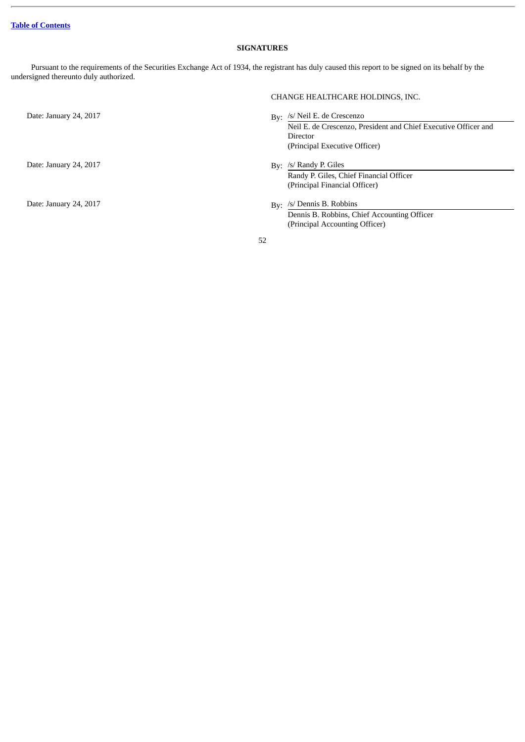# **SIGNATURES**

<span id="page-55-0"></span>Pursuant to the requirements of the Securities Exchange Act of 1934, the registrant has duly caused this report to be signed on its behalf by the undersigned thereunto duly authorized.

CHANGE HEALTHCARE HOLDINGS, INC. Date: January 24, 2017 By: /s/ Neil E. de Crescenzo Neil E. de Crescenzo, President and Chief Executive Officer and Director (Principal Executive Officer) Date: January 24, 2017 By: /s/ Randy P. Giles Randy P. Giles, Chief Financial Officer (Principal Financial Officer) Date: January 24, 2017 By: /s/ Dennis B. Robbins Dennis B. Robbins, Chief Accounting Officer (Principal Accounting Officer)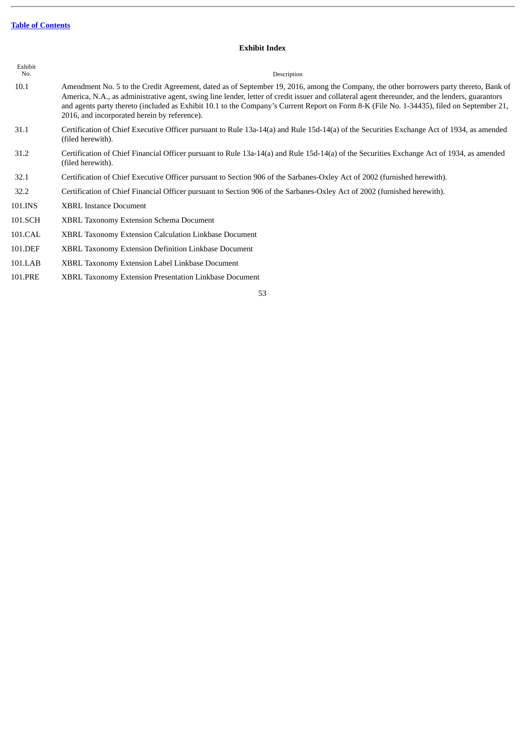# **Exhibit Index**

<span id="page-56-0"></span>

| Exhibit<br>No. | Description                                                                                                                                                                                                                                                                                                                                                                                                                                                                            |
|----------------|----------------------------------------------------------------------------------------------------------------------------------------------------------------------------------------------------------------------------------------------------------------------------------------------------------------------------------------------------------------------------------------------------------------------------------------------------------------------------------------|
| 10.1           | Amendment No. 5 to the Credit Agreement, dated as of September 19, 2016, among the Company, the other borrowers party thereto, Bank of<br>America, N.A., as administrative agent, swing line lender, letter of credit issuer and collateral agent thereunder, and the lenders, guarantors<br>and agents party thereto (included as Exhibit 10.1 to the Company's Current Report on Form 8-K (File No. 1-34435), filed on September 21,<br>2016, and incorporated herein by reference). |
| 31.1           | Certification of Chief Executive Officer pursuant to Rule 13a-14(a) and Rule 15d-14(a) of the Securities Exchange Act of 1934, as amended<br>(filed herewith).                                                                                                                                                                                                                                                                                                                         |
| 31.2           | Certification of Chief Financial Officer pursuant to Rule 13a-14(a) and Rule 15d-14(a) of the Securities Exchange Act of 1934, as amended<br>(filed herewith).                                                                                                                                                                                                                                                                                                                         |
| 32.1           | Certification of Chief Executive Officer pursuant to Section 906 of the Sarbanes-Oxley Act of 2002 (furnished herewith).                                                                                                                                                                                                                                                                                                                                                               |
| 32.2           | Certification of Chief Financial Officer pursuant to Section 906 of the Sarbanes-Oxley Act of 2002 (furnished herewith).                                                                                                                                                                                                                                                                                                                                                               |
| 101.INS        | <b>XBRL Instance Document</b>                                                                                                                                                                                                                                                                                                                                                                                                                                                          |
| 101.SCH        | <b>XBRL Taxonomy Extension Schema Document</b>                                                                                                                                                                                                                                                                                                                                                                                                                                         |
| 101.CAL        | <b>XBRL Taxonomy Extension Calculation Linkbase Document</b>                                                                                                                                                                                                                                                                                                                                                                                                                           |
| 101.DEF        | XBRL Taxonomy Extension Definition Linkbase Document                                                                                                                                                                                                                                                                                                                                                                                                                                   |
| 101.LAB        | XBRL Taxonomy Extension Label Linkbase Document                                                                                                                                                                                                                                                                                                                                                                                                                                        |
| 101.PRE        | XBRL Taxonomy Extension Presentation Linkbase Document                                                                                                                                                                                                                                                                                                                                                                                                                                 |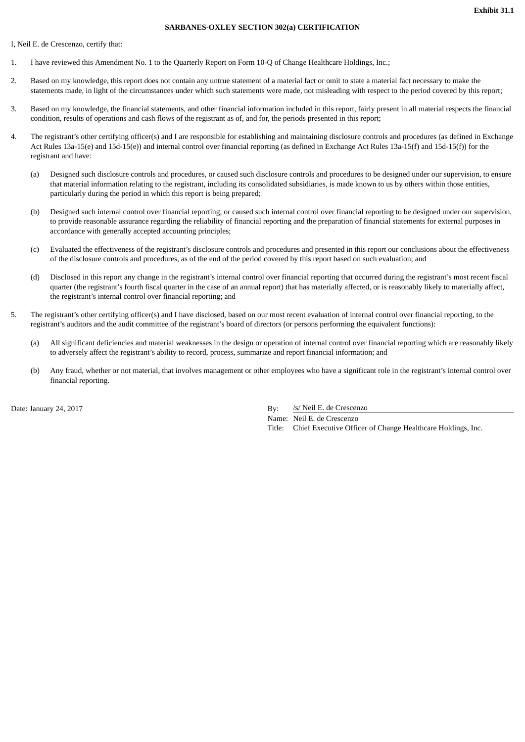# **SARBANES-OXLEY SECTION 302(a) CERTIFICATION**

I, Neil E. de Crescenzo, certify that:

- 1. I have reviewed this Amendment No. 1 to the Quarterly Report on Form 10-Q of Change Healthcare Holdings, Inc.;
- 2. Based on my knowledge, this report does not contain any untrue statement of a material fact or omit to state a material fact necessary to make the statements made, in light of the circumstances under which such statements were made, not misleading with respect to the period covered by this report;
- 3. Based on my knowledge, the financial statements, and other financial information included in this report, fairly present in all material respects the financial condition, results of operations and cash flows of the registrant as of, and for, the periods presented in this report;
- 4. The registrant's other certifying officer(s) and I are responsible for establishing and maintaining disclosure controls and procedures (as defined in Exchange Act Rules 13a-15(e) and 15d-15(e)) and internal control over financial reporting (as defined in Exchange Act Rules 13a-15(f) and 15d-15(f)) for the registrant and have:
	- (a) Designed such disclosure controls and procedures, or caused such disclosure controls and procedures to be designed under our supervision, to ensure that material information relating to the registrant, including its consolidated subsidiaries, is made known to us by others within those entities, particularly during the period in which this report is being prepared;
	- (b) Designed such internal control over financial reporting, or caused such internal control over financial reporting to be designed under our supervision, to provide reasonable assurance regarding the reliability of financial reporting and the preparation of financial statements for external purposes in accordance with generally accepted accounting principles;
	- (c) Evaluated the effectiveness of the registrant's disclosure controls and procedures and presented in this report our conclusions about the effectiveness of the disclosure controls and procedures, as of the end of the period covered by this report based on such evaluation; and
	- (d) Disclosed in this report any change in the registrant's internal control over financial reporting that occurred during the registrant's most recent fiscal quarter (the registrant's fourth fiscal quarter in the case of an annual report) that has materially affected, or is reasonably likely to materially affect, the registrant's internal control over financial reporting; and
- 5. The registrant's other certifying officer(s) and I have disclosed, based on our most recent evaluation of internal control over financial reporting, to the registrant's auditors and the audit committee of the registrant's board of directors (or persons performing the equivalent functions):
	- (a) All significant deficiencies and material weaknesses in the design or operation of internal control over financial reporting which are reasonably likely to adversely affect the registrant's ability to record, process, summarize and report financial information; and
	- (b) Any fraud, whether or not material, that involves management or other employees who have a significant role in the registrant's internal control over financial reporting.

Date: January 24, 2017 **By:** *S/Neil E. de Crescenzo* 

Name: Neil E. de Crescenzo Title: Chief Executive Officer of Change Healthcare Holdings, Inc.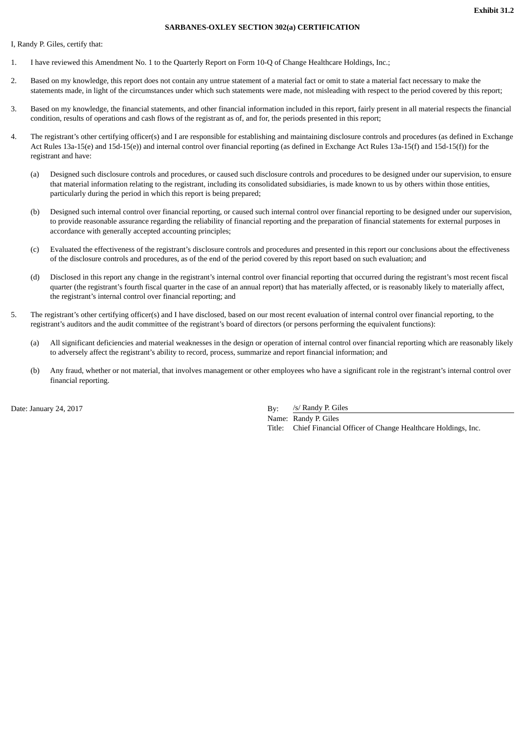# **SARBANES-OXLEY SECTION 302(a) CERTIFICATION**

I, Randy P. Giles, certify that:

- 1. I have reviewed this Amendment No. 1 to the Quarterly Report on Form 10-Q of Change Healthcare Holdings, Inc.;
- 2. Based on my knowledge, this report does not contain any untrue statement of a material fact or omit to state a material fact necessary to make the statements made, in light of the circumstances under which such statements were made, not misleading with respect to the period covered by this report;
- 3. Based on my knowledge, the financial statements, and other financial information included in this report, fairly present in all material respects the financial condition, results of operations and cash flows of the registrant as of, and for, the periods presented in this report;
- 4. The registrant's other certifying officer(s) and I are responsible for establishing and maintaining disclosure controls and procedures (as defined in Exchange Act Rules 13a-15(e) and 15d-15(e)) and internal control over financial reporting (as defined in Exchange Act Rules 13a-15(f) and 15d-15(f)) for the registrant and have:
	- (a) Designed such disclosure controls and procedures, or caused such disclosure controls and procedures to be designed under our supervision, to ensure that material information relating to the registrant, including its consolidated subsidiaries, is made known to us by others within those entities, particularly during the period in which this report is being prepared;
	- (b) Designed such internal control over financial reporting, or caused such internal control over financial reporting to be designed under our supervision, to provide reasonable assurance regarding the reliability of financial reporting and the preparation of financial statements for external purposes in accordance with generally accepted accounting principles;
	- (c) Evaluated the effectiveness of the registrant's disclosure controls and procedures and presented in this report our conclusions about the effectiveness of the disclosure controls and procedures, as of the end of the period covered by this report based on such evaluation; and
	- (d) Disclosed in this report any change in the registrant's internal control over financial reporting that occurred during the registrant's most recent fiscal quarter (the registrant's fourth fiscal quarter in the case of an annual report) that has materially affected, or is reasonably likely to materially affect, the registrant's internal control over financial reporting; and
- 5. The registrant's other certifying officer(s) and I have disclosed, based on our most recent evaluation of internal control over financial reporting, to the registrant's auditors and the audit committee of the registrant's board of directors (or persons performing the equivalent functions):
	- (a) All significant deficiencies and material weaknesses in the design or operation of internal control over financial reporting which are reasonably likely to adversely affect the registrant's ability to record, process, summarize and report financial information; and
	- (b) Any fraud, whether or not material, that involves management or other employees who have a significant role in the registrant's internal control over financial reporting.

Date: January 24, 2017 **By:** *S/ Randy P. Giles* 

Name: Randy P. Giles Title: Chief Financial Officer of Change Healthcare Holdings, Inc.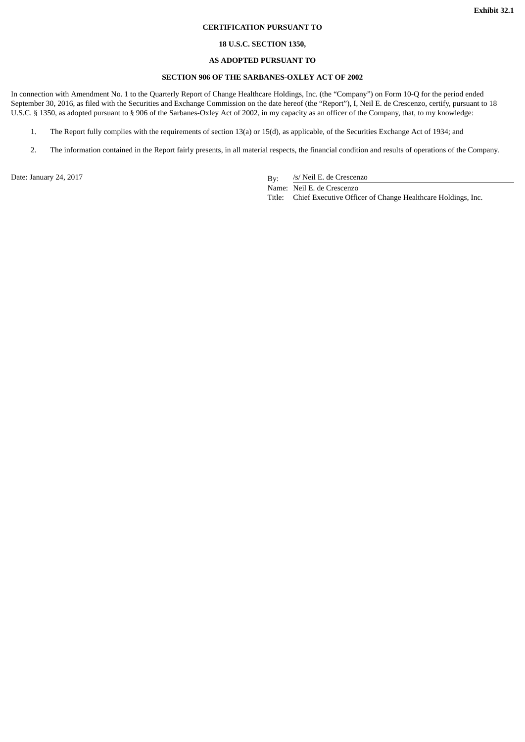# **CERTIFICATION PURSUANT TO**

#### **18 U.S.C. SECTION 1350,**

#### **AS ADOPTED PURSUANT TO**

# **SECTION 906 OF THE SARBANES-OXLEY ACT OF 2002**

In connection with Amendment No. 1 to the Quarterly Report of Change Healthcare Holdings, Inc. (the "Company") on Form 10-Q for the period ended September 30, 2016, as filed with the Securities and Exchange Commission on the date hereof (the "Report"), I, Neil E. de Crescenzo, certify, pursuant to 18 U.S.C. § 1350, as adopted pursuant to § 906 of the Sarbanes-Oxley Act of 2002, in my capacity as an officer of the Company, that, to my knowledge:

- 1. The Report fully complies with the requirements of section 13(a) or 15(d), as applicable, of the Securities Exchange Act of 1934; and
- 2. The information contained in the Report fairly presents, in all material respects, the financial condition and results of operations of the Company.

Date: January 24, 2017 <br>By: /s/ Neil E. de Crescenzo

Name: Neil E. de Crescenzo Title: Chief Executive Officer of Change Healthcare Holdings, Inc.